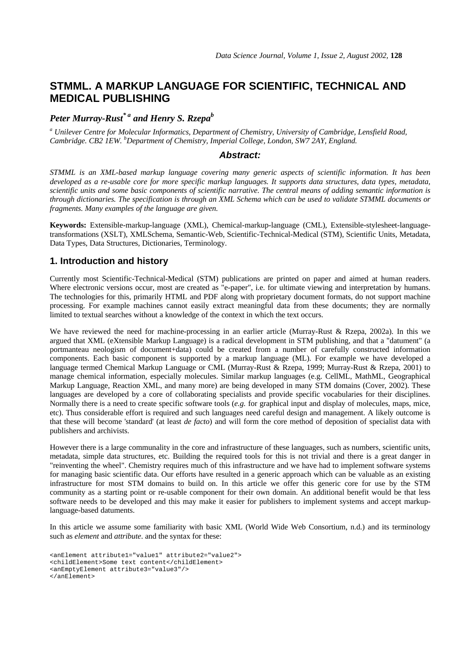# **STMML. A MARKUP LANGUAGE FOR SCIENTIFIC, TECHNICAL AND MEDICAL PUBLISHING**

# *Peter Murray-Rust\* a and Henry S. Rzepa<sup>b</sup>*

*a Unilever Centre for Molecular Informatics, Department of Chemistry, University of Cambridge, Lensfield Road, Cambridge. CB2 1EW. <sup>b</sup>Department of Chemistry, Imperial College, London, SW7 2AY, England.*

## *Abstract:*

*STMML is an XML-based markup language covering many generic aspects of scientific information. It has been developed as a re-usable core for more specific markup languages. It supports data structures, data types, metadata, scientific units and some basic components of scientific narrative. The central means of adding semantic information is through dictionaries. The specification is through an XML Schema which can be used to validate STMML documents or fragments. Many examples of the language are given.*

**Keywords:** Extensible-markup-language (XML), Chemical-markup-language (CML), Extensible-stylesheet-languagetransformations (XSLT), XMLSchema, Semantic-Web, Scientific-Technical-Medical (STM), Scientific Units, Metadata, Data Types, Data Structures, Dictionaries, Terminology.

# **1. Introduction and history**

Currently most Scientific-Technical-Medical (STM) publications are printed on paper and aimed at human readers. Where electronic versions occur, most are created as "e-paper", i.e. for ultimate viewing and interpretation by humans. The technologies for this, primarily HTML and PDF along with proprietary document formats, do not support machine processing. For example machines cannot easily extract meaningful data from these documents; they are normally limited to textual searches without a knowledge of the context in which the text occurs.

We have reviewed the need for machine-processing in an earlier article (Murray-Rust & Rzepa, 2002a). In this we argued that XML (eXtensible Markup Language) is a radical development in STM publishing, and that a "datument" (a portmanteau neologism of document+data) could be created from a number of carefully constructed information components. Each basic component is supported by a markup language (ML). For example we have developed a language termed Chemical Markup Language or CML (Murray-Rust & Rzepa, 1999; Murray-Rust & Rzepa, 2001) to manage chemical information, especially molecules. Similar markup languages (e.g. CellML, MathML, Geographical Markup Language, Reaction XML, and many more) are being developed in many STM domains (Cover, 2002). These languages are developed by a core of collaborating specialists and provide specific vocabularies for their disciplines. Normally there is a need to create specific software tools (*e.g.* for graphical input and display of molecules, maps, mice, etc). Thus considerable effort is required and such languages need careful design and management. A likely outcome is that these will become 'standard' (at least *de facto*) and will form the core method of deposition of specialist data with publishers and archivists.

However there is a large communality in the core and infrastructure of these languages, such as numbers, scientific units, metadata, simple data structures, etc. Building the required tools for this is not trivial and there is a great danger in "reinventing the wheel". Chemistry requires much of this infrastructure and we have had to implement software systems for managing basic scientific data. Our efforts have resulted in a generic approach which can be valuable as an existing infrastructure for most STM domains to build on. In this article we offer this generic core for use by the STM community as a starting point or re-usable component for their own domain. An additional benefit would be that less software needs to be developed and this may make it easier for publishers to implement systems and accept markuplanguage-based datuments.

In this article we assume some familiarity with basic XML (World Wide Web Consortium, n.d.) and its terminology such as *element* and *attribute*. and the syntax for these:

<anElement attribute1="value1" attribute2="value2"> <childElement>Some text content</childElement> <anEmptyElement attribute3="value3"/> </anElement>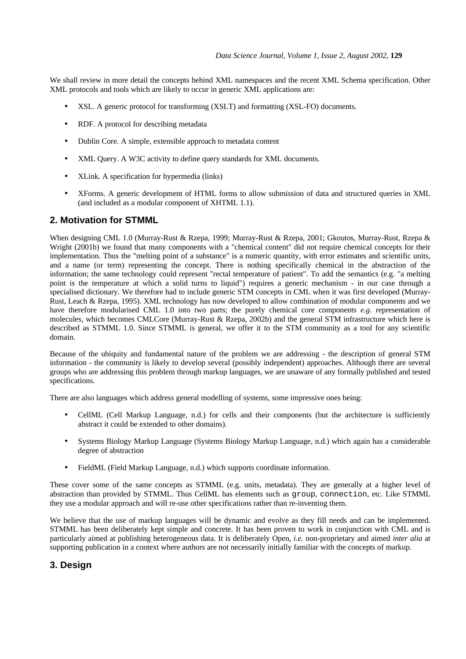We shall review in more detail the concepts behind XML namespaces and the recent XML Schema specification. Other XML protocols and tools which are likely to occur in generic XML applications are:

- XSL. A generic protocol for transforming (XSLT) and formatting (XSL-FO) documents.
- RDF. A protocol for describing metadata
- Dublin Core. A simple, extensible approach to metadata content
- XML Query. A W3C activity to define query standards for XML documents.
- XLink. A specification for hypermedia (links)
- XForms. A generic development of HTML forms to allow submission of data and structured queries in XML (and included as a modular component of XHTML 1.1).

## **2. Motivation for STMML**

When designing CML 1.0 (Murray-Rust & Rzepa, 1999; Murray-Rust & Rzepa, 2001; Gkoutos, Murray-Rust, Rzepa & Wright (2001b) we found that many components with a "chemical content" did not require chemical concepts for their implementation. Thus the "melting point of a substance" is a numeric quantity, with error estimates and scientific units, and a name (or term) representing the concept. There is nothing specifically chemical in the abstraction of the information; the same technology could represent "rectal temperature of patient". To add the semantics (e.g. "a melting point is the temperature at which a solid turns to liquid") requires a generic mechanism - in our case through a specialised dictionary. We therefore had to include generic STM concepts in CML when it was first developed (Murray-Rust, Leach & Rzepa, 1995). XML technology has now developed to allow combination of modular components and we have therefore modularised CML 1.0 into two parts; the purely chemical core components *e.g.* representation of molecules, which becomes CMLCore (Murray-Rust & Rzepa, 2002b) and the general STM infrastructure which here is described as STMML 1.0. Since STMML is general, we offer it to the STM community as a tool for any scientific domain.

Because of the ubiquity and fundamental nature of the problem we are addressing - the description of general STM information - the community is likely to develop several (possibly independent) approaches. Although there are several groups who are addressing this problem through markup languages, we are unaware of any formally published and tested specifications.

There are also languages which address general modelling of systems, some impressive ones being:

- CellML (Cell Markup Language, n.d.) for cells and their components (but the architecture is sufficiently abstract it could be extended to other domains).
- Systems Biology Markup Language (Systems Biology Markup Language, n.d.) which again has a considerable degree of abstraction
- FieldML (Field Markup Language, n.d.) which supports coordinate information.

These cover some of the same concepts as STMML (e.g. units, metadata). They are generally at a higher level of abstraction than provided by STMML. Thus CellML has elements such as group, connection, etc. Like STMML they use a modular approach and will re-use other specifications rather than re-inventing them.

We believe that the use of markup languages will be dynamic and evolve as they fill needs and can be implemented. STMML has been deliberately kept simple and concrete. It has been proven to work in conjunction with CML and is particularly aimed at publishing heterogeneous data. It is deliberately Open, *i.e.* non-proprietary and aimed *inter alia* at supporting publication in a context where authors are not necessarily initially familiar with the concepts of markup.

# **3. Design**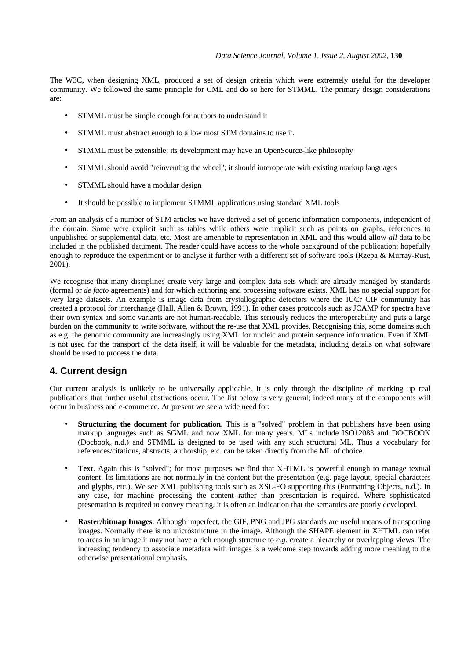The W3C, when designing XML, produced a set of design criteria which were extremely useful for the developer community. We followed the same principle for CML and do so here for STMML. The primary design considerations are:

- STMML must be simple enough for authors to understand it
- STMML must abstract enough to allow most STM domains to use it.
- STMML must be extensible; its development may have an OpenSource-like philosophy
- STMML should avoid "reinventing the wheel"; it should interoperate with existing markup languages
- STMML should have a modular design
- It should be possible to implement STMML applications using standard XML tools

From an analysis of a number of STM articles we have derived a set of generic information components, independent of the domain. Some were explicit such as tables while others were implicit such as points on graphs, references to unpublished or supplemental data, etc. Most are amenable to representation in XML and this would allow *all* data to be included in the published datument. The reader could have access to the whole background of the publication; hopefully enough to reproduce the experiment or to analyse it further with a different set of software tools (Rzepa & Murray-Rust, 2001).

We recognise that many disciplines create very large and complex data sets which are already managed by standards (formal or *de facto* agreements) and for which authoring and processing software exists. XML has no special support for very large datasets. An example is image data from crystallographic detectors where the IUCr CIF community has created a protocol for interchange (Hall, Allen & Brown, 1991). In other cases protocols such as JCAMP for spectra have their own syntax and some variants are not human-readable. This seriously reduces the interoperability and puts a large burden on the community to write software, without the re-use that XML provides. Recognising this, some domains such as e.g. the genomic community are increasingly using XML for nucleic and protein sequence information. Even if XML is not used for the transport of the data itself, it will be valuable for the metadata, including details on what software should be used to process the data.

# **4. Current design**

Our current analysis is unlikely to be universally applicable. It is only through the discipline of marking up real publications that further useful abstractions occur. The list below is very general; indeed many of the components will occur in business and e-commerce. At present we see a wide need for:

- **Structuring the document for publication**. This is a "solved" problem in that publishers have been using markup languages such as SGML and now XML for many years. MLs include ISO12083 and DOCBOOK (Docbook, n.d.) and STMML is designed to be used with any such structural ML. Thus a vocabulary for references/citations, abstracts, authorship, etc. can be taken directly from the ML of choice.
- Text. Again this is "solved"; for most purposes we find that XHTML is powerful enough to manage textual content. Its limitations are not normally in the content but the presentation (e.g. page layout, special characters and glyphs, etc.). We see XML publishing tools such as XSL-FO supporting this (Formatting Objects, n.d.). In any case, for machine processing the content rather than presentation is required. Where sophisticated presentation is required to convey meaning, it is often an indication that the semantics are poorly developed.
- **Raster/bitmap Images**. Although imperfect, the GIF, PNG and JPG standards are useful means of transporting images. Normally there is no microstructure in the image. Although the SHAPE element in XHTML can refer to areas in an image it may not have a rich enough structure to *e.g.* create a hierarchy or overlapping views. The increasing tendency to associate metadata with images is a welcome step towards adding more meaning to the otherwise presentational emphasis.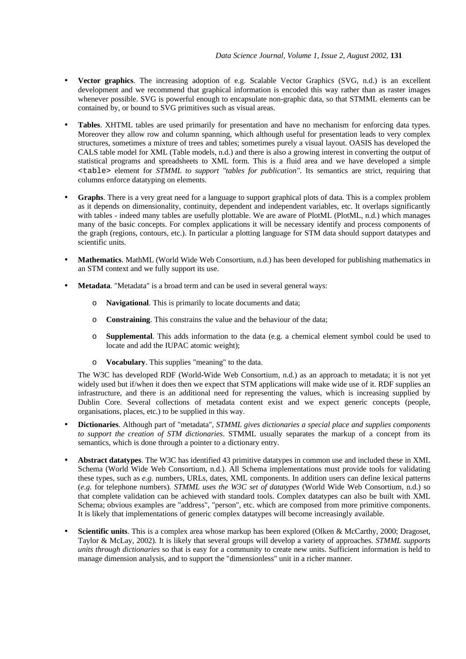- **Vector graphics**. The increasing adoption of e.g. Scalable Vector Graphics (SVG, n.d.) is an excellent development and we recommend that graphical information is encoded this way rather than as raster images whenever possible. SVG is powerful enough to encapsulate non-graphic data, so that STMML elements can be contained by, or bound to SVG primitives such as visual areas.
- **Tables**. XHTML tables are used primarily for presentation and have no mechanism for enforcing data types. Moreover they allow row and column spanning, which although useful for presentation leads to very complex structures, sometimes a mixture of trees and tables; sometimes purely a visual layout. OASIS has developed the CALS table model for XML (Table models, n.d.) and there is also a growing interest in converting the output of statistical programs and spreadsheets to XML form. This is a fluid area and we have developed a simple <table> element for *STMML to support "tables for publication"*. Its semantics are strict, requiring that columns enforce datatyping on elements.
- **Graphs**. There is a very great need for a language to support graphical plots of data. This is a complex problem as it depends on dimensionality, continuity, dependent and independent variables, etc. It overlaps significantly with tables - indeed many tables are usefully plottable. We are aware of PlotML (PlotML, n.d.) which manages many of the basic concepts. For complex applications it will be necessary identify and process components of the graph (regions, contours, etc.). In particular a plotting language for STM data should support datatypes and scientific units.
- **Mathematics**. MathML (World Wide Web Consortium, n.d.) has been developed for publishing mathematics in an STM context and we fully support its use.
- **Metadata**. "Metadata" is a broad term and can be used in several general ways:
	- o **Navigational**. This is primarily to locate documents and data;
	- o **Constraining**. This constrains the value and the behaviour of the data;
	- o **Supplemental**. This adds information to the data (e.g. a chemical element symbol could be used to locate and add the IUPAC atomic weight);
	- o **Vocabulary**. This supplies "meaning" to the data.

The W3C has developed RDF (World-Wide Web Consortium, n.d.) as an approach to metadata; it is not yet widely used but if/when it does then we expect that STM applications will make wide use of it. RDF supplies an infrastructure, and there is an additional need for representing the values, which is increasing supplied by Dublin Core. Several collections of metadata content exist and we expect generic concepts (people, organisations, places, etc.) to be supplied in this way.

- **Dictionaries**. Although part of "metadata", *STMML gives dictionaries a special place and supplies components to support the creation of STM dictionaries*. STMML usually separates the markup of a concept from its semantics, which is done through a pointer to a dictionary entry.
- **Abstract datatypes**. The W3C has identified 43 primitive datatypes in common use and included these in XML Schema (World Wide Web Consortium, n.d.). All Schema implementations must provide tools for validating these types, such as *e.g.* numbers, URLs, dates, XML components. In addition users can define lexical patterns (*e.g.* for telephone numbers). *STMML uses the W3C set of datatypes* (World Wide Web Consortium, n.d.) so that complete validation can be achieved with standard tools. Complex datatypes can also be built with XML Schema; obvious examples are "address", "person", etc. which are composed from more primitive components. It is likely that implementations of generic complex datatypes will become increasingly available.
- **Scientific units**. This is a complex area whose markup has been explored (Olken & McCarthy, 2000; Dragoset, Taylor & McLay, 2002). It is likely that several groups will develop a variety of approaches. *STMML supports units through dictionaries* so that is easy for a community to create new units. Sufficient information is held to manage dimension analysis, and to support the "dimensionless" unit in a richer manner.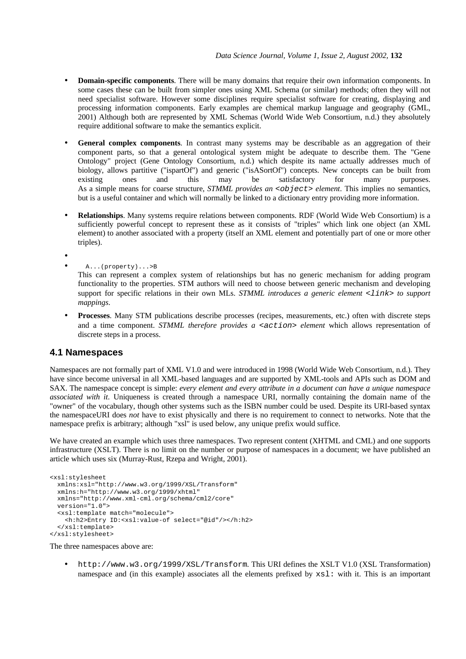- **Domain-specific components**. There will be many domains that require their own information components. In some cases these can be built from simpler ones using XML Schema (or similar) methods; often they will not need specialist software. However some disciplines require specialist software for creating, displaying and processing information components. Early examples are chemical markup language and geography (GML, 2001) Although both are represented by XML Schemas (World Wide Web Consortium, n.d.) they absolutely require additional software to make the semantics explicit.
- General complex components. In contrast many systems may be describable as an aggregation of their component parts, so that a general ontological system might be adequate to describe them. The "Gene Ontology" project (Gene Ontology Consortium, n.d.) which despite its name actually addresses much of biology, allows partitive ("ispartOf") and generic ("isASortOf") concepts. New concepts can be built from existing ones and this may be satisfactory for many purposes. As a simple means for coarse structure, *STMML provides an <object> element*. This implies no semantics, but is a useful container and which will normally be linked to a dictionary entry providing more information.
- **Relationships**. Many systems require relations between components. RDF (World Wide Web Consortium) is a sufficiently powerful concept to represent these as it consists of "triples" which link one object (an XML element) to another associated with a property (itself an XML element and potentially part of one or more other triples).

•

- A...(property)...>B
	- This can represent a complex system of relationships but has no generic mechanism for adding program functionality to the properties. STM authors will need to choose between generic mechanism and developing support for specific relations in their own MLs. *STMML introduces a generic element <link> to support mappings*.
- **Processes**. Many STM publications describe processes (recipes, measurements, etc.) often with discrete steps and a time component. *STMML therefore provides a <action> element* which allows representation of discrete steps in a process.

## **4.1 Namespaces**

Namespaces are not formally part of XML V1.0 and were introduced in 1998 (World Wide Web Consortium, n.d.). They have since become universal in all XML-based languages and are supported by XML-tools and APIs such as DOM and SAX. The namespace concept is simple: *every element and every attribute in a document can have a unique namespace associated with it*. Uniqueness is created through a namespace URI, normally containing the domain name of the "owner" of the vocabulary, though other systems such as the ISBN number could be used. Despite its URI-based syntax the namespaceURI does *not* have to exist physically and there is no requirement to connect to networks. Note that the namespace prefix is arbitrary; although "xsl" is used below, any unique prefix would suffice.

We have created an example which uses three namespaces. Two represent content (XHTML and CML) and one supports infrastructure (XSLT). There is no limit on the number or purpose of namespaces in a document; we have published an article which uses six (Murray-Rust, Rzepa and Wright, 2001).

```
<xsl:stylesheet
  xmlns:xsl="http://www.w3.org/1999/XSL/Transform"
  xmlns:h="http://www.w3.org/1999/xhtml"
  xmlns="http://www.xml-cml.org/schema/cml2/core"
  version="1.0">
   <xsl:template match="molecule">
     <h:h2>Entry ID:<xsl:value-of select="@id"/></h:h2>
   </xsl:template>
</xsl:stylesheet>
```
The three namespaces above are:

• http://www.w3.org/1999/XSL/Transform. This URI defines the XSLT V1.0 (XSL Transformation) namespace and (in this example) associates all the elements prefixed by xsl: with it. This is an important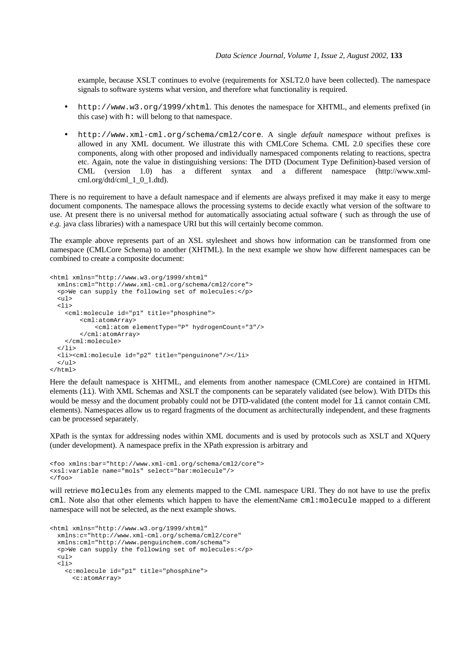example, because XSLT continues to evolve (requirements for XSLT2.0 have been collected). The namespace signals to software systems what version, and therefore what functionality is required.

- http://www.w3.org/1999/xhtml. This denotes the namespace for XHTML, and elements prefixed (in this case) with h: will belong to that namespace.
- http://www.xml-cml.org/schema/cml2/core. A single *default namespace* without prefixes is allowed in any XML document. We illustrate this with CMLCore Schema. CML 2.0 specifies these core components, along with other proposed and individually namespaced components relating to reactions, spectra etc. Again, note the value in distinguishing versions: The DTD (Document Type Definition)-based version of CML (version 1.0) has a different syntax and a different namespace (http://www.xmlcml.org/dtd/cml\_1\_0\_1.dtd).

There is no requirement to have a default namespace and if elements are always prefixed it may make it easy to merge document components. The namespace allows the processing systems to decide exactly what version of the software to use. At present there is no universal method for automatically associating actual software ( such as through the use of *e.g.* java class libraries) with a namespace URI but this will certainly become common.

The example above represents part of an XSL stylesheet and shows how information can be transformed from one namespace (CMLCore Schema) to another (XHTML). In the next example we show how different namespaces can be combined to create a composite document:

```
<html xmlns="http://www.w3.org/1999/xhtml"
   xmlns:cml="http://www.xml-cml.org/schema/cml2/core">
   <p>We can supply the following set of molecules:</p>
   <ul>
  \langleli\rangle <cml:molecule id="p1" title="phosphine">
         <cml:atomArray>
             <cml:atom elementType="P" hydrogenCount="3"/>
         </cml:atomArray>
     </cml:molecule>
  2/115 <li><cml:molecule id="p2" title="penguinone"/></li>
  \langle 111 \rangle</html>
```
Here the default namespace is XHTML, and elements from another namespace (CMLCore) are contained in HTML elements (li). With XML Schemas and XSLT the components can be separately validated (see below). With DTDs this would be messy and the document probably could not be DTD-validated (the content model for li cannot contain CML elements). Namespaces allow us to regard fragments of the document as architecturally independent, and these fragments can be processed separately.

XPath is the syntax for addressing nodes within XML documents and is used by protocols such as XSLT and XQuery (under development). A namespace prefix in the XPath expression is arbitrary and

```
<foo xmlns:bar="http://www.xml-cml.org/schema/cml2/core">
<xsl:variable name="mols" select="bar:molecule"/>
\epsilon/foos
```
will retrieve molecules from any elements mapped to the CML namespace URI. They do not have to use the prefix cml. Note also that other elements which happen to have the elementName cml:molecule mapped to a different namespace will not be selected, as the next example shows.

```
<html xmlns="http://www.w3.org/1999/xhtml"
  xmlns:c="http://www.xml-cml.org/schema/cml2/core"
  xmlns:cml="http://www.penguinchem.com/schema">
   <p>We can supply the following set of molecules:</p>
  \leq 11<115 <c:molecule id="p1" title="phosphine">
       <c:atomArray>
```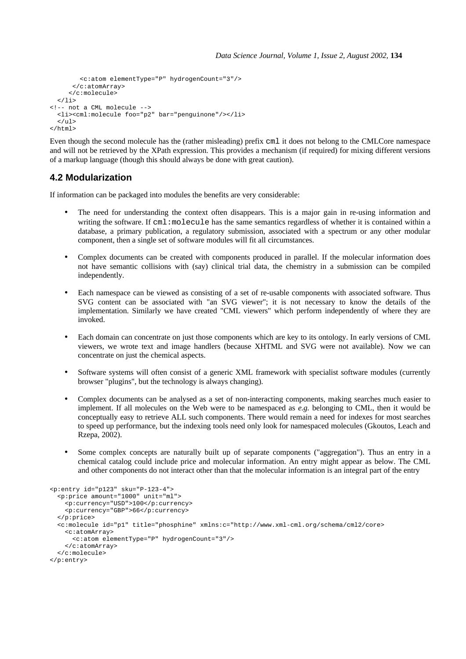```
 <c:atom elementType="P" hydrogenCount="3"/>
       </c:atomArray>
      </c:molecule>
  \langle/li>
<!-- not a CML molecule -->
   <li><cml:molecule foo="p2" bar="penguinone"/></li>
  2/11</html>
```
Even though the second molecule has the (rather misleading) prefix cml it does not belong to the CMLCore namespace and will not be retrieved by the XPath expression. This provides a mechanism (if required) for mixing different versions of a markup language (though this should always be done with great caution).

# **4.2 Modularization**

If information can be packaged into modules the benefits are very considerable:

- The need for understanding the context often disappears. This is a major gain in re-using information and writing the software. If cml:molecule has the same semantics regardless of whether it is contained within a database, a primary publication, a regulatory submission, associated with a spectrum or any other modular component, then a single set of software modules will fit all circumstances.
- Complex documents can be created with components produced in parallel. If the molecular information does not have semantic collisions with (say) clinical trial data, the chemistry in a submission can be compiled independently.
- Each namespace can be viewed as consisting of a set of re-usable components with associated software. Thus SVG content can be associated with "an SVG viewer"; it is not necessary to know the details of the implementation. Similarly we have created "CML viewers" which perform independently of where they are invoked.
- Each domain can concentrate on just those components which are key to its ontology. In early versions of CML viewers, we wrote text and image handlers (because XHTML and SVG were not available). Now we can concentrate on just the chemical aspects.
- Software systems will often consist of a generic XML framework with specialist software modules (currently browser "plugins", but the technology is always changing).
- Complex documents can be analysed as a set of non-interacting components, making searches much easier to implement. If all molecules on the Web were to be namespaced as *e.g.* belonging to CML, then it would be conceptually easy to retrieve ALL such components. There would remain a need for indexes for most searches to speed up performance, but the indexing tools need only look for namespaced molecules (Gkoutos, Leach and Rzepa, 2002).
- Some complex concepts are naturally built up of separate components ("aggregation"). Thus an entry in a chemical catalog could include price and molecular information. An entry might appear as below. The CML and other components do not interact other than that the molecular information is an integral part of the entry

```
<p:entry id="p123" sku="P-123-4">
   <p:price amount="1000" unit="ml">
    <p:currency="USD">100</p:currency>
     <p:currency="GBP">66</p:currency>
   </p:price>
   <c:molecule id="p1" title="phosphine" xmlns:c="http://www.xml-cml.org/schema/cml2/core>
     <c:atomArray>
      <c:atom elementType="P" hydrogenCount="3"/>
     </c:atomArray>
   </c:molecule>
</p:entry>
```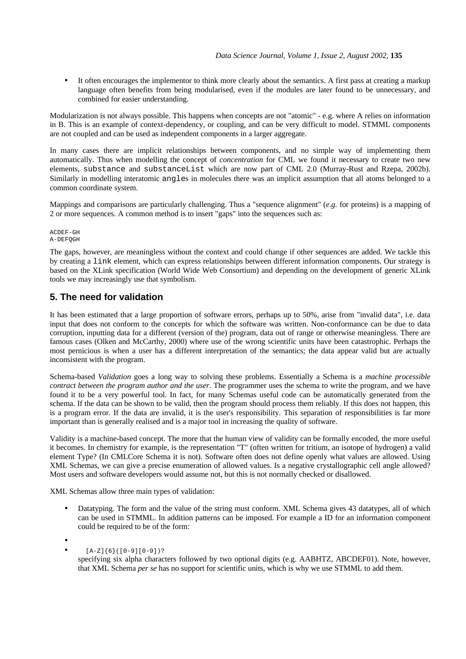• It often encourages the implementor to think more clearly about the semantics. A first pass at creating a markup language often benefits from being modularised, even if the modules are later found to be unnecessary, and combined for easier understanding.

Modularization is not always possible. This happens when concepts are not "atomic" - e.g. where A relies on information in B. This is an example of context-dependency, or coupling, and can be very difficult to model. STMML components are not coupled and can be used as independent components in a larger aggregate.

In many cases there are implicit relationships between components, and no simple way of implementing them automatically. Thus when modelling the concept of *concentration* for CML we found it necessary to create two new elements, substance and substanceList which are now part of CML 2.0 (Murray-Rust and Rzepa, 2002b). Similarly in modelling interatomic angles in molecules there was an implicit assumption that all atoms belonged to a common coordinate system.

Mappings and comparisons are particularly challenging. Thus a "sequence alignment" (*e.g.* for proteins) is a mapping of 2 or more sequences. A common method is to insert "gaps" into the sequences such as:

ACDEF-GH A-DEFQGH

The gaps, however, are meaningless without the context and could change if other sequences are added. We tackle this by creating a link element, which can express relationships between different information components. Our strategy is based on the XLink specification (World Wide Web Consortium) and depending on the development of generic XLink tools we may increasingly use that symbolism.

# **5. The need for validation**

It has been estimated that a large proportion of software errors, perhaps up to 50%, arise from "invalid data", i.e. data input that does not conform to the concepts for which the software was written. Non-conformance can be due to data corruption, inputting data for a different (version of the) program, data out of range or otherwise meaningless. There are famous cases (Olken and McCarthy, 2000) where use of the wrong scientific units have been catastrophic. Perhaps the most pernicious is when a user has a different interpretation of the semantics; the data appear valid but are actually inconsistent with the program.

Schema-based *Validation* goes a long way to solving these problems. Essentially a Schema is a *machine processible contract between the program author and the user*. The programmer uses the schema to write the program, and we have found it to be a very powerful tool. In fact, for many Schemas useful code can be automatically generated from the schema. If the data can be shown to be valid, then the program should process them reliably. If this does not happen, this is a program error. If the data are invalid, it is the user's responsibility. This separation of responsibilities is far more important than is generally realised and is a major tool in increasing the quality of software.

Validity is a machine-based concept. The more that the human view of validity can be formally encoded, the more useful it becomes. In chemistry for example, is the representation "T" (often written for tritium, an isotope of hydrogen) a valid element Type? (In CMLCore Schema it is not). Software often does not define openly what values are allowed. Using XML Schemas, we can give a precise enumeration of allowed values. Is a negative crystallographic cell angle allowed? Most users and software developers would assume not, but this is not normally checked or disallowed.

XML Schemas allow three main types of validation:

• Datatyping. The form and the value of the string must conform. XML Schema gives 43 datatypes, all of which can be used in STMML. In addition patterns can be imposed. For example a ID for an information component could be required to be of the form:

•

•  $[A-Z]{6}([0-9][0-9])$ ?

specifying six alpha characters followed by two optional digits (e.g. AABHTZ, ABCDEF01). Note, however, that XML Schema *per se* has no support for scientific units, which is why we use STMML to add them.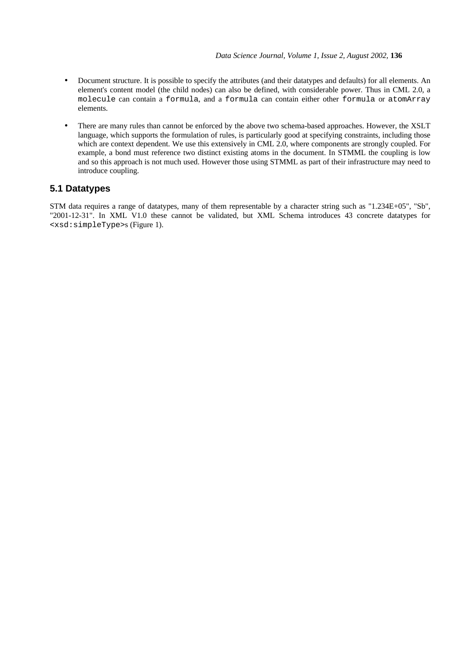- Document structure. It is possible to specify the attributes (and their datatypes and defaults) for all elements. An element's content model (the child nodes) can also be defined, with considerable power. Thus in CML 2.0, a molecule can contain a formula, and a formula can contain either other formula or atomArray elements.
- There are many rules than cannot be enforced by the above two schema-based approaches. However, the XSLT language, which supports the formulation of rules, is particularly good at specifying constraints, including those which are context dependent. We use this extensively in CML 2.0, where components are strongly coupled. For example, a bond must reference two distinct existing atoms in the document. In STMML the coupling is low and so this approach is not much used. However those using STMML as part of their infrastructure may need to introduce coupling.

# **5.1 Datatypes**

STM data requires a range of datatypes, many of them representable by a character string such as "1.234E+05", "Sb", "2001-12-31". In XML V1.0 these cannot be validated, but XML Schema introduces 43 concrete datatypes for <xsd:simpleType>s (Figure 1).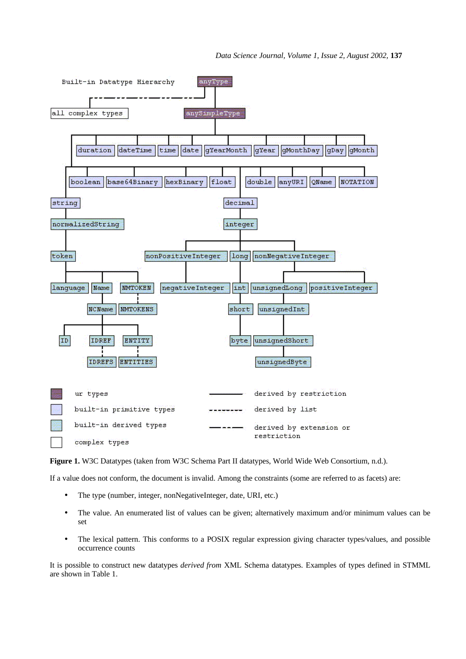

**Figure 1.** W3C Datatypes (taken from W3C Schema Part II datatypes, World Wide Web Consortium, n.d.).

If a value does not conform, the document is invalid. Among the constraints (some are referred to as facets) are:

- The type (number, integer, nonNegativeInteger, date, URI, etc.)
- The value. An enumerated list of values can be given; alternatively maximum and/or minimum values can be set
- The lexical pattern. This conforms to a POSIX regular expression giving character types/values, and possible occurrence counts

It is possible to construct new datatypes *derived from* XML Schema datatypes. Examples of types defined in STMML are shown in Table 1.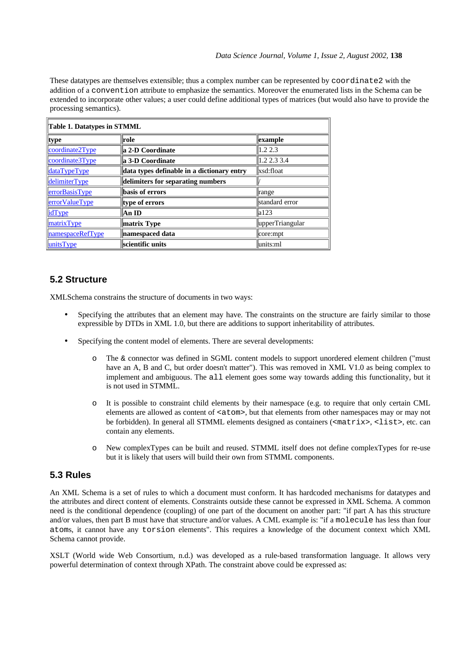These datatypes are themselves extensible; thus a complex number can be represented by coordinate2 with the addition of a convention attribute to emphasize the semantics. Moreover the enumerated lists in the Schema can be extended to incorporate other values; a user could define additional types of matrices (but would also have to provide the processing semantics).

| <b>Table 1. Datatypes in STMML</b> |                                            |                 |  |  |
|------------------------------------|--------------------------------------------|-----------------|--|--|
| type                               | role                                       | example         |  |  |
| coordinate2Type                    | la 2-D Coordinate                          | 1.22.3          |  |  |
| coordinate3Type                    | a 3-D Coordinate                           | 1.22.33.4       |  |  |
| dataTypeType                       | data types definable in a dictionary entry | xsd:float       |  |  |
| delimiterType                      | delimiters for separating numbers          |                 |  |  |
| errorBasisType                     | basis of errors                            | $\ $ range      |  |  |
| <b>errorValueType</b>              | type of errors                             | standard error  |  |  |
| idType                             | An ID                                      | a123            |  |  |
| matrixType                         | matrix Type                                | upperTriangular |  |  |
| namespaceRefType                   | namespaced data                            | core:mpt        |  |  |
| unitsType                          | scientific units                           | lunits:ml       |  |  |

# **5.2 Structure**

XMLSchema constrains the structure of documents in two ways:

- Specifying the attributes that an element may have. The constraints on the structure are fairly similar to those expressible by DTDs in XML 1.0, but there are additions to support inheritability of attributes.
- Specifying the content model of elements. There are several developments:
	- o The & connector was defined in SGML content models to support unordered element children ("must have an A, B and C, but order doesn't matter"). This was removed in XML V1.0 as being complex to implement and ambiguous. The all element goes some way towards adding this functionality, but it is not used in STMML.
	- o It is possible to constraint child elements by their namespace (e.g. to require that only certain CML elements are allowed as content of  $\leq$  atom>, but that elements from other namespaces may or may not be forbidden). In general all STMML elements designed as containers (<matrix>, <list>, etc. can contain any elements.
	- o New complexTypes can be built and reused. STMML itself does not define complexTypes for re-use but it is likely that users will build their own from STMML components.

# **5.3 Rules**

An XML Schema is a set of rules to which a document must conform. It has hardcoded mechanisms for datatypes and the attributes and direct content of elements. Constraints outside these cannot be expressed in XML Schema. A common need is the conditional dependence (coupling) of one part of the document on another part: "if part A has this structure and/or values, then part B must have that structure and/or values. A CML example is: "if a molecule has less than four atoms, it cannot have any torsion elements". This requires a knowledge of the document context which XML Schema cannot provide.

XSLT (World wide Web Consortium, n.d.) was developed as a rule-based transformation language. It allows very powerful determination of context through XPath. The constraint above could be expressed as: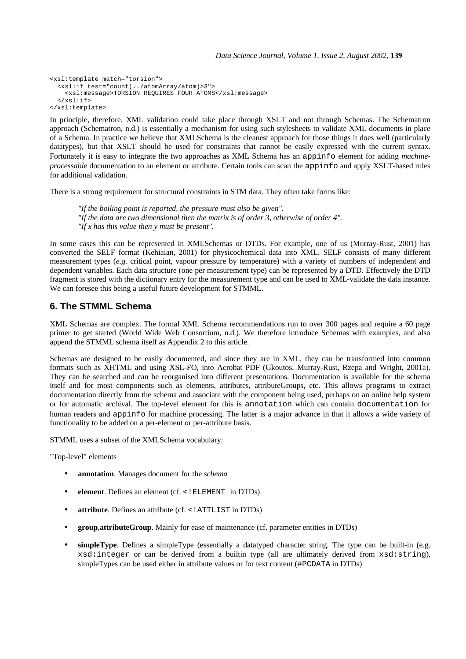```
<xsl:template match="torsion">
 <xsl:if test="count(../atomArray/atom)>3">
 <xsl:message>TORSION REQUIRES FOUR ATOMS</xsl:message>
  \langle xsl:if>
</xsl:template>
```
In principle, therefore, XML validation could take place through XSLT and not through Schemas. The Schematron approach (Schematron, n.d.) is essentially a mechanism for using such stylesheets to validate XML documents in place of a Schema. In practice we believe that XMLSchema is the cleanest approach for those things it does well (particularly datatypes), but that XSLT should be used for constraints that cannot be easily expressed with the current syntax. Fortunately it is easy to integrate the two approaches as XML Schema has an appinfo element for adding *machineprocessable* documentation to an element or attribute. Certain tools can scan the appinfo and apply XSLT-based rules for additional validation.

There is a strong requirement for structural constraints in STM data. They often take forms like:

*"If the boiling point is reported, the pressure must also be given". "If the data are two dimensional then the matrix is of order 3, otherwise of order 4". "If x has this value then y must be present".*

In some cases this can be represented in XMLSchemas or DTDs. For example, one of us (Murray-Rust, 2001) has converted the SELF format (Kehiaian, 2001) for physicochemical data into XML. SELF consists of many different measurement types (*e.g.* critical point, vapour pressure by temperature) with a variety of numbers of independent and dependent variables. Each data structure (one per measurement type) can be represented by a DTD. Effectively the DTD fragment is stored with the dictionary entry for the measurement type and can be used to XML-validate the data instance. We can foresee this being a useful future development for STMML.

## **6. The STMML Schema**

XML Schemas are complex. The formal XML Schema recommendations run to over 300 pages and require a 60 page primer to get started (World Wide Web Consortium, n.d.). We therefore introduce Schemas with examples, and also append the STMML schema itself as Appendix 2 to this article.

Schemas are designed to be easily documented, and since they are in XML, they can be transformed into common formats such as XHTML and using XSL-FO, into Acrobat PDF (Gkoutos, Murray-Rust, Rzepa and Wright, 2001a). They can be searched and can be reorganised into different presentations. Documentation is available for the schema itself and for most components such as elements, attributes, attributeGroups, etc. This allows programs to extract documentation directly from the schema and associate with the component being used, perhaps on an online help system or for automatic archival. The top-level element for this is annotation which can contain documentation for human readers and appinfo for machine processing. The latter is a major advance in that it allows a wide variety of functionality to be added on a per-element or per-attribute basis.

STMML uses a subset of the XMLSchema vocabulary:

"Top-level" elements

- **annotation**. Manages document for the *schema*
- **element**. Defines an element (cf. <! ELEMENT in DTDs)
- **attribute**. Defines an attribute (cf. <!ATTLIST in DTDs)
- **group**,**attributeGroup**. Mainly for ease of maintenance (cf. parameter entities in DTDs)
- simpleType. Defines a simpleType (essentially a datatyped character string. The type can be built-in (e.g. xsd:integer or can be derived from a builtin type (all are ultimately derived from xsd:string). simpleTypes can be used either in attribute values or for text content (#PCDATA in DTDs)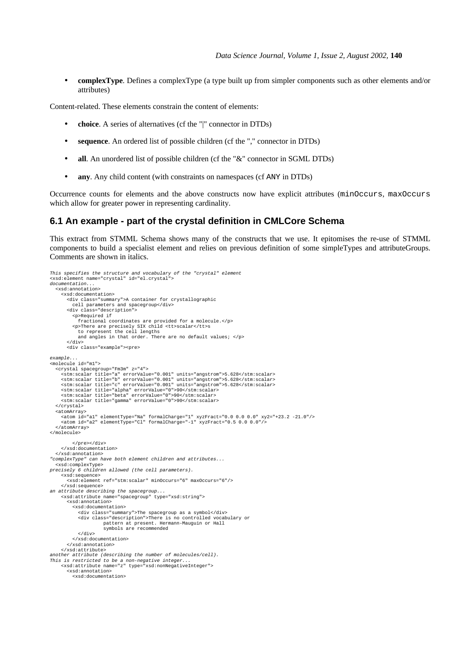• **complexType**. Defines a complexType (a type built up from simpler components such as other elements and/or attributes)

Content-related. These elements constrain the content of elements:

- **choice**. A series of alternatives (cf the "|" connector in DTDs)
- **sequence**. An ordered list of possible children (cf the "," connector in DTDs)
- **all**. An unordered list of possible children (cf the "&" connector in SGML DTDs)
- **any**. Any child content (with constraints on namespaces (cf ANY in DTDs)

Occurrence counts for elements and the above constructs now have explicit attributes (minOccurs, maxOccurs which allow for greater power in representing cardinality.

## **6.1 An example - part of the crystal definition in CMLCore Schema**

This extract from STMML Schema shows many of the constructs that we use. It epitomises the re-use of STMML components to build a specialist element and relies on previous definition of some simpleTypes and attributeGroups. Comments are shown in italics.

```
This specifies the structure and vocabulary of the "crystal" element
<xsd:element name="crystal" id="el.crystal">
documentation...
   <xsd:annotation>
      <xsd:documentation>
 <div class="summary">A container for crystallographic
 cell parameters and spacegroup</div>
 <div class="description">
           <p>Required if
              fractional coordinates are provided for a molecule.</p>
 <p>There are precisely SIX child <tt>scalar</tt>s
 to represent the cell lengths
             and angles in that order. There are no default values; </p>
         </div>
         <div class="example"><pre>
example...
<molecule id="m1">
    <crystal spacegroup="Fm3m" z="4">
stm:scalar title="a" errorValue="0.001" units="angstrom">5.628</stm:scalar><<br>stm:scalar title="b" errorValue="0.001" units="angstrom">5.628</stm:scalar><br><stm:scalar title="c" errorValue="0.001" units="angstrom">5.628</stm:
 <stm:scalar title="alpha" errorValue="0">90</stm:scalar>
 <stm:scalar title="beta" errorValue="0">90</stm:scalar>
 <stm:scalar title="gamma" errorValue="0">90</stm:scalar>
    </crystal>
   <atomArray>
 <atom id="a1" elementType="Na" formalCharge="1" xyzFract="0.0 0.0 0.0" xy2="+23.2 -21.0"/>
 <atom id="a2" elementType="Cl" formalCharge="-1" xyzFract="0.5 0.0 0.0"/>
   </atomArray>
</molecule>
            </pre></div>
      </xsd:documentation>
   </xsd:annotation>
"complexType" can have both element children and attributes...
   <xsd:complexType>
precisely 6 children allowed (the cell parameters).
      <xsd:sequence>
         <xsd:element ref="stm:scalar" minOccurs="6" maxOccurs="6"/>
      </xsd:sequence>
an attribute describing the spacegroup...
      <xsd:attribute name="spacegroup" type="xsd:string">
         <xsd:annotation>
            <xsd:documentation>
              <div class="summary">The spacegroup as a symbol</div>
 <div class="description">There is no controlled vocabulary or
 pattern at present. Hermann-Mauguin or Hall
                           symbols are recommended
              </div>
           </xsd:documentation>
         </xsd:annotation>
      </xsd:attribute>
another attribute (describing the number of molecules/cell).
This is restricted to be a non-negative integer...
      <xsd:attribute name="z" type="xsd:nonNegativeInteger">
         <xsd:annotation>
           <xsd:documentation>
```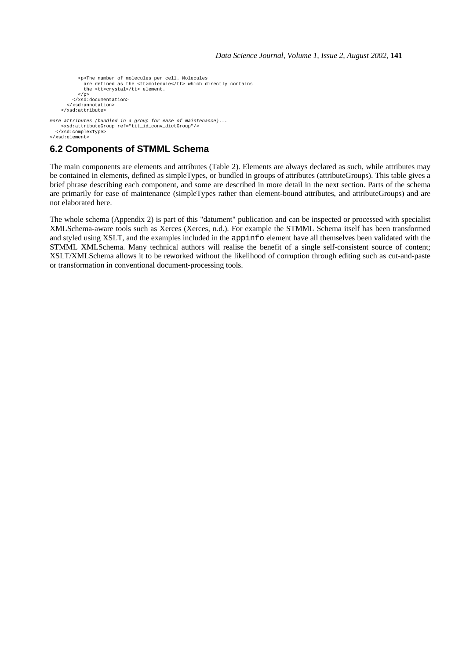```
 <p>The number of molecules per cell. Molecules
 are defined as the <tt>molecule</tt> which directly contains
                the <tt>crystal</tt> element.
              \langle p \rangle </xsd:documentation>
         </xsd:annotation>
      </xsd:attribute>
more attributes (bundled in a group for ease of maintenance)...
 <xsd:attributeGroup ref="tit_id_conv_dictGroup"/>
    </xsd:complexType>
```

```
</xsd:element>
```
# **6.2 Components of STMML Schema**

The main components are elements and attributes (Table 2). Elements are always declared as such, while attributes may be contained in elements, defined as simpleTypes, or bundled in groups of attributes (attributeGroups). This table gives a brief phrase describing each component, and some are described in more detail in the next section. Parts of the schema are primarily for ease of maintenance (simpleTypes rather than element-bound attributes, and attributeGroups) and are not elaborated here.

The whole schema (Appendix 2) is part of this "datument" publication and can be inspected or processed with specialist XMLSchema-aware tools such as Xerces (Xerces, n.d.). For example the STMML Schema itself has been transformed and styled using XSLT, and the examples included in the appinfo element have all themselves been validated with the STMML XMLSchema. Many technical authors will realise the benefit of a single self-consistent source of content; XSLT/XMLSchema allows it to be reworked without the likelihood of corruption through editing such as cut-and-paste or transformation in conventional document-processing tools.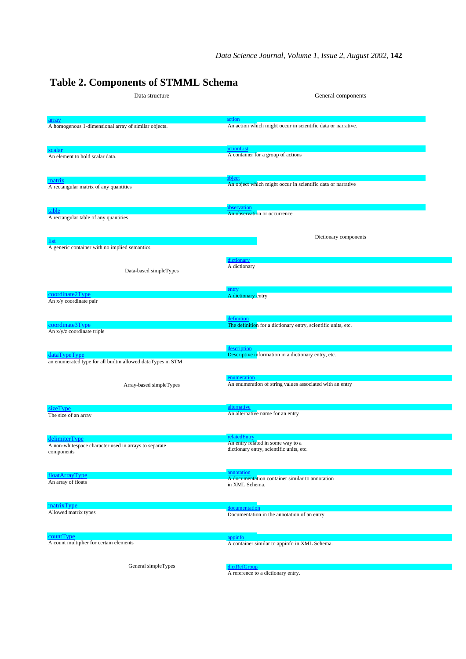# **Table 2. Components of STMML Schema**

| Data structure                                              | General components                                                      |  |  |
|-------------------------------------------------------------|-------------------------------------------------------------------------|--|--|
|                                                             |                                                                         |  |  |
|                                                             | action                                                                  |  |  |
| A homogenous 1-dimensional array of similar objects.        | An action which might occur in scientific data or narrative.            |  |  |
|                                                             |                                                                         |  |  |
|                                                             |                                                                         |  |  |
| scalar                                                      | actionList<br>A container for a group of actions                        |  |  |
| An element to hold scalar data.                             |                                                                         |  |  |
|                                                             |                                                                         |  |  |
| matrix                                                      | object                                                                  |  |  |
| A rectangular matrix of any quantities                      | An object which might occur in scientific data or narrative             |  |  |
|                                                             |                                                                         |  |  |
|                                                             | observation                                                             |  |  |
| table<br>A rectangular table of any quantities              | An observation or occurrence                                            |  |  |
|                                                             |                                                                         |  |  |
|                                                             |                                                                         |  |  |
| list                                                        | Dictionary components                                                   |  |  |
| A generic container with no implied semantics               |                                                                         |  |  |
|                                                             | dictionary                                                              |  |  |
| Data-based simpleTypes                                      | A dictionary                                                            |  |  |
|                                                             |                                                                         |  |  |
|                                                             |                                                                         |  |  |
| coordinate2Type                                             | entry<br>A dictionary entry                                             |  |  |
| An x/y coordinate pair                                      |                                                                         |  |  |
|                                                             |                                                                         |  |  |
| coordinate3Type                                             | definition                                                              |  |  |
| An x/y/z coordinate triple                                  | The definition for a dictionary entry, scientific units, etc.           |  |  |
|                                                             |                                                                         |  |  |
|                                                             | description                                                             |  |  |
| dataTypeType                                                | Descriptive information in a dictionary entry, etc.                     |  |  |
| an enumerated type for all builtin allowed dataTypes in STM |                                                                         |  |  |
|                                                             |                                                                         |  |  |
| Array-based simpleTypes                                     | enumeration<br>An enumeration of string values associated with an entry |  |  |
|                                                             |                                                                         |  |  |
|                                                             |                                                                         |  |  |
| sizeType                                                    | alternative<br>An alternative name for an entry                         |  |  |
| The size of an array                                        |                                                                         |  |  |
|                                                             |                                                                         |  |  |
| delimiterType                                               | relatedEntry                                                            |  |  |
| A non-whitespace character used in arrays to separate       | An entry related in some way to a                                       |  |  |
| components                                                  | dictionary entry, scientific units, etc.                                |  |  |
|                                                             |                                                                         |  |  |
|                                                             | annotation                                                              |  |  |
| floatArrayType<br>An array of floats                        | A documentation container similar to annotation                         |  |  |
|                                                             | in XML Schema.                                                          |  |  |
|                                                             |                                                                         |  |  |
| matrixType                                                  | documentation                                                           |  |  |
| Allowed matrix types                                        | Documentation in the annotation of an entry                             |  |  |
|                                                             |                                                                         |  |  |
| countType                                                   | appinfo                                                                 |  |  |
| A count multiplier for certain elements                     | A container similar to appinfo in XML Schema.                           |  |  |
|                                                             |                                                                         |  |  |
|                                                             |                                                                         |  |  |
| General simpleTypes                                         | dictRefGroup                                                            |  |  |

General simpleTypes

A reference to a dictionary entry.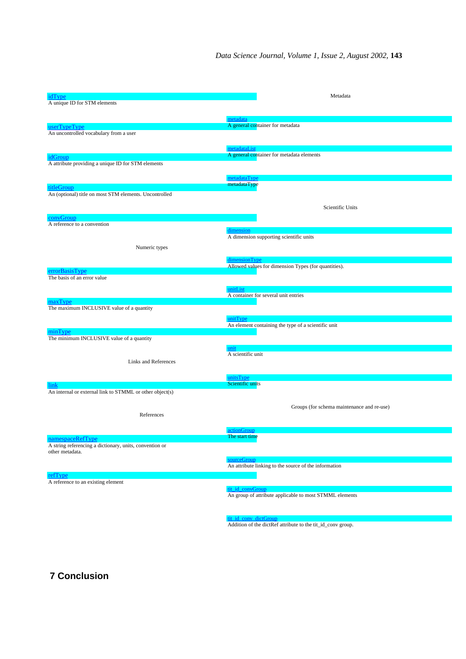| idType                                                   |                                                  | Metadata                                                    |
|----------------------------------------------------------|--------------------------------------------------|-------------------------------------------------------------|
| A unique ID for STM elements                             |                                                  |                                                             |
|                                                          |                                                  |                                                             |
|                                                          | metadata                                         |                                                             |
| userTypeType                                             | A general container for metadata                 |                                                             |
| An uncontrolled vocabulary from a user                   |                                                  |                                                             |
|                                                          |                                                  |                                                             |
|                                                          | metadataList                                     |                                                             |
| idGroup                                                  |                                                  | A general container for metadata elements                   |
| A attribute providing a unique ID for STM elements       |                                                  |                                                             |
|                                                          |                                                  |                                                             |
|                                                          | metadataType                                     |                                                             |
| titleGroup                                               | metadataType                                     |                                                             |
| An (optional) title on most STM elements. Uncontrolled   |                                                  |                                                             |
|                                                          |                                                  |                                                             |
|                                                          |                                                  | Scientific Units                                            |
| convGroup                                                |                                                  |                                                             |
| A reference to a convention                              |                                                  |                                                             |
|                                                          | dimension                                        |                                                             |
|                                                          | A dimension supporting scientific units          |                                                             |
| Numeric types                                            |                                                  |                                                             |
|                                                          |                                                  |                                                             |
|                                                          | dimensionType                                    |                                                             |
| errorBasisType                                           |                                                  | Allowed values for dimension Types (for quantities).        |
| The basis of an error value                              |                                                  |                                                             |
|                                                          |                                                  |                                                             |
|                                                          | unitList<br>A container for several unit entries |                                                             |
| maxType                                                  |                                                  |                                                             |
| The maximum INCLUSIVE value of a quantity                |                                                  |                                                             |
|                                                          |                                                  |                                                             |
|                                                          | unitType                                         | An element containing the type of a scientific unit         |
| minType                                                  |                                                  |                                                             |
| The minimum INCLUSIVE value of a quantity                |                                                  |                                                             |
|                                                          | unit                                             |                                                             |
|                                                          | A scientific unit                                |                                                             |
| Links and References                                     |                                                  |                                                             |
|                                                          |                                                  |                                                             |
|                                                          | unitsType                                        |                                                             |
| link                                                     | Scientific units                                 |                                                             |
| An internal or external link to STMML or other object(s) |                                                  |                                                             |
|                                                          |                                                  |                                                             |
|                                                          |                                                  | Groups (for schema maintenance and re-use)                  |
| References                                               |                                                  |                                                             |
|                                                          |                                                  |                                                             |
|                                                          | actionGroup                                      |                                                             |
| namespaceRefType                                         | The start time                                   |                                                             |
| A string referencing a dictionary, units, convention or  |                                                  |                                                             |
| other metadata.                                          |                                                  |                                                             |
|                                                          | sourceGroup                                      |                                                             |
|                                                          |                                                  | An attribute linking to the source of the information       |
| refType                                                  |                                                  |                                                             |
| A reference to an existing element                       |                                                  |                                                             |
|                                                          | tit_id_convGroup                                 | An group of attribute applicable to most STMML elements     |
|                                                          |                                                  |                                                             |
|                                                          |                                                  |                                                             |
|                                                          |                                                  |                                                             |
|                                                          | tit_id_conv_dictGroup                            | Addition of the dictRef attribute to the tit_id_conv group. |
|                                                          |                                                  |                                                             |

**7 Conclusion**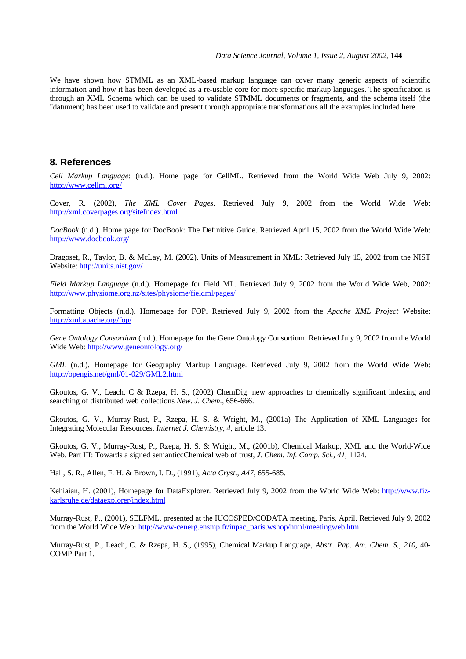We have shown how STMML as an XML-based markup language can cover many generic aspects of scientific information and how it has been developed as a re-usable core for more specific markup languages. The specification is through an XML Schema which can be used to validate STMML documents or fragments, and the schema itself (the "datument) has been used to validate and present through appropriate transformations all the examples included here.

## **8. References**

*Cell Markup Language*: (n.d.). Home page for CellML. Retrieved from the World Wide Web July 9, 2002: http://www.cellml.org/

Cover, R. (2002), *The XML Cover Pages*. Retrieved July 9, 2002 from the World Wide Web: http://xml.coverpages.org/siteIndex.html

*DocBook* (n.d.). Home page for DocBook: The Definitive Guide. Retrieved April 15, 2002 from the World Wide Web: http://www.docbook.org/

Dragoset, R., Taylor, B. & McLay, M. (2002). Units of Measurement in XML: Retrieved July 15, 2002 from the NIST Website: http://units.nist.gov/

*Field Markup Language* (n.d.). Homepage for Field ML. Retrieved July 9, 2002 from the World Wide Web, 2002: http://www.physiome.org.nz/sites/physiome/fieldml/pages/

Formatting Objects (n.d.). Homepage for FOP. Retrieved July 9, 2002 from the *Apache XML Project* Website: http://xml.apache.org/fop/

*Gene Ontology Consortium* (n.d.). Homepage for the Gene Ontology Consortium. Retrieved July 9, 2002 from the World Wide Web: http://www.geneontology.org/

*GML* (n.d.). Homepage for Geography Markup Language. Retrieved July 9, 2002 from the World Wide Web: http://opengis.net/gml/01-029/GML2.html

Gkoutos, G. V., Leach, C & Rzepa, H. S., (2002) ChemDig: new approaches to chemically significant indexing and searching of distributed web collections *New. J. Chem.,* 656-666.

Gkoutos, G. V., Murray-Rust, P., Rzepa, H. S. & Wright, M., (2001a) The Application of XML Languages for Integrating Molecular Resources, *Internet J. Chemistry, 4*, article 13.

Gkoutos, G. V., Murray-Rust, P., Rzepa, H. S. & Wright, M., (2001b), Chemical Markup, XML and the World-Wide Web. Part III: Towards a signed semanticcChemical web of trust, *J. Chem. Inf. Comp. Sci.*, *41*, 1124.

Hall, S. R., Allen, F. H. & Brown, I. D., (1991), *Acta Cryst.*, *A47*, 655-685.

Kehiaian, H. (2001), Homepage for DataExplorer. Retrieved July 9, 2002 from the World Wide Web: http://www.fizkarlsruhe.de/dataexplorer/index.html

Murray-Rust, P., (2001), SELFML, presented at the IUCOSPED/CODATA meeting, Paris, April. Retrieved July 9, 2002 from the World Wide Web: http://www-cenerg.ensmp.fr/iupac\_paris.wshop/html/meetingweb.htm

Murray-Rust, P., Leach, C. & Rzepa, H. S., (1995), Chemical Markup Language, *Abstr. Pap. Am. Chem. S.*, *210*, 40- COMP Part 1.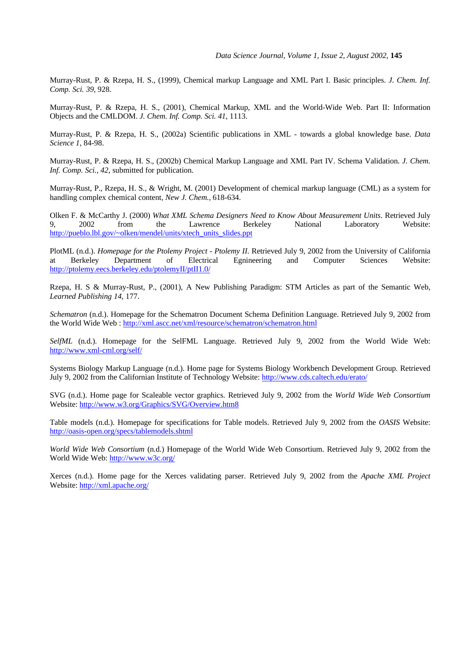Murray-Rust, P. & Rzepa, H. S., (1999), Chemical markup Language and XML Part I. Basic principles. *J. Chem. Inf. Comp. Sci. 39*, 928.

Murray-Rust, P. & Rzepa, H. S., (2001), Chemical Markup, XML and the World-Wide Web. Part II: Information Objects and the CMLDOM. *J. Chem. Inf. Comp. Sci. 41*, 1113.

Murray-Rust, P. & Rzepa, H. S., (2002a) Scientific publications in XML - towards a global knowledge base. *Data Science 1*, 84-98.

Murray-Rust, P. & Rzepa, H. S., (2002b) Chemical Markup Language and XML Part IV. Schema Validation. *J. Chem. Inf. Comp. Sci.*, *42*, submitted for publication.

Murray-Rust, P., Rzepa, H. S., & Wright, M. (2001) Development of chemical markup language (CML) as a system for handling complex chemical content, *New J. Chem.,* 618-634.

Olken F. & McCarthy J. (2000) *What XML Schema Designers Need to Know About Measurement Units*. Retrieved July 9, 2002 from the Lawrence Berkeley National Laboratory Website: http://pueblo.lbl.gov/~olken/mendel/units/xtech\_units\_slides.ppt

PlotML (n.d.). *Homepage for the Ptolemy Project - Ptolemy II*. Retrieved July 9, 2002 from the University of California at Berkeley Department of Electrical Egnineering and Computer Sciences Website: http://ptolemy.eecs.berkeley.edu/ptolemyII/ptII1.0/

Rzepa, H. S & Murray-Rust, P., (2001), A New Publishing Paradigm: STM Articles as part of the Semantic Web, *Learned Publishing 14*, 177.

*Schematron* (n.d.). Homepage for the Schematron Document Schema Definition Language. Retrieved July 9, 2002 from the World Wide Web : http://xml.ascc.net/xml/resource/schematron/schematron.html

*SelfML* (n.d.). Homepage for the SelFML Language. Retrieved July 9, 2002 from the World Wide Web: http://www.xml-cml.org/self/

Systems Biology Markup Language (n.d.). Home page for Systems Biology Workbench Development Group. Retrieved July 9, 2002 from the Californian Institute of Technology Website: http://www.cds.caltech.edu/erato/

SVG (n.d.). Home page for Scaleable vector graphics. Retrieved July 9, 2002 from the *World Wide Web Consortium* Website: http://www.w3.org/Graphics/SVG/Overview.htm8

Table models (n.d.). Homepage for specifications for Table models. Retrieved July 9, 2002 from the *OASIS* Website: http://oasis-open.org/specs/tablemodels.shtml

*World Wide Web Consortium* (n.d.) Homepage of the World Wide Web Consortium. Retrieved July 9, 2002 from the World Wide Web: http://www.w3c.org/

Xerces (n.d.). Home page for the Xerces validating parser. Retrieved July 9, 2002 from the *Apache XML Project* Website: http://xml.apache.org/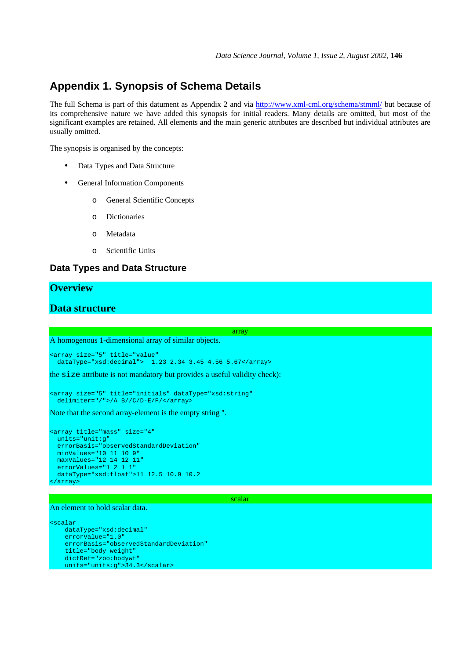# **Appendix 1. Synopsis of Schema Details**

The full Schema is part of this datument as Appendix 2 and via http://www.xml-cml.org/schema/stmml/ but because of its comprehensive nature we have added this synopsis for initial readers. Many details are omitted, but most of the significant examples are retained. All elements and the main generic attributes are described but individual attributes are usually omitted.

The synopsis is organised by the concepts:

- Data Types and Data Structure
- General Information Components
	- o General Scientific Concepts
	- o Dictionaries
	- o Metadata
	- o Scientific Units

## **Data Types and Data Structure**

## **Overview**

## **Data structure**

A homogenous 1-dimensional array of similar objects.

```
<array size="5" title="value"
  dataType="xsd:decimal"> 1.23 2.34 3.45 4.56 5.67</array>
```
the size attribute is not mandatory but provides a useful validity check):

```
<array size="5" title="initials" dataType="xsd:string"
 delimiter="/">/A B//C/D-E/F/</array>
```
Note that the second array-element is the empty string ''.

```
<array title="mass" size="4"
   units="unit:g"
  errorBasis="observedStandardDeviation"
  minValues="10 11 10 9"
  maxValues="12 14 12 11"
  errorValues="1 2 1 1"
  dataType="xsd:float">11 12.5 10.9 10.2
</array>
```
scalar

array

### An element to hold scalar data.

```
<scalar
    dataType="xsd:decimal"
 errorValue="1.0"
 errorBasis="observedStandardDeviation"
    title="body weight"
    dictRef="zoo:bodywt"
    units="units:g">34.3</scalar>
```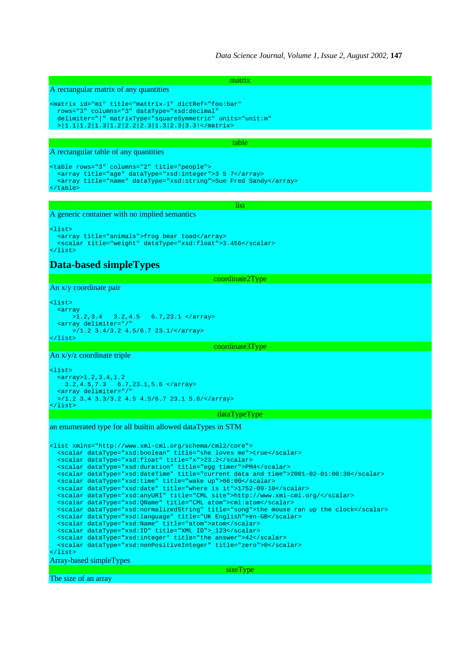*Data Science Journal, Volume 1, Issue 2, August 2002,* **147**

A rectangular matrix of any quantities

```
<matrix id="m1" title="mattrix-1" dictRef="foo:bar"
  rows="3" columns="3" dataType="xsd:decimal"
  delimiter="|" matrixType="squareSymmetric" units="unit:m"
  >|1.1|1.2|1.3|1.2|2.2|2.3|1.3|2.3|3.3!</matrix>
```
table

list

matrix

A rectangular table of any quantities

```
<table rows="3" columns="2" title="people">
 <array title="age" dataType="xsd:integer">3 5 7</array>
  <array title="name" dataType="xsd:string">Sue Fred Sandy</array>
</table>
```
A generic container with no implied semantics

<list> <array title="animals">frog bear toad</array> <scalar title="weight" dataType="xsd:float">3.456</scalar> </list>

# **Data-based simpleTypes**

coordinate2Type

An x/y coordinate pair

<list>  $\begin{array}{c} \text{array} \\ \text{array} \\ \text{2.3.4} \end{array}$  >1.2,3.4 3.2,4.5 6.7,23.1 </array> <array delimiter="  $>1.2$  3.4/3.2 4.5/6.7 23.1/</array> </list>

coordinate3Type

An x/y/z coordinate triple

```
<list>
  <array>1.2,3.4,1.2
 3.2,4.5,7.3 6.7,23.1,5.6 </array>
 <array delimiter="/"
 >/1.2 3.4 3.3/3.2 4.5 4.5/6.7 23.1 5.6/</array>
</list>
```
## dataTypeType

sizeType

an enumerated type for all builtin allowed dataTypes in STM

```
<list xmlns="http://www.xml-cml.org/schema/cml2/core">
 <scalar dataType="xsd:boolean" title="she loves me">true</scalar>
 <scalar dataType="xsd:float" title="x">23.2</scalar>
 <scalar dataType="xsd:duration" title="egg timer">PM4</scalar>
 <scalar dataType="xsd:dateTime" title="current data and time">2001-02-01:00:30</scalar>
  <scalar dataType="xsd:time" title="wake up">06:00</scalar>
 <scalar dataType="xsd:date" title="where is it">1752-09-10</scalar>
 <scalar dataType="xsd:anyURI" title="CML site">http://www.xml-cml.org/</scalar>
  <scalar dataType="xsd:QName" title="CML atom">cml:atom</scalar>
 <scalar dataType="xsd:normalizedString" title="song">the mouse ran up the clock</scalar>
 <scalar dataType="xsd:language" title="UK English">en-GB</scalar>
  <scalar dataType="xsd:Name" title="atom">atom</scalar>
  <scalar dataType="xsd:ID" title="XML ID">_123</scalar>
  <scalar dataType="xsd:integer" title="the answer">42</scalar>
  <scalar dataType="xsd:nonPositiveInteger" title="zero">0</scalar>
</list>
Array-based simpleTypes
```
The size of an array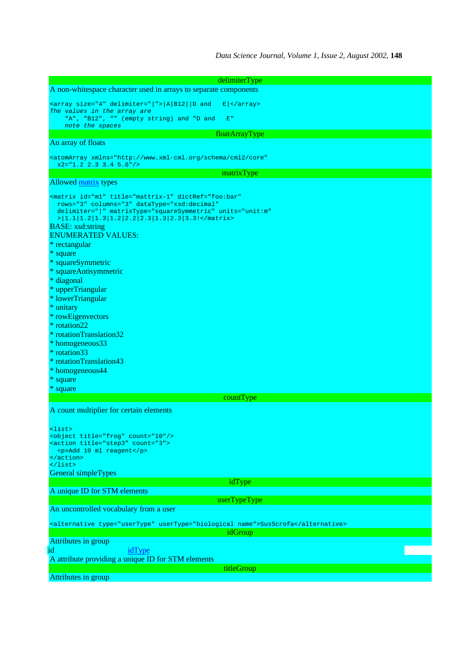| delimiterType                                                                                                                       |
|-------------------------------------------------------------------------------------------------------------------------------------|
| A non-whitespace character used in arrays to separate components                                                                    |
| <array delimiter="&lt;math&gt; &lt;/math&gt;" size="4"><math> A B12 </math>  D and<br/><math>E </math> </array>                     |
| The values in the array are                                                                                                         |
| "A", "B12", "" (empty string) and "D and<br>E''                                                                                     |
| note the spaces                                                                                                                     |
| floatArrayType                                                                                                                      |
| An array of floats                                                                                                                  |
| <atomarray <="" td="" xmlns="http://www.xml-cml.org/schema/cml2/core"></atomarray>                                                  |
| $x2 = "1.2 2.3 3.4 5.6"$                                                                                                            |
| matrixType                                                                                                                          |
| Allowed matrix types                                                                                                                |
|                                                                                                                                     |
| <matrix <="" dictref="foo:bar" id="m1" td="" title="mattrix-1"></matrix>                                                            |
| rows="3" columns="3" dataType="xsd:decimal"                                                                                         |
| delimiter=" " matrixType="squareSymmetric" units="unit:m"<br>$>$   1.1   1.2   1.3   1.2   2.2   2.3   1.3   2.3   3.3! < / matrix> |
| <b>BASE</b> : xsd:string                                                                                                            |
| <b>ENUMERATED VALUES:</b>                                                                                                           |
| * rectangular                                                                                                                       |
| * square                                                                                                                            |
| * squareSymmetric                                                                                                                   |
|                                                                                                                                     |
| * squareAntisymmetric                                                                                                               |
| * diagonal                                                                                                                          |
| * upperTriangular                                                                                                                   |
| * lowerTriangular                                                                                                                   |
| * unitary                                                                                                                           |
| * rowEigenvectors                                                                                                                   |
| * rotation22                                                                                                                        |
| * rotationTranslation32                                                                                                             |
| * homogeneous 33                                                                                                                    |
| * rotation 33                                                                                                                       |
| * rotationTranslation43                                                                                                             |
| * homogeneous44                                                                                                                     |
| * square                                                                                                                            |
| * square                                                                                                                            |
| countType                                                                                                                           |
| A count multiplier for certain elements                                                                                             |
|                                                                                                                                     |
|                                                                                                                                     |
| <list><br/><object count="10" title="frog"></object></list>                                                                         |
| <action count="3" title="step3"></action>                                                                                           |
| <p>Add 10 ml reagent</p>                                                                                                            |
| $\alpha$ /action>                                                                                                                   |
| $\langle$ list>                                                                                                                     |
| General simpleTypes                                                                                                                 |
| idType                                                                                                                              |
| A unique ID for STM elements                                                                                                        |
| userTypeType                                                                                                                        |
| An uncontrolled vocabulary from a user                                                                                              |
| <alternative type="userType" usertype="biological name">SusScrofa</alternative>                                                     |
| idGroup                                                                                                                             |
| Attributes in group                                                                                                                 |
| idType<br>id                                                                                                                        |
| A attribute providing a unique ID for STM elements                                                                                  |
| titleGroup                                                                                                                          |
| Attributes in group                                                                                                                 |
|                                                                                                                                     |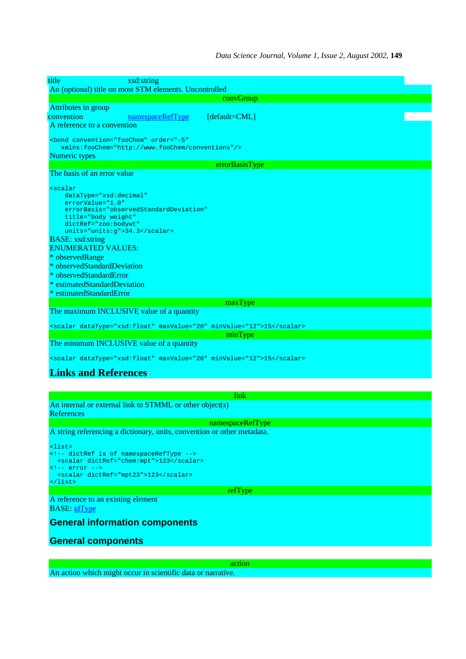| title<br>xsd:string                                                                                                                                                                                                                                                                                                                                                                  |
|--------------------------------------------------------------------------------------------------------------------------------------------------------------------------------------------------------------------------------------------------------------------------------------------------------------------------------------------------------------------------------------|
| An (optional) title on most STM elements. Uncontrolled                                                                                                                                                                                                                                                                                                                               |
| convGroup<br>Attributes in group                                                                                                                                                                                                                                                                                                                                                     |
| convention<br>namespaceRefType<br>[default=CML]                                                                                                                                                                                                                                                                                                                                      |
| A reference to a convention                                                                                                                                                                                                                                                                                                                                                          |
| <bond <br="" convention="fooChem" order="-5">xmlns:fooChem="http://www.fooChem/conventions"/&gt;</bond>                                                                                                                                                                                                                                                                              |
| Numeric types                                                                                                                                                                                                                                                                                                                                                                        |
| errorBasisType                                                                                                                                                                                                                                                                                                                                                                       |
| The basis of an error value                                                                                                                                                                                                                                                                                                                                                          |
| <i>scalar</i><br>$dataType = "xsd: decimal"$<br>$errorValue="1.0"$<br>errorBasis="observedStandardDeviation"<br>title="body weight"<br>dictRef="zoo:bodywt"<br>units="units:g">34.3<br><b>BASE:</b> xsd:string<br><b>ENUMERATED VALUES:</b><br>* observedRange<br>* observedStandardDeviation<br>* observedStandardError<br>* estimatedStandardDeviation<br>* estimatedStandardError |
| maxType                                                                                                                                                                                                                                                                                                                                                                              |
| The maximum INCLUSIVE value of a quantity                                                                                                                                                                                                                                                                                                                                            |
| <scalar datatype="xsd:float" maxvalue="20" minvalue="12">15</scalar>                                                                                                                                                                                                                                                                                                                 |
| minType                                                                                                                                                                                                                                                                                                                                                                              |
| The minimum INCLUSIVE value of a quantity                                                                                                                                                                                                                                                                                                                                            |
| <scalar datatype="xsd:float" maxvalue="20" minvalue="12">15</scalar>                                                                                                                                                                                                                                                                                                                 |
| <b>Links and References</b>                                                                                                                                                                                                                                                                                                                                                          |
|                                                                                                                                                                                                                                                                                                                                                                                      |
| link                                                                                                                                                                                                                                                                                                                                                                                 |
| An internal or external link to STMML or other object(s)                                                                                                                                                                                                                                                                                                                             |
| References                                                                                                                                                                                                                                                                                                                                                                           |
| namespaceRefType                                                                                                                                                                                                                                                                                                                                                                     |
| A string referencing a dictionary, units, convention or other metadata.                                                                                                                                                                                                                                                                                                              |
| <list><br/><!-- dictRef is of namespaceRefType --><br/><scalar dictref="chem:mpt">123</scalar><br/><math>\leftarrow</math>!-- error --&gt;<br/><scalar dictref="mpt23">123</scalar><br/><math>\langle</math>list&gt;</list>                                                                                                                                                          |
| refType                                                                                                                                                                                                                                                                                                                                                                              |
| A reference to an existing element<br><b>BASE:</b> idType                                                                                                                                                                                                                                                                                                                            |
| <b>General information components</b>                                                                                                                                                                                                                                                                                                                                                |
| <b>General components</b>                                                                                                                                                                                                                                                                                                                                                            |

action An action which might occur in scientific data or narrative.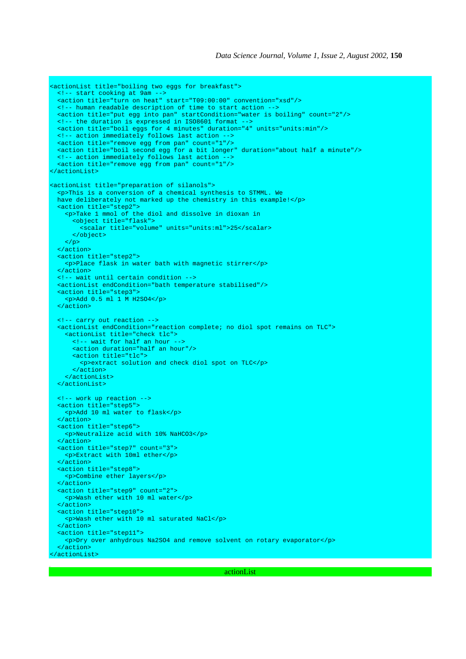```
<actionList title="boiling two eggs for breakfast">
  <!-- start cooking at 9am -->
  <action title="turn on heat" start="T09:00:00" convention="xsd"/>
  <!-- human readable description of time to start action -->
 <action title="put egg into pan" startCondition="water is boiling" count="2"/>
 <!-- the duration is expressed in ISO8601 format -->
  <action title="boil eggs for 4 minutes" duration="4" units="units:min"/>
 <!-- action immediately follows last action -
  <action title="remove egg from pan" count="1"/>
 <action title="boil second egg for a bit longer" duration="about half a minute"/>
 <!-- action immediately follows last action -->
  <action title="remove egg from pan" count="1"/>
</actionList>
<actionList title="preparation of silanols">
  <p>This is a conversion of a chemical synthesis to STMML. We
  have deliberately not marked up the chemistry in this example!</p>
  <action title="step2">
    <p>Take 1 mmol of the diol and dissolve in dioxan in
      <object title="flask">
         <scalar title="volume" units="units:ml">25</scalar>
      </object>
   \langle p \rangle </action>
  <action title="step2">
    <p>Place flask in water bath with magnetic stirrer</p>
  </action>
  <!-- wait until certain condition -->
  <actionList endCondition="bath temperature stabilised"/>
  <action title="step3">
    <p>Add 0.5 ml 1 M H2SO4</p>
  </action>
  <!-- carry out reaction -->
  <actionList endCondition="reaction complete; no diol spot remains on TLC">
    <actionList title="check tlc">
      <!-- wait for half an hour -->
       <action duration="half an hour"/>
      <action title="tlc">
        <p>extract solution and check diol spot on TLC</p>
      </action>
    </actionList>
  </actionList>
  <!-- work up reaction -->
  <action title="step5">
    <p>Add 10 ml water to flask</p>
  </action>
  <action title="step6">
    <p>Neutralize acid with 10% NaHCO3</p>
  </action>
  <action title="step7" count="3">
    <p>Extract with 10ml ether</p>
  </action>
  <action title="step8">
    <p>Combine ether layers</p>
  </action>
  <action title="step9" count="2">
    <p>Wash ether with 10 ml water</p>
  </action>
  <action title="step10">
    <p>Wash ether with 10 ml saturated NaCl</p>
  </action>
  <action title="step11">
     <p>Dry over anhydrous Na2SO4 and remove solvent on rotary evaporator</p>
  </action>
</actionList>
```
actionList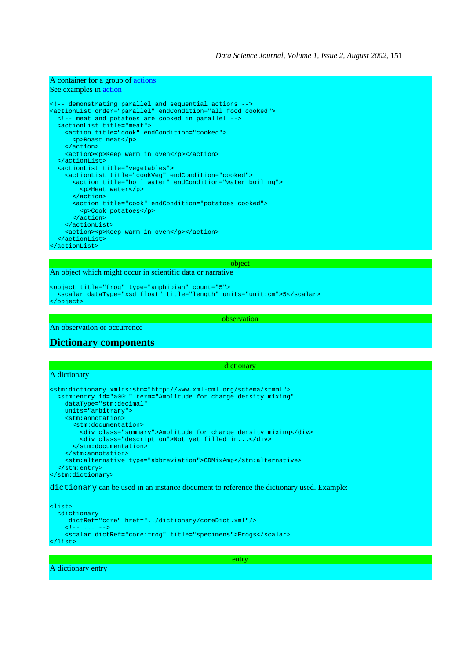### A container for a group of actions

### See examples in action

```
<!-- demonstrating parallel and sequential actions -->
<actionList order="parallel" endCondition="all food cooked">
  <!-- meat and potatoes are cooked in parallel -->
  <actionList title="meat">
    <action title="cook" endCondition="cooked">
      <p>Roast meat</p>
    </action>
    <action><p>Keep warm in oven</p></action>
  </actionList>
  <actionList title="vegetables">
 <actionList title="cookVeg" endCondition="cooked">
 <action title="boil water" endCondition="water boiling">
        <p>Heat water</p>
      </action>
      <action title="cook" endCondition="potatoes cooked">
        <p>Cook potatoes</p>
      </action>
    </actionList>
    <action><p>Keep warm in oven</p></action>
  </actionList>
</actionList>
```
### object

### An object which might occur in scientific data or narrative

```
<object title="frog" type="amphibian" count="5">
  <scalar dataType="xsd:float" title="length" units="unit:cm">5</scalar>
</object>
```
observation

An observation or occurrence

## **Dictionary components**

#### dictionary

## A dictionary

```
<stm:dictionary xmlns:stm="http://www.xml-cml.org/schema/stmml">
 <stm:entry id="a001" term="Amplitude for charge density mixing"
    dataType="stm:decimal"
    units="arbitrary">
    <stm:annotation>
       <stm:documentation>
         <div class="summary">Amplitude for charge density mixing</div>
         <div class="description">Not yet filled in...</div>
      </stm:documentation>
    </stm:annotation>
    <stm:alternative type="abbreviation">CDMixAmp</stm:alternative>
  </stm:entry>
</stm:dictionary>
```
## dictionary can be used in an instance document to reference the dictionary used. Example:

```
<list>
  <dictionary
     dictRef="core" href="../dictionary/coreDict.xml"/>
    <!-- ... -->
    <scalar dictRef="core:frog" title="specimens">Frogs</scalar>
</list>
```
entry

A dictionary entry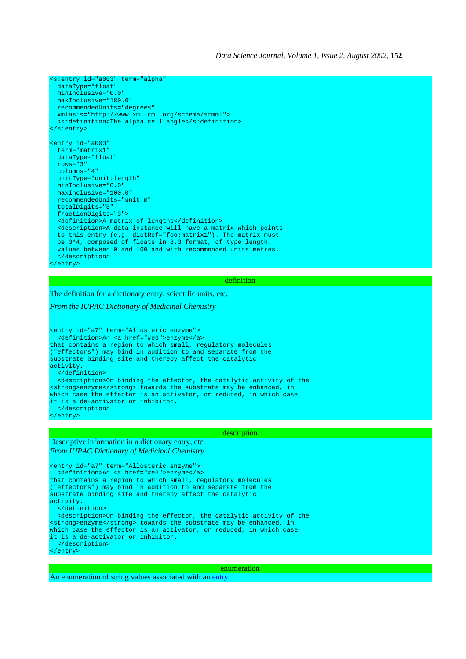```
<s:entry id="a003" term="alpha"
 dataType="float
  minInclusive="0.0"
  maxInclusive="180.0"
  recommendedUnits="degrees"
 xmlns:s="http://www.xml-cml.org/schema/stmml">
 <s:definition>The alpha cell angle</s:definition>
</s:entry>
<entry id="a003"
  term="matrix1"
  dataType="float"
  rows="3"
  columns="4"
  unitType="unit:length"
 minInclusive="0.0"
 maxInclusive="100.0"
  recommendedUnits="unit:m"
  totalDigits="8"
  fractionDigits="3">
  <definition>A matrix of lengths</definition>
  <description>A data instance will have a matrix which points
  to this entry (e.g. dictRef="foo:matrix1"). The matrix must
 be 3*4, composed of floats in 8.3 format, of type length,
 values between 0 and 100 and with recommended units metres.
  </description>
</entry>
```
#### definition

The definition for a dictionary entry, scientific units, etc.

*From the IUPAC Dictionary of Medicinal Chemistry*

<entry id="a7" term="Allosteric enzyme"> <definition>An <a href="#e3">enzyme</a> that contains a region to which small, regulatory molecules ("effectors") may bind in addition to and separate from the substrate binding site and thereby affect the catalytic activity. </definition> <description>On binding the effector, the catalytic activity of the <strong>enzyme</strong> towards the substrate may be enhanced, in which case the effector is an activator, or reduced, in which case it is a de-activator or inhibitor. </description> </entry>

#### description

Descriptive information in a dictionary entry, etc. *From IUPAC Dictionary of Medicinal Chemistry*

<entry id="a7" term="Allosteric enzyme"> <definition>An <a href="#e3">enzyme</a> that contains a region to which small, regulatory molecules ("effectors") may bind in addition to and separate from the substrate binding site and thereby affect the catalytic activity. </definition> <description>On binding the effector, the catalytic activity of the <strong>enzyme</strong> towards the substrate may be enhanced, in which case the effector is an activator, or reduced, in which case it is a de-activator or inhibitor. </description> </entry>

enumeration

An enumeration of string values associated with an entry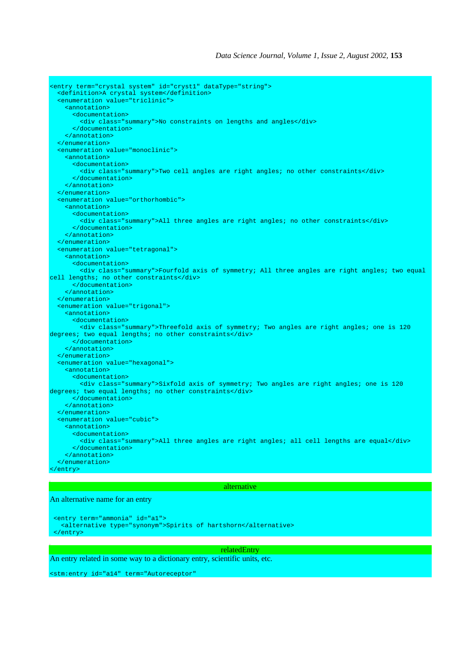```
<entry term="crystal system" id="cryst1" dataType="string">
   <definition>A crystal system</definition>
   <enumeration value="triclinic">
     <annotation>
       <documentation>
         <div class="summary">No constraints on lengths and angles</div>
       </documentation>
     </annotation>
   </enumeration>
   <enumeration value="monoclinic">
     <annotation>
       <documentation>
         <div class="summary">Two cell angles are right angles; no other constraints</div>
       </documentation>
     </annotation>
   </enumeration>
   <enumeration value="orthorhombic">
     <annotation>
       <documentation>
         <div class="summary">All three angles are right angles; no other constraints</div>
       </documentation>
     </annotation>
   </enumeration>
   <enumeration value="tetragonal">
     <annotation>
       <documentation>
        <div class="summary">Fourfold axis of symmetry; All three angles are right angles; two equal
cell lengths; no other constraints</div>
       </documentation>
     </annotation>
   </enumeration>
   <enumeration value="trigonal">
     <annotation>
       <documentation>
        <div class="summary">Threefold axis of symmetry; Two angles are right angles; one is 120
degrees; two equal lengths; no other constraints</div>
       </documentation>
     </annotation>
   </enumeration>
   <enumeration value="hexagonal">
     <annotation>
       <documentation>
        <div class="summary">Sixfold axis of symmetry; Two angles are right angles; one is 120
degrees; two equal lengths; no other constraints</div>
      </documentation>
     </annotation>
   </enumeration>
   <enumeration value="cubic">
     <annotation>
       <documentation>
         <div class="summary">All three angles are right angles; all cell lengths are equal</div>
       </documentation>
     </annotation>
   </enumeration>
</entry>
```
#### alternative

### An alternative name for an entry

```
 <entry term="ammonia" id="a1">
  <alternative type="synonym">Spirits of hartshorn</alternative>
 </entry>
```
### relatedEntry

An entry related in some way to a dictionary entry, scientific units, etc.

<stm:entry id="a14" term="Autoreceptor"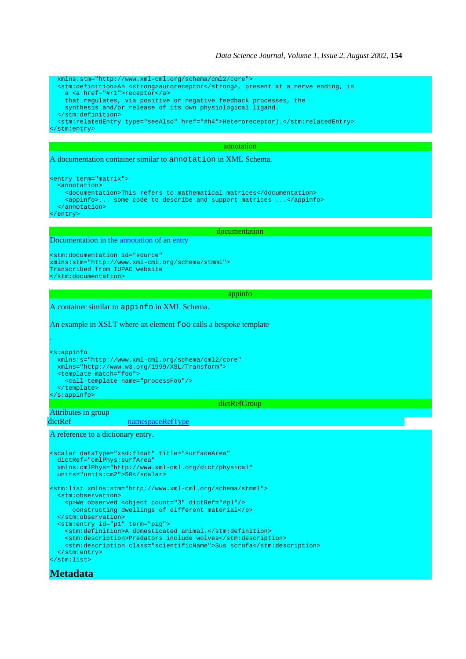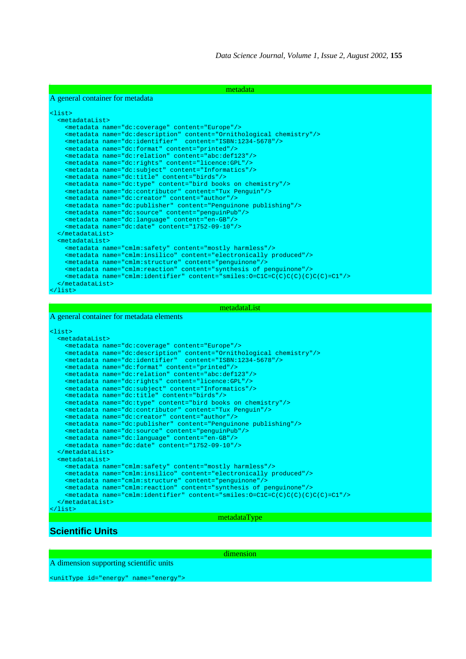| metadata                                                                           |  |  |
|------------------------------------------------------------------------------------|--|--|
| A general container for metadata                                                   |  |  |
|                                                                                    |  |  |
| $<$ list $>$                                                                       |  |  |
| $metadataList>$                                                                    |  |  |
| <metadata content="Europe" name="dc:coverage"></metadata>                          |  |  |
| <metadata content="0rnithological chemistry" name="dc:description"></metadata>     |  |  |
| <metadata content="ISBN:1234-5678" name="dc:identifier"></metadata>                |  |  |
| <metadata content="printed" name="dc:format"></metadata>                           |  |  |
| <metadata content="abc:def123" name="dc:relation"></metadata>                      |  |  |
| <metadata content="licence:GPL" name="dc:rights"></metadata>                       |  |  |
| <metadata content="Informatics" name="dc:subject"></metadata>                      |  |  |
| <metadata content="birds" name="dc:title"></metadata>                              |  |  |
| <metadata content="bird books on chemistry" name="dc:type"></metadata>             |  |  |
| <metadata content="Tux Penquin" name="dc:contributor"></metadata>                  |  |  |
| <metadata content="author" name="dc:creator"></metadata>                           |  |  |
| <metadata content="Penguinone publishing" name="dc:publisher"></metadata>          |  |  |
| <metadata content="penquinPub" name="dc:source"></metadata>                        |  |  |
| <metadata content="en-GB" name="dc:lanquage"></metadata>                           |  |  |
| <metadata content="1752-09-10" name="dc:date"></metadata>                          |  |  |
| $\langle$ /metadataList>                                                           |  |  |
| $metadatalist$                                                                     |  |  |
| <metadata content="mostly harmless" name="cmlm:safety"></metadata>                 |  |  |
| <metadata content="electronically produced" name="cmlm:insilico"></metadata>       |  |  |
| <metadata content="penquinone" name="cmlm:structure"></metadata>                   |  |  |
| <metadata content="synthesis of penquinone" name="cmlm:reaction"></metadata>       |  |  |
| <metadata content="smiles:0=ClC=C(C)C(C)(C)=Cl" name="cmlm:identifier"></metadata> |  |  |
| $\langle$ /metadataList>                                                           |  |  |
| $\langle$ /list>                                                                   |  |  |

#### metadataList

#### A general container for metadata elements

```
<list>
  <metadataList>
    <metadata name="dc:coverage" content="Europe"/>
    <metadata name="dc:description" content="Ornithological chemistry"/>
    <metadata name="dc:identifier" content="ISBN:1234-5678"/>
    <metadata name="dc:format" content="printed"/>
 <metadata name="dc:relation" content="abc:def123"/>
 <metadata name="dc:rights" content="licence:GPL"/>
    <metadata name="dc:subject" content="Informatics"/>
 <metadata name="dc:title" content="birds"/>
 <metadata name="dc:type" content="bird books on chemistry"/>
    <metadata name="dc:contributor" content="Tux Penguin"/>
    <metadata name="dc:creator" content="author"/>
    <metadata name="dc:publisher" content="Penguinone publishing"/>
    <metadata name="dc:source" content="penguinPub"/>
    <metadata name="dc:language" content="en-GB"/>
    <metadata name="dc:date" content="1752-09-10"/>
  </metadataList>
  <metadataList>
    <metadata name="cmlm:safety" content="mostly harmless"/>
 <metadata name="cmlm:insilico" content="electronically produced"/>
 <metadata name="cmlm:structure" content="penguinone"/>
 <metadata name="cmlm:reaction" content="synthesis of penguinone"/>
 <metadata name="cmlm:identifier" content="smiles:O=C1C=C(C)C(C)(C)C(C)=C1"/>
  </metadataList>
</list>
```
### metadataType

## **Scientific Units**

dimension

A dimension supporting scientific units

<unitType id="energy" name="energy">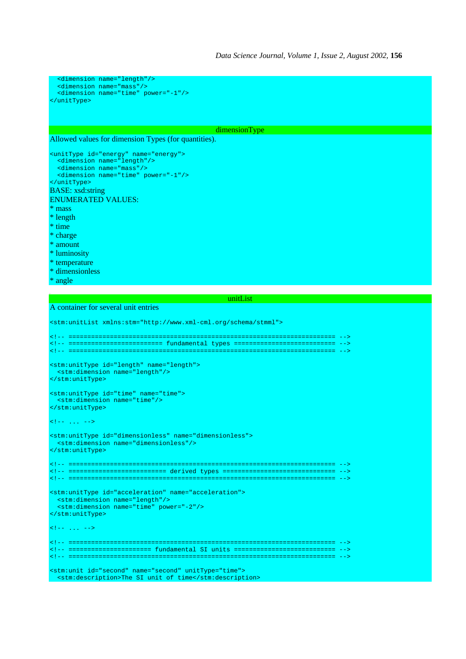```
 <dimension name="length"/>
  <dimension name="mass"/>
  <dimension name="time" power="-1"/>
</unitType>
```
### dimensionType

Allowed values for dimension Types (for quantities).

```
<unitType id="energy" name="energy">
 <dimension name="length"/>
   <dimension name="mass"/>
   <dimension name="time" power="-1"/>
</unitType>
BASE: xsd:string
ENUMERATED VALUES:
* mass
* length
* time
* charge
* amount
* luminosity
```
- \* temperature
- \* dimensionless
- \* angle

unitList

### A container for several unit entries

```
<stm:unitList xmlns:stm="http://www.xml-cml.org/schema/stmml">
<!-- ======================================================================= -->
<!-- ========================= fundamental types =========================== -->
<!-- ======================================================================= -->
<stm:unitType id="length" name="length">
 <stm:dimension name="length"/>
</stm:unitType>
<stm:unitType id="time" name="time">
  <stm:dimension name="time"/>
</stm:unitType>
\left\{ - - \ldots - - \right\}<stm:unitType id="dimensionless" name="dimensionless">
  <stm:dimension name="dimensionless"/>
</stm:unitType>
<!-- ======================================================================= -->
<!-- ========================== derived types ============================== -->
<!-- ======================================================================= -->
<stm:unitType id="acceleration" name="acceleration">
 <stm:dimension name="length"/>
 <stm:dimension name="time" power="-2"/>
</stm:unitType>
\left\langle \cdot \right\rangle -- ... -->
<!-- ======================================================================= -->
<!-- ====================== fundamental SI units =========================== -->
<!-- ======================================================================= -->
<stm:unit id="second" name="second" unitType="time">
```
<stm:description>The SI unit of time</stm:description>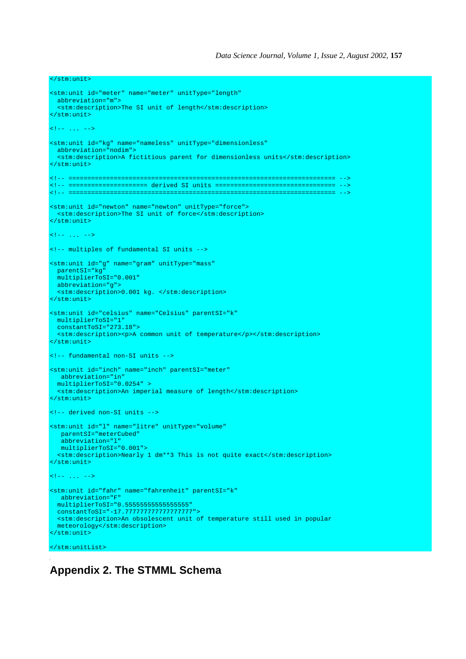```
</stm:unit>
<stm:unit id="meter" name="meter" unitType="length"
  abbreviation="m">
  <stm:description>The SI unit of length</stm:description>
</stm:unit>
\langle!-- ... -->
<stm:unit id="kg" name="nameless" unitType="dimensionless"
  abbreviation="nodim">
  <stm:description>A fictitious parent for dimensionless units</stm:description>
</stm:unit>
<!-- ======================================================================= -->
<!-- ===================== derived SI units ================================ -->
<!-- ======================================================================= -->
<stm:unit id="newton" name="newton" unitType="force">
 <stm:description>The SI unit of force</stm:description>
</stm:unit>
\langle!-- ... -->
<!-- multiples of fundamental SI units -->
<stm:unit id="g" name="gram" unitType="mass"
  parentSI="kg"
  multiplierToSI="0.001"
  abbreviation="g">
  <stm:description>0.001 kg. </stm:description>
</stm:unit>
<stm:unit id="celsius" name="Celsius" parentSI="k"
  multiplierToSI="1"
  constantToSI="273.18">
  <stm:description><p>A common unit of temperature</p></stm:description>
</stm:unit>
<!-- fundamental non-SI units -->
<stm:unit id="inch" name="inch" parentSI="meter"
   abbreviation="in"
  multiplierToSI="0.0254" >
   <stm:description>An imperial measure of length</stm:description>
</stm:unit>
<!-- derived non-SI units -->
<stm:unit id="l" name="litre" unitType="volume"
   parentSI="meterCubed"
   abbreviation="l"
   multiplierToSI="0.001">
  <stm:description>Nearly 1 dm**3 This is not quite exact</stm:description>
</stm:unit>
\langle!-- ... -->
<stm:unit id="fahr" name="fahrenheit" parentSI="k"
   abbreviation="F"
  multiplierToSI="0.55555555555555555"
  constantToSI="-17.777777777777777777">
  <stm:description>An obsolescent unit of temperature still used in popular
  meteorology</stm:description>
</stm:unit>
</stm:unitList>
```
# **Appendix 2. The STMML Schema**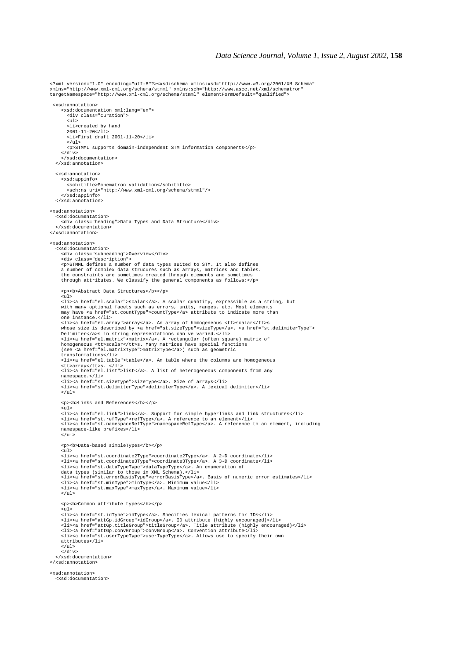<?xml version="1.0" encoding="utf-8"?><xsd:schema xmlns:xsd="http://www.w3.org/2001/XMLSchema" xmlns="http://www.xml-cml.org/schema/stmml" xmlns:sch="http://www.ascc.net/xml/schematron" targetNamespace="http://www.xml-cml.org/schema/stmml" elementFormDefault="qualified"> <xsd:annotation> <xsd:documentation xml:lang="en"> <div class="curation"> <ul> <li>created by hand  $2001 - 11 - 20 < 1i$  <li>First draft 2001-11-20</li>  $\frac{1}{2}$  <p>STMML supports domain-independent STM information components</p> </div> </xsd:documentation> </xsd:annotation> <xsd:annotation> <xsd:appinfo> <sch:title>Schematron validation</sch:title>  $<$ sch:ns uri="http://www.xml-cml.org/schema/stmml"/ $>$  </xsd:appinfo> </xsd:annotation> <xsd:annotation> <xsd:documentation> <div class="heading">Data Types and Data Structure</div> </xsd:documentation> </xsd:annotation> <xsd:annotation> <xsd:documentation> <div class="subheading">Overview</div> <div class="description"> <p>STMML defines a number of data types suited to STM. It also defines a number of complex data strucures such as arrays, matrices and tables. the constraints are sometimes created through elements and sometimes through attributes. We classify the general components as follows:</p> <p><b>Abstract Data Structures</b></p> <ul> <li><a href="el.scalar">scalar</a>. A scalar quantity, expressible as a string, but with many optional facets such as errors, units, ranges, etc. Most elements may have <a href="st.countType">countType</a> attribute to indicate more than one instance.</li> <li><a href="el.array">array</a>. An array of homogeneous <tt>scalar</tt>s whose size is described by <a href="st.sizeType">sizeType</a>. <a href="st.delimiterType"><br>Delimiter</a>s in string representations can ve varied.</li><br><li><a href="el.matrix">matrix</a>s in string representations can ve v (see <a href="el.matrixType">matrixType</a>) such as geometric transformations</li> <li><a href="el.table">table</a>. An table where the columns are homogeneous <tt>array</tt>s. </li> <li><a href="el.list">list</a>. A list of heterogeneous components from any namespace.</li> <li><a href="st.sizeType">sizeType</a>. Size of arrays</li><br><li><a href="st.delimiterType">delimiterType</a>. A lexical delimiter</li>  $\epsilon$ /ul> <p><b>Links and References</b></p>  $\sim 1$ <li><a href="el.link">link</a>. Support for simple hyperlinks and link structures</li><br><li><a href="st.ref7ype">refType</a>. A reference to an element</li><br><li><a href="st.namespaceRefType">namespaceRefType</a>. A referenc namespace-like prefixes</li>  $\langle$ /ul> <p><b>Data-based simpleTypes</b></p>  $<sub>ul</sub>$ </sub> %<br/>li><a href="st.coordinate2Type">coordinate2Type</a>. A 2-D coordinate</li><li><a href="st.coordinate3Type">coordinate3Type</a>. A 3-D coordinate</li></li><a href="st.coordinate3Type">coordinate3Type</a>. A 3-D coordi <li><a href="st.minType">minType</a>. Minimum value</li> <li><a href="st.maxType">maxType</a>. Maximum value</li>  $\langle$ /ul> <p><b>Common attribute types</b></p>  $\sin 1$ <li><a href="st.idType">idType</a>. Specifies lexical patterns for IDs</li><br><li><a href="attGp.idGroup">idGroup</a>. ID attribute (highly encouraged)</li><br><li><a href="attGp.itileGroup">titleGroup</a>. Title attribute (hig attributes</li>  $\frac{1}{2}$   $\times$  /ul  $\frac{1}{2}$  $\frac{1}{\sqrt{div}}$  </xsd:documentation> </xsd:annotation> <xsd:annotation> <xsd:documentation>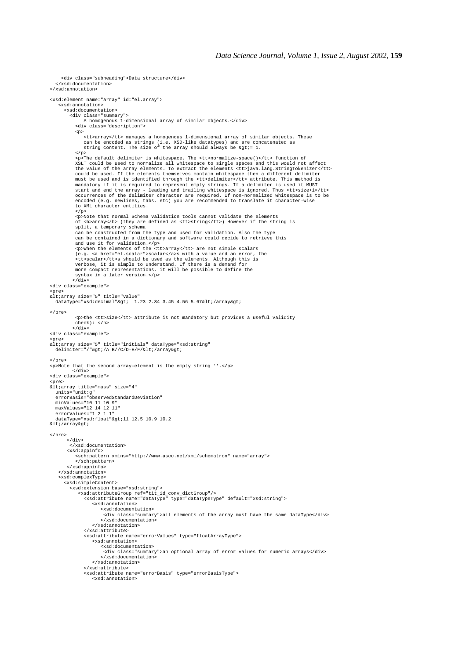```
 <div class="subheading">Data structure</div>
   </xsd:documentation>
</xsd:annotation>
<xsd:element name="array" id="el.array">
     <xsd:annotation>
       <xsd:documentation>
 <div class="summary">
 A homogenous 1-dimensional array of similar objects.</div>
            <div class="description">
            <p>
                <tt>array</tt> manages a homogenous 1-dimensional array of similar objects. These
can be encoded as strings (i.e. XSD-like datatypes) and are concatenated as<br>string content. The size of the array should always be &gt;= 1.
           \langle p \rangle <p>The default delimiter is whitespace. The <tt>normalize-space()</tt> function of
XSLT could be used to normalize all whitespace to single spaces and this would not affect<br>the value of the array elements. To extract the elements <tt>java.lang.StringTokenizer</tt><br>could be used. If the elements themselve
must be used and is identified through the <tt>delimiter</tt> attribute. This method is<br>mandatory if it is required to represent empty strings. If a delimiter is used it MUST<br>start and end the array - leading and trailing 
            to XML character entities.
           \langle/p>
 <p>Note that normal Schema validation tools cannot validate the elements
 of <b>array</b> (they are defined as <tt>string</tt>) However if the string is
            split, a temporary schema
 can be constructed from the type and used for validation. Also the type
 can be contained in a dictionary and software could decide to retrieve this
 and use it for validation.</p>
 <p>When the elements of the <tt>array</tt> are not simple scalars
            (e.g. <a href="el.scalar">scalar</a>s with a value and an error, the
             <tt>scalar</tt>s should be used as the elements. Although this is
 verbose, it is simple to understand. If there is a demand for
 more compact representations, it will be possible to define the
            syntax in a later version.</p>
          \langlediv><div class="example">
<pre><br>&lt;array size="5" title="value"
  dataType="xsd:decimal"> 1.23 2.34 3.45 4.56 5.67</array>
</pre>
            <p>the <tt>size</tt> attribute is not mandatory but provides a useful validity
           check): \langle p \rangle </div>
<div class="example">
<pre>
\alphalt; array size="5" title="initials" dataType="xsd: string"
 delimiter="/">/A B//C/D-E/F/</array&gt;
</pre>
<p>Note that the second array-element is the empty string ''.</p>
          \langlediv><div class="example">
<pre><br>&lt;array title="mass" size="4"
 units="unit:g"
 errorBasis="observedStandardDeviation"
 minValues="10 11 10 9"
   maxValues="12 14 12 11"
errorValues="1 2 1 1"<br>dataType="xsd:float"&gt;11 12.5 10.9 10.2<br>&lt;/array&gt;
</pre>
        </div>
          </xsd:documentation>
        <xsd:appinfo>
            <sch:pattern xmlns="http://www.ascc.net/xml/schematron" name="array">
            </sch:pattern>
        </xsd:appinfo>
    </xsd:annotation>
    <xsd:complexType>
       <xsd:simpleContent>
         <xsd:extension base="xsd:string">
             <xsd:attributeGroup ref="tit_id_conv_dictGroup"/>
 <xsd:attribute name="dataType" type="dataTypeType" default="xsd:string">
 <xsd:annotation>
                       <xsd:documentation>
                         <div class="summary">all elements of the array must have the same dataType</div>
 </xsd:documentation>
 </xsd:annotation>
                </xsd:attribute>
                <xsd:attribute name="errorValues" type="floatArrayType">
                    <xsd:annotation>
<xsd:documentation><br><div class="summary">an optional array of error values for numeric arrays</div>
                        </xsd:documentation>
                    </xsd:annotation>
                </xsd:attribute>
                <xsd:attribute name="errorBasis" type="errorBasisType">
                    <xsd:annotation>
```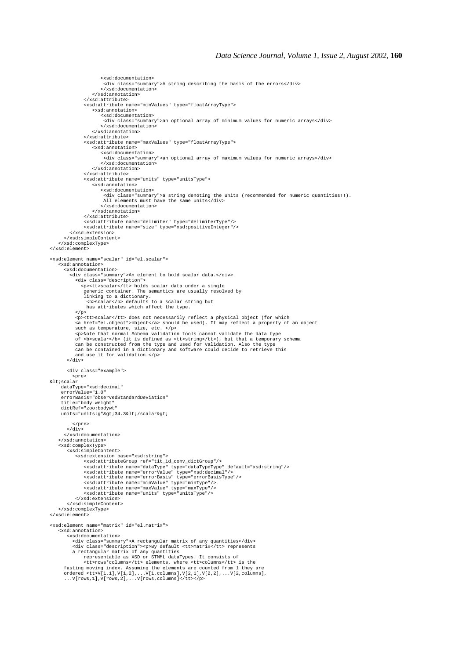```
 <xsd:documentation>
                         <div class="summary">A string describing the basis of the errors</div>
                        </xsd:documentation>
                    </xsd:annotation>
                 </xsd:attribute>
                 <xsd:attribute name="minValues" type="floatArrayType">
                    <xsd:annotation>
                        <xsd:documentation>
                         <div class="summary">an optional array of minimum values for numeric arrays</div>
                        </xsd:documentation>
                    </xsd:annotation>
                 </xsd:attribute>
                 <xsd:attribute name="maxValues" type="floatArrayType">
                    <xsd:annotation>
                        <xsd:documentation>
                         <div class="summary">an optional array of maximum values for numeric arrays</div>
                        </xsd:documentation>
                    </xsd:annotation>
                 </xsd:attribute>
                <xsd:attribute name="units" type="unitsType">
                    <xsd:annotation>
<xsd:documentation><br><div class="summary">a string denoting the units (recommended for numeric quantities!!).
                         All elements must have the same units</div>
                        </xsd:documentation>
                    </xsd:annotation>
                 </xsd:attribute>
                 <xsd:attribute name="delimiter" type="delimiterType"/>
                <xsd:attribute name="size" type="xsd:positiveInteger"/>
          </xsd:extension>
       </xsd:simpleContent>
     </xsd:complexType>
</xsd:element>
<xsd:element name="scalar" id="el.scalar">
    <xsd:annotation>
       <xsd:documentation>
          <div class="summary">An element to hold scalar data.</div>
            <div class="description">
               <p><tt>scalar</tt> holds scalar data under a single
 generic container. The semantics are usually resolved by
 linking to a dictionary.
 <b>scalar</b> defaults to a scalar string but
                has attributes which affect the type.
           \langle p \rangle<p><tt>scalar</tt> does not necessarily reflect a physical object (for which<br><a href="el.object">object</a> should be used). It may reflect a property of an object
such as temperature, size, etc. </p><br><p>Note that normal Schema validation tools cannot validate the data type<br>of <br/>bscalar</b> (it is defined as <tt>string</tt>), but that a temporary schema
            can be constructed from the type and used for validation. Also the type
            can be contained in a dictionary and software could decide to retrieve this
            and use it for validation.</p>
         </div>
        <div class="example">
           <pre>
\deltalt;scalar
      dataType="xsd:decimal"
      errorValue="1.0"
     errorBasis="observedStandardDeviation"
      title="body weight"
      dictRef="zoo:bodywt"
    units="units:g">34.3</scalar&qt;
           </pre>
        </div>
       </xsd:documentation>
     </xsd:annotation>
     <xsd:complexType>
         <xsd:simpleContent>
<xsd:extension base="xsd:string"><br>
<xsd:attributeGroup"/><br>
<xsd:attributeGroup"=f="tit_id_conv_dictGroup"/><br>
<xsd:attribute name="dataType" type="dataTypeType" default="xsd:string"/><br>
<xsd:attribute name="errorValue" type=
            </xsd:extension>
         </xsd:simpleContent>
     </xsd:complexType>
</xsd:element>
<xsd:element name="matrix" id="el.matrix">
     <xsd:annotation>
        w-amocucumentation><br><xsd:documentation><br><xsd:documentation><br>div class="summary">A rectangular matrix of any quantities</div>
div class="summary">A rectangular matrix of any quantities</div><br>div class="description"><p>Pby default ctt>matrix</tt> represents<br>a rectangular matrix of any quantities<br>represents a rectangular matrix of any quantities<br>re
```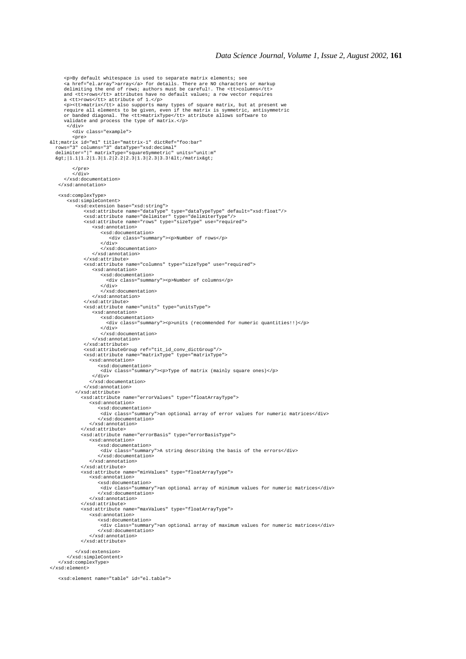```
<p>By default whitespace is used to separate matrix elements; see<br><a href="el.array">array</a> for details. There are NO characters or markup<br>delimiting the end of rows; authors must be careful!. The <tt>columns</tt><br>and <
a <tt>rows</tt> attribute of 1.</p><br>sp><tt>matrix/tt> also supports many types of square matrix, but at present we<br>require all elements to be given, even if the matrix is symmetric, antisymmetric<br>or banded diagonal. The <
         </div>
           <div class="example">
\begin{aligned} &\text{cpre}\texttt{new}\\ &\texttt{if} \texttt{id} = \texttt{m1" title} = \texttt{matrix-1" dictRef} = \texttt{Foo:bar}\texttt{new}\\ &\texttt{rows} = 3" \texttt{columns} = \texttt{3" dataType} = \texttt{rsd:decimal}\texttt{numt:mm} \\ &\text{delimiter} = \texttt{|} " matrixType} = \texttt{squareSymmetric" units} = \texttt{unit:mm}\texttt{%gt:} \texttt{numt:max.get:} \end{aligned} </pre>
           \frac{1}{\sqrt{div}} </xsd:documentation>
    </xsd:annotation>
    <xsd:complexType>
         <xsd:simpleContent>
 <xsd:extension base="xsd:string">
 <xsd:attribute name="dataType" type="dataTypeType" default="xsd:float"/>
 <xsd:attribute name="delimiter" type="delimiterType"/>
 <xsd:attribute name="rows" type="sizeType" use="required">
                     <xsd:annotation>
                          <xsd:documentation>
                              <div class="summary"><p>Number of rows</p>
</div><br></xsd:documentation>
                      </xsd:annotation>
                 </xsd:attribute>
                 <xsd:attribute name="columns" type="sizeType" use="required">
                      <xsd:annotation>
                         <xsd:documentation>
                             <div class="summary"><p>Number of columns</p>
                         \frac{1}{\sqrt{2}} </xsd:documentation>
                      </xsd:annotation>
                  </xsd:attribute>
 <xsd:attribute name="units" type="unitsType">
 <xsd:annotation>
                         <xsd:documentation>
                             <div class="summary"><p>units (recommended for numeric quantities!!)</p>
                          </div>
 </xsd:documentation>
 </xsd:annotation>
                 </xsd:attribute>
                 <xsd:attributeGroup ref="tit_id_conv_dictGroup"/>
 <xsd:attribute name="matrixType" type="matrixType">
 <xsd:annotation>
                        <xsd:documentation>
                          <div class="summary"><p>Type of matrix (mainly square ones)</p>
                      </div>
                    </xsd:documentation>
                  </xsd:annotation>
             </xsd:attribute>
                <xsd:attribute name="errorValues" type="floatArrayType">
                    <xsd:annotation>
                        <xsd:documentation>
 <div class="summary">an optional array of error values for numeric matrices</div>
 </xsd:documentation>
                    </xsd:annotation>
                </xsd:attribute>
                <xsd:attribute name="errorBasis" type="errorBasisType">
                    <xsd:annotation>
 <xsd:documentation>
 <div class="summary">A string describing the basis of the errors</div>
                        </xsd:documentation>
                     </xsd:annotation>
                </xsd:attribute>
                <xsd:attribute name="minValues" type="floatArrayType">
                    <xsd:annotation>
 <xsd:documentation>
 <div class="summary">an optional array of minimum values for numeric matrices</div>
                        </xsd:documentation>
                     </xsd:annotation>
                </xsd:attribute>
                <xsd:attribute name="maxValues" type="floatArrayType">
                    <xsd:annotation>
                        <xsd:documentation>
                          <div class="summary">an optional array of maximum values for numeric matrices</div>
                         </xsd:documentation>
                    </xsd:annotation>
                </xsd:attribute>
             </xsd:extension>
 </xsd:simpleContent>
 </xsd:complexType>
</xsd:element>
    <xsd:element name="table" id="el.table">
```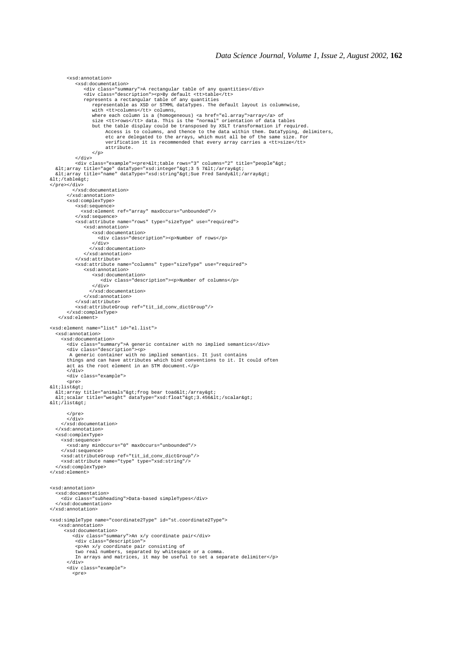```
 <xsd:annotation>
              <xsd:documentation>
                 <div class="summary">A rectangular table of any quantities</div>
 <div class="description"><p>By default <tt>table</tt>
 represents a rectangular table of any quantities
 representable as XSD or STMML dataTypes. The default layout is columnwise,
                      with <tt>columns</tt> columns,
 where each column is a (homogeneous) <a href="el.array">array</a> of
 size <tt>rows</tt> data. This is the "normal" orientation of data tables
but the table display could be transposed by XSLT transformation if required.<br>Access is to columns, and thence to the data within them. DataTyping, delimiters,<br>etc are delegated to the arrays, which must all be of the same
                            attribute.
             \langle p \rangle <br> \langle p \rangle</div><br><div class="example"><pre>&lt;table rows="3" columns="2" title="people"&gt;<br>&lt;array title="age" dataType="xsd:integer"&gt;3 5 7&lt;/array&gt;<br>&lt;array title="name" dataType="xsd:string"&gt;Sue Fred Sandy&lt;/arra
</table&gt;
</pre></div>
 </xsd:documentation>
 </xsd:annotation>
         <xsd:complexType>
 <xsd:sequence>
 <xsd:element ref="array" maxOccurs="unbounded"/>
 </xsd:sequence>
 <xsd:attribute name="rows" type="sizeType" use="required">
                 <xsd:annotation>
                     <xsd:documentation>
                        <div class="description"><p>Number of rows</p>
                     </div>
                    </xsd:documentation>
                 </xsd:annotation>
             </xsd:attribute>
             <xsd:attribute name="columns" type="sizeType" use="required">
                 <xsd:annotation>
                     <xsd:documentation>
                          <div class="description"><p>Number of columns</p>
                    \frac{1}{\sqrt{2}} </xsd:documentation>
                 </xsd:annotation>
             </xsd:attribute>
             <xsd:attributeGroup ref="tit_id_conv_dictGroup"/>
         </xsd:complexType>
     </xsd:element>
<xsd:element name="list" id="el.list">
    <xsd:annotation>
      <xsd:documentation>
         <div class="summary">A generic container with no implied semantics</div>
         <div class="description"><p>
A generic container with no implied semantics. It just contains<br>things and can have attributes which bind conventions to it. It could often<br>act as the root element in an STM document.</p>
        \frac{1}{x} /div>
         <div class="example">
         <pre>
<list&gt;
<array title="animals"&gt;frog bear toad&lt;/array&gt;<br>&lt;scalar title="weight" dataType="xsd:float"&gt;3.456&lt;/scalar&gt;
k + i/listkat:
         </pre>
        \sim div\sim </xsd:documentation>
   </xsd:annotation>
   <xsd:complexType>
      <xsd:sequence>
         <xsd:any minOccurs="0" maxOccurs="unbounded"/>
      </xsd:sequence>
 <xsd:attributeGroup ref="tit_id_conv_dictGroup"/>
 <xsd:attribute name="type" type="xsd:string"/>
   </xsd:complexType>
</xsd:element>
<xsd:annotation>
   <xsd:documentation>
      <div class="subheading">Data-based simpleTypes</div>
    </xsd:documentation>
</xsd:annotation>
<xsd:simpleType name="coordinate2Type" id="st.coordinate2Type">
     <xsd:annotation>
       <xsd:documentation>
            <div class="summary">An x/y coordinate pair</div>
 <div class="description">
 <p>An x/y coordinate pair consisting of
 two real numbers, separated by whitespace or a comma.
 In arrays and matrices, it may be useful to set a separate delimiter</p>
 </div>
 <div class="example">
            <pre>
```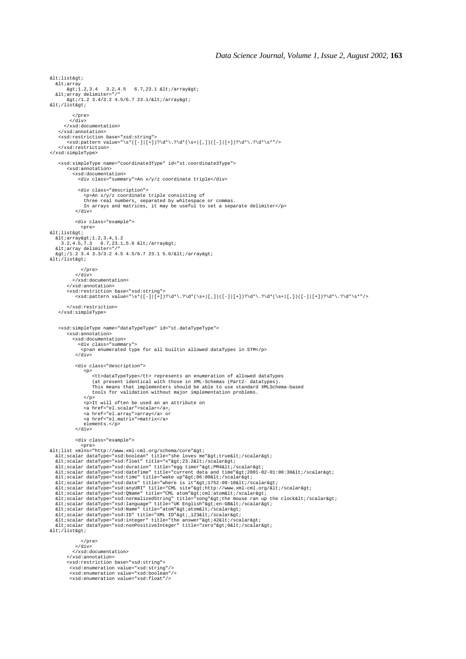```
x + 1 + 1 + x + 2......<br>&ltiarray
       %\cone<br>%\til.2,3.4 3.2,4.5 6.7,23.1 &lt;/array&qt;
\&lt;array delimiter="/"<br>\&gt;/1.2 3.4/3.2 4.5/6.7 23.1/</array&gt;
</list&gt;
            </pre>
          \langle div>
        </xsd:documentation>
 </xsd:annotation>
 <xsd:restriction base="xsd:string">
         <xsd:pattern value="\s*([-]|[+])?\d*\.?\d*(\s+|[,])([-]|[+])?\d*\.?\d*\s*"/>
     </xsd:restriction>
</xsd:simpleType>
     <xsd:simpleType name="coordinate3Type" id="st.coordinate3Type">
         <xsd:annotation>
            <xsd:documentation>
               <div class="summary">An x/y/z coordinate triple</div>
 <div class="description">
 <p>An x/y/z coordinate triple consisting of
 three real numbers, separated by whitespace or commas.
 In arrays and matrices, it may be useful to set a separate delimiter</p>
            \langle div>
             <div class="example">
<pre><br>&lt;list&gt;
  .c.iibcagc.<br>&lt;array&gt;1.2.3.4.1.2
3.2,4.5,7.3 6.7,23.1,5.6 </array&gt;<br>&lt:array delimiter="/"<br>&gt:/1.2 3.4 3.3/3.2 4.5 4.5/6.7 23.1 5.6/&lt;/array&gt;
</list&gt;
                 </pre>
            \langlediv> </xsd:documentation>
 </xsd:annotation>
 <xsd:restriction base="xsd:string">
 <xsd:pattern value="\s*([-]|[+])?\d*\.?\d*(\s+|[,])([-]|[+])?\d*\.?\d*(\s+|[,])([-]|[+])?\d*\.?\d*\s*"/>
         </xsd:restriction>
     </xsd:simpleType>
     <xsd:simpleType name="dataTypeType" id="st.dataTypeType">
          <xsd:annotation>
            <xsd:documentation>
               <div class="summary">
                 <p>an enumerated type for all builtin allowed dataTypes in STM</p>
             </div>
             <div class="description">
<p><br>
<tt>dataTypeType</tt> represents an enumeration of allowed dataTypes<br>
(at present identical with those in XML-Schemas (Part2- datatypes).<br>
This means that implementers should be able to use standard XMLSchema-based<br>
t
</p><br><p>It will often be used an an attribute on
                  <a href="el.scalar">scalar</a>,
<a href="el.array">array</a> or<br><a href="el.matrix">matrix</a>
                  elements.</p>
             </div>
             <div class="example">
<pre><br>
<pre><br>
&lt;list xmlns="http://www.xml-cml.org/schema/core"&gt;
<scalar dataType="xsd:boolean" title="she loves me"&gt;<br>&lt;scalar&gt; &lt;scalar&dtaType="xsd:boolean" title="she loves me"&gt;true&lt;/scalar&gt;<br>&lt;scalar dataType="xsd:float" title="she loves me"&gt;PM4&lt;/scalar&
<scalar dataType="xsd:integer" title="the answer"&gt;42&lt;/scalar&gt;<br>&lt;scalar dataType="xsd:nonPositiveInteger" title="zero"&gt;0&lt;/scalar&gt;
klt;/list&at;
                </pre>
 </div>
 </xsd:documentation>
         </xsd:annotation>
         <xsd:restriction base="xsd:string">
 <xsd:enumeration value="xsd:string"/>
 <xsd:enumeration value="xsd:boolean"/>
 <xsd:enumeration value="xsd:float"/>
```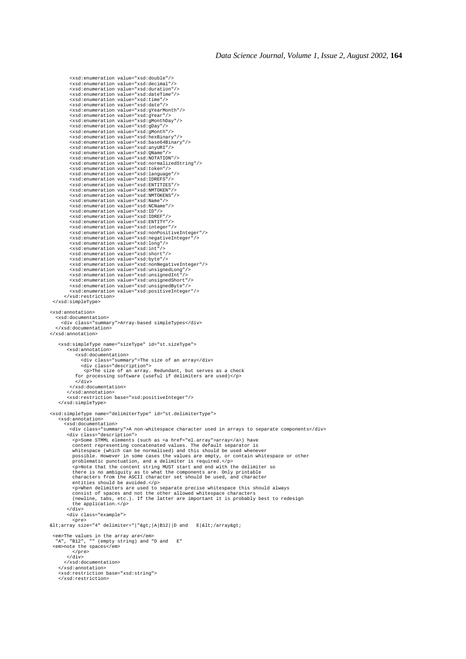```
 <xsd:enumeration value="xsd:double"/>
 <xsd:enumeration value="xsd:decimal"/>
 <xsd:enumeration value="xsd:duration"/>
 <xsd:enumeration value="xsd:dateTime"/>
               <xsd:enumeration value="xsd:time"/>
             -xsd:enumeration value="xsd:date"/><br><xsd:enumeration value="xsd:date"/><br><xsd:enumeration value="xsd:gYearMonth"/>
 <xsd:enumeration value="xsd:gYearMonth"/>
 <xsd:enumeration value="xsd:gYear"/>
 <xsd:enumeration value="xsd:gMonthDay"/>
 <xsd:enumeration value="xsd:gDay"/>
 <xsd:enumeration value="xsd:gMonth"/>
 <xsd:enumeration value="xsd:hexBinary"/>
 <xsd:enumeration value="xsd:base64Binary"/>
 <xsd:enumeration value="xsd:anyURI"/>
 <xsd:enumeration value="xsd:QName"/>
 <xsd:enumeration value="xsd:NOTATION"/>
 <xsd:enumeration value="xsd:normalizedString"/>
 <xsd:enumeration value="xsd:token"/>
 <xsd:enumeration value="xsd:language"/>
 <xsd:enumeration value="xsd:IDREFS"/>
               <xsd:enumeration value="xsd:ENTITIES"/>
 <xsd:enumeration value="xsd:NMTOKEN"/>
 <xsd:enumeration value="xsd:NMTOKENS"/>
 <xsd:enumeration value="xsd:Name"/>
 <xsd:enumeration value="xsd:NCName"/>
 <xsd:enumeration value="xsd:ID"/>
 <xsd:enumeration value="xsd:IDREF"/>
 <xsd:enumeration value="xsd:ENTITY"/>
 <xsd:enumeration value="xsd:integer"/>
 <xsd:enumeration value="xsd:nonPositiveInteger"/>
 <xsd:enumeration value="xsd:negativeInteger"/>
 <xsd:enumeration value="xsd:long"/>
 <xsd:enumeration value="xsd:int"/>
 <xsd:enumeration value="xsd:short"/>
               <xsd:enumeration value="xsd:byte"/>
<xsd:enumeration value="xsd:nonNegativeInteger"/><br>
<xsd:enumeration value="xsd:unsignedLong"/><br>
<xsd:enumeration value="xsd:unsignedInt"/><br>
<xsd:enumeration value="xsd:unsignedShort"/><br>
<xsd:enumeration value="xsd:unsigned
              <xsd:enumeration value="xsd:positiveInteger"/>
          </xsd:restriction>
  </xsd:simpleType>
<xsd:annotation>
    <xsd:documentation>
        <div class="summary">Array-based simpleTypes</div>
     </xsd:documentation>
</xsd:annotation>
      <xsd:simpleType name="sizeType" id="st.sizeType">
             <xsd:annotation>
                  <xsd:documentation>
 <div class="summary">The size of an array</div>
 <div class="description">
 <p>The size of an array. Redundant, but serves as a check
 for processing software (useful if delimiters are used)</p>
 </div>
 </xsd:documentation>
             </xsd:annotation>
             <xsd:restriction base="xsd:positiveInteger"/>
      </xsd:simpleType>
<xsd:simpleType name="delimiterType" id="st.delimiterType">
 <xsd:annotation>
          <xsd:documentation>
              <div class="summary">A non-whitespace character used in arrays to separate components</div>
             <div class="description">
                <p>Some STMML elements (such as <a href="el.array">array</a>) have
content representing concatenated values. The default separator is<br>whitespace (which can be normalised) and this should be used whenever<br>possible. However in some cases the values are empty, or contain whitespace or other<br>
 entities should be avoided.</p>
 <p>When delimiters are used to separate precise whitespace this should always
 consist of spaces and not the other allowed whitespace characters
 (newline, tabs, etc.). If the latter are important it is probably best to redesign
 the application.</p>
             </div>
             <div class="example">
                 <pre>
\texttt{all:array size} = 4" \texttt{del} = "|"\texttt{@gt:}|A|B12||D \texttt{and} E|\texttt{all:/array@gt:}| <em>The values in the array are</em>
 "A", "B12", "" (empty string) and "D and E"
  <em>note the spaces</em>
               </pre>
           \epsilon/div>
           </xsd:documentation>
      </xsd:annotation>
       <xsd:restriction base="xsd:string">
      </xsd:restriction>
```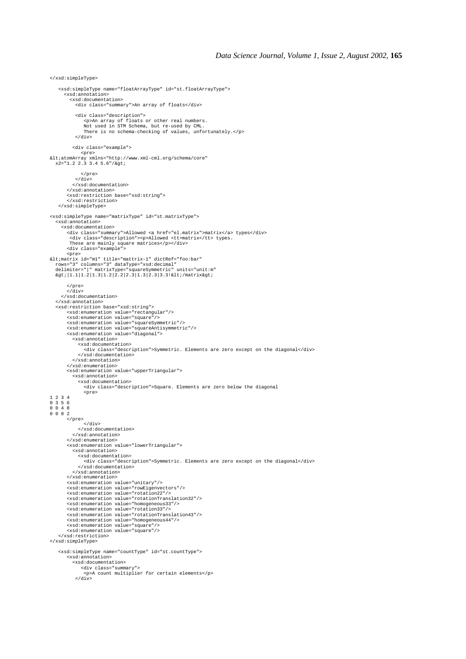</xsd:simpleType> <xsd:simpleType name="floatArrayType" id="st.floatArrayType"> <xsd:annotation> <xsd:documentation> <div class="summary">An array of floats</div> <div class="description"> <p>An array of floats or other real numbers. Not used in STM Schema, but re-used by CML. There is no schema-checking of values, unfortunately.</p> </div> <div class="example"> %Dre><br>&lt;atomArray xmlns="http://www.xml-cml.org/schema/core"<br>x2="1.2 2.3 3.4 5.6"/&gt; </pre>  $\sim$  /div $\sim$  </xsd:documentation> </xsd:annotation> <xsd:restriction base="xsd:string"> </xsd:restriction> </xsd:simpleType> <xsd:simpleType name="matrixType" id="st.matrixType"> <xsd:annotation> <xsd:documentation> <div class="summary">Allowed <a href="el.matrix">matrix</a> types</div> <div class="description"><p>Allowed <tt>matrix</tt> types. These are mainly square matrices</p></div> <div class="example"> <pre> <matrix id="m1" title="mattrix-1" dictRef="foo:bar" rows="3" columns="3" dataType="xsd:decimal" delimiter="|" matrixType="squareSymmetric" units="unit:m"  $\sqrt{2}[1.1|1.2|1.3|1.2|2.2|2.3|1.3|2.3|3.3|81t$ ;/matrix> </pre>  $\sqrt{d}$  </xsd:documentation> </xsd:annotation> <xsd:restriction base="xsd:string"> <xsd:enumeration value="rectangular"/> <xsd:enumeration value="square"/> <xsd:enumeration value="squareSymmetric"/> <xsd:enumeration value="squareAntisymmetric"/> <xsd:enumeration value="diagonal"> <xsd:annotation> <xsd:documentation> <div class="description">Symmetric. Elements are zero except on the diagonal</div> </xsd:documentation> </xsd:annotation> </xsd:enumeration> <xsd:enumeration value="upperTriangular"> <xsd:annotation> <xsd:documentation> <div class="description">Square. Elements are zero below the diagonal <pre> 1 2 3 4 0 3 5 6 0 0 4 8 0 0 0 2 </pre> .<br></div> </xsd:documentation> </xsd:annotation> </xsd:enumeration> <xsd:enumeration value="lowerTriangular"> <xsd:annotation> <xsd:documentation> <div class="description">Symmetric. Elements are zero except on the diagonal</div> </xsd:documentation> </xsd:annotation> </xsd:enumeration> <xsd:enumeration value="unitary"/> <xsd:enumeration value="rowEigenvectors"/> <xsd:enumeration value="rotation22"/> <xsd:enumeration value="rotationTranslation32"/> <xsd:enumeration value="homogeneous33"/> <xsd:enumeration value="rotation33"/> <xsd:enumeration value="rotationTranslation43"/> <xsd:enumeration value="homogeneous44"/> <xsd:enumeration value="square"/> <xsd:enumeration value="square"/> </xsd:restriction> </xsd:simpleType> <xsd:simpleType name="countType" id="st.countType"> <xsd:annotation> <xsd:documentation> <div class="summary"> <p>A count multiplier for certain elements</p> </div>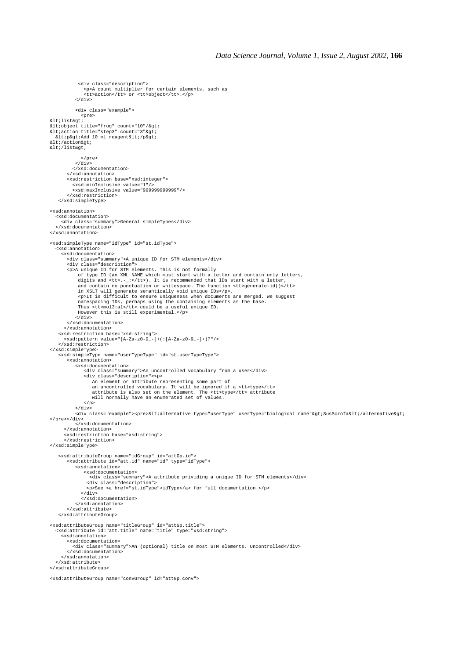```
 <div class="description">
 <p>A count multiplier for certain elements, such as
 <tt>action</tt> or <tt>object</tt>.</p>
              </div>
             <div class="example">
<pre><br>alt:list&gt:
<object title="frog" count="10"/&gt;<br>&lt;action title="step3" count="3"&gt;<br>&lt;p&gt;Add 10 ml reagent&lt;/p&gt;
</action&gt;
< i/list> i </pre>
             </div>
 </xsd:documentation>
 </xsd:annotation>
         <xsd:restriction base="xsd:integer">
<xsd:minInclusive value="1"/><br><xsd:maxInclusive value="999999999999"/><br></xsd:restriction>
     </xsd:simpleType>
<xsd:annotation>
 <xsd:documentation>
 <div class="summary">General simpleTypes</div>
    </xsd:documentation>
</xsd:annotation>
<xsd:simpleType name="idType" id="st.idType">
   <xsd:annotation>
      <xsd:documentation>
         <div class="summary">A unique ID for STM elements</div>
 <div class="description">
 <p>A unique ID for STM elements. This is not formally
of type ID (an XML NAME which must start with a letter and contain only letters,<br>digits and <tt>.-_:</tt>). It is recommended that IDs start with a letter,<br>and contain no punctuation or whitespace. The function <tt>generat
 in XSLT will generate semantically void unique IDs</p>.
 <p>It is difficult to ensure uniqueness when documents are merged. We suggest
namespacing IDs, perhaps using the containing elements as the base.<br>Thus <tt>mol3:al</tt> could be a useful unique ID.<br>However this is still experimental.</p>
             </div>
         </xsd:documentation>
        </xsd:annotation>
 <xsd:restriction base="xsd:string">
 <xsd:pattern value="[A-Za-z0-9_-]+(:[A-Za-z0-9_-]+)?"/>
     </xsd:restriction>
</xsd:simpleType>
     <xsd:simpleType name="userTypeType" id="st.userTypeType">
         <xsd:annotation>
             <xsd:documentation>
<div class="summary">An uncontrolled vocabulary from a user</div><br><div class="description">>>>>">>"><br>an element or attribute representing some part of<br>an uncontrolled vocabulary. It will be ignored if a <tt>type</tt><br>attri
                 \epsilon/p>
             </div>
             <div class="example"><pre>&lt;alternative type="userType" userType="biological name"&gt;SusScrofa&lt;/alternative&gt;
\epsilon/pres\epsilon/divs
             </xsd:documentation>
        </xsd:annotation>
        <xsd:restriction base="xsd:string">
        </xsd:restriction>
</xsd:simpleType>
 <xsd:attributeGroup name="idGroup" id="attGp.id">
 <xsd:attribute id="att.id" name="id" type="idType">
             <xsd:annotation>
                  <xsd:documentation>
                    <div class="summary">A attribute prividing a unique ID for STM elements</div>
 <div class="description">
 <p>See <a href="st.idType">idType</a> for full documentation.</p>
                </div>
                </xsd:documentation>
              </xsd:annotation>
         </xsd:attribute>
     </xsd:attributeGroup>
<xsd:attributeGroup name="titleGroup" id="attGp.title">
 <xsd:attribute id="att.title" name="title" type="xsd:string">
      <xsd:annotation>
         <xsd:documentation>
            <div class="summary">An (optional) title on most STM elements. Uncontrolled</div>
         </xsd:documentation>
      </xsd:annotation>
    </xsd:attribute>
</xsd:attributeGroup>
<xsd:attributeGroup name="convGroup" id="attGp.conv">
```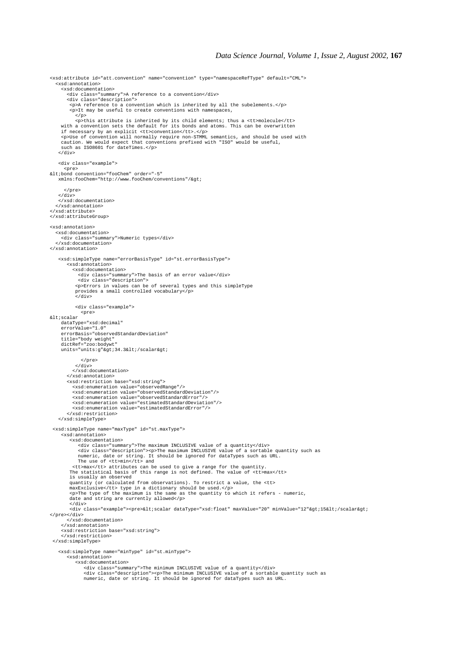<xsd:attribute id="att.convention" name="convention" type="namespaceRefType" default="CML"> <xsd:annotation> <xsd:documentation> <div class="summary">A reference to a convention</div> <div class="description"> <p>A reference to a convention which is inherited by all the subelements.</p> <p>It may be useful to create conventions with namespaces,  $\langle$ /p> <p>this attribute is inherited by its child elements; thus a <tt>molecule</tt> with a convention sets the default for its bonds and atoms. This can be overwritten if necessary by an explicit <tt>convention</tt>.</p> <p>Use of convention will normally require non-STMML semantics, and should be used with caution. We would expect that conventions prefixed with "ISO" would be useful, such as ISO8601 for dateTimes.</p> </div> <div class="example"> <pre> <bond convention="fooChem" order="-5" xmlns:fooChem="http://www.fooChem/conventions"/>  $\epsilon$ /pres  $\langle$  /div> </xsd:documentation> </xsd:annotation> </xsd:attribute> </xsd:attributeGroup> <xsd:annotation> <xsd:documentation> <div class="summary">Numeric types</div> </xsd:documentation> </xsd:annotation> <xsd:simpleType name="errorBasisType" id="st.errorBasisType"> <xsd:annotation> <xsd:documentation> <div class="summary">The basis of an error value</div> <div class="description"> <p>Errors in values can be of several types and this simpleType provides a small controlled vocabulary</p> </div> <div class="example"> <pre> <scalar dataType="xsd:decimal" errorValue="1.0" errorBasis="observedStandardDeviation" title="body weight" dictRef="zoo:bodywt" units="units:g">34.3</scalar&gt; </pre> </div> </xsd:documentation> </xsd:annotation> <xsd:restriction base="xsd:string"> <xsd:enumeration value="observedRange"/> <xsd:enumeration value="observedStandardDeviation"/> <xsd:enumeration value="observedStandardError"/> <xsd:enumeration value="estimatedStandardDeviation"/> <xsd:enumeration value="estimatedStandardError"/> </xsd:restriction> </xsd:simpleType> <xsd:simpleType name="maxType" id="st.maxType"> <xsd:annotation> <xsd:documentation> <div class="summary">The maximum INCLUSIVE value of a quantity</div> <div class="description"><p>The maximum INCLUSIVE value of a sortable quantity such as numeric, date or string. It should be ignored for dataTypes such as URL. The use of <tt>min</tt> and <tt>max</tt> attributes can be used to give a range for the quantity. The statistical basis of this range is not defined. The value of <tt>max</tt> is usually an observed quantity (or calculated from observations). To restrict a value, the <tt><br>maxExclusive</tt> type in a dictionary should be used.</p><br>xp>The type of the maximum is the same as the quantity to which it refers - numeric,<br>date </div> .<br><div class="example"><pre>&lt;scalar dataType="xsd:float" maxValue="20" minValue="12"&gt;15&lt;/scalar&gt; </pre></div> </xsd:documentation> </xsd:annotation> <xsd:restriction base="xsd:string"> </xsd:restriction> </xsd:simpleType> <xsd:simpleType name="minType" id="st.minType"> <xsd:annotation> <xsd:documentation> <div class="summary">The minimum INCLUSIVE value of a quantity</div><br><div class="description"><p>"The minimum INCLUSIVE value of a sortable quantity such as<br>numeric, date or string. It should be ignored for dataTypes such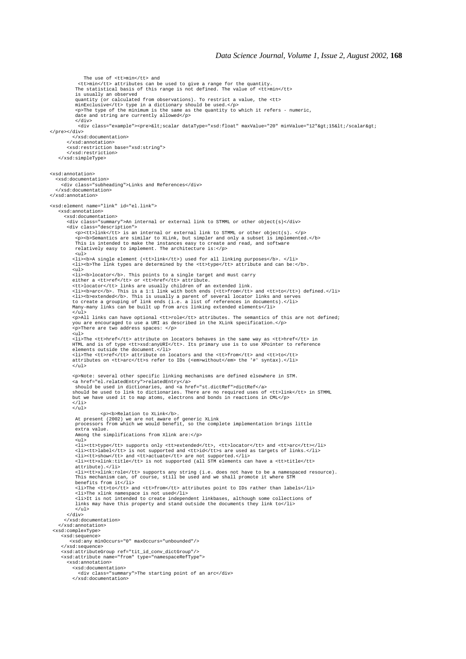The use of <tt>min</tt> and <tt>min</tt> attributes can be used to give a range for the quantity. The statistical basis of this range is not defined. The value of <tt>min</tt> is usually an observed quantity (or calculated from observations). To restrict a value, the <tt> minExclusive</tt> type in a dictionary should be used.</p> <p>The type of the minimum is the same as the quantity to which it refers - numeric, date and string are currently allowed</p> </div> <div class="example"><pre>&lt;scalar dataType="xsd:float" maxValue="20" minValue="12"&qt;l5&lt;/scalar&qt; </pre></div> </xsd:documentation> </xsd:annotation> <xsd:restriction base="xsd:string"> </xsd:restriction> </xsd:simpleType> <xsd:annotation> <xsd:documentation> <div class="subheading">Links and References</div> </xsd:documentation> </xsd:annotation> <xsd:element name="link" id="el.link"> <xsd:annotation> <xsd:documentation> <div class="summary">An internal or external link to STMML or other object(s)</div> <div class="description"> <p><tt>link</tt> is an internal or external link to STMML or other object(s). </p>  $\epsilon$ p> $\epsilon$ b>Semantics are similar to XLink, but simpler and only a subset is implemented. $\epsilon$ /b> This is intended to make the instances easy to create and read, and software relatively easy to implement. The architecture is:</p>  $\epsilon$ ul > <li><b>A single element (<tt>link</tt>) used for all linking purposes</b>. </li> <li><b>The link types are determined by the <tt>type</tt> attribute and can be:</b>. <ul> <li><b>locator</b>. This points to a single target and must carry either a <tt>ref</tt> or <tt>href</tt> attribute. <tt>locator</tt> links are usually children of an extended link.<br>
<li><br/>cb>arc</b>. This is a 1:1 link with both ends (<tt>from</tt> and <tt>to</tt>) defined.</li><br>
<li><br/><br/>>vbextended</bb. This is usually a paren  $\langle$ ul> <p>All links can have optional <tt>role</tt> attributes. The semantics of this are not defined; you are encouraged to use a URI as described in the XLink specification.</p> <p>There are two address spaces: </p>  $\sum$  <li>The <tt>href</tt> attribute on locators behaves in the same way as <tt>href</tt> in HTML and is of type <tt>xsd:anyURI</tt>. Its primary use is to use XPointer to reference elements outside the document.</li><br><liotes and <tt>>ref</tt><br><li>The <tt>ref</tt><br>attributes on <tt>arc</tt>s refer to IDs (<em>without</em> the '#' syntax).</li>  $\langle$ /ul> <p>Note: several other specific linking mechanisms are defined elsewhere in STM. <a href="el.relatedEntry">relatedEntry</a> should be used in dictionaries, and <a href="st.dictRef">dictRef</a> should be used to link to dictionaries. There are no required uses of <tt>link</tt> in STMML but we have used it to map atoms, electrons and bonds in reactions in CML</p>  $\epsilon$ /li>  $\frac{1}{\sqrt{u}}$ **Relation to XLink**</b>At present (2002) we are At present (2002) we are not aware of generic XLink processors from which we would benefit, so the complete implementation brings little extra value. Among the simplifications from Xlink are:</p> <ul> <li><tt>type</tt> supports only <tt>extended</tt>, <tt>locator</tt> and <tt>arc</tt></li> <li><tt>label</tt> is not supported and <tt>id</tt>s are used as targets of links.</li> <li><tt>show</tt> and <tt>actuate</tt> are not supported.</li> <li><tt>xlink:title</tt> is not supported (all STM elements can have a <tt>title</tt> attribute).</li> <li><tt>xlink:role</tt> supports any string (i.e. does not have to be a namespaced resource). This mechanism can, of course, still be used and we shall promote it where STM benefits from it</li> <li>The <tt>to</tt> and <tt>from</tt> attributes point to IDs rather than labels</li> <li>The xlink namespace is not used</li> <li>It is not intended to create independent linkbases, although some collections of links may have this property and stand outside the documents they link to</li>  $\frac{21111}{12}$  </div> </xsd:documentation> </xsd:annotation> <xsd:complexType> <xsd:sequence> <xsd:any minOccurs="0" maxOccurs="unbounded"/> </xsd:sequence> <xsd:attributeGroup ref="tit\_id\_conv\_dictGroup"/> <xsd:attribute name="from" type="namespaceRefType"> <xsd:annotation> <xsd:documentation> <div class="summary">The starting point of an arc</div> </xsd:documentation>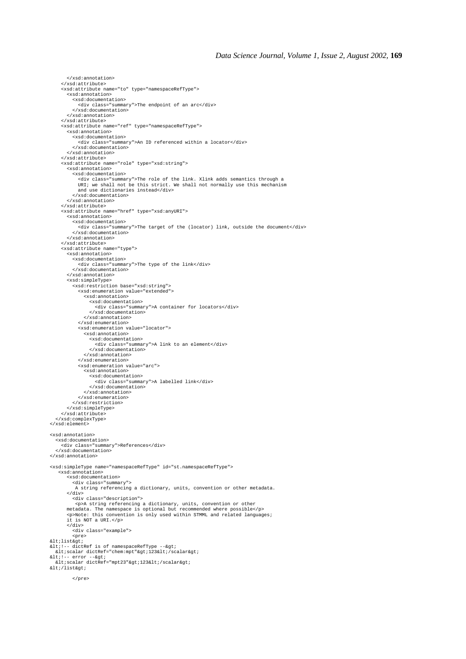```
 </xsd:attribute>
      <xsd:attribute name="to" type="namespaceRefType">
        <xsd:annotation>
           <xsd:documentation>
 <div class="summary">The endpoint of an arc</div>
 </xsd:documentation>
 </xsd:annotation>
 </xsd:attribute>
      <xsd:attribute name="ref" type="namespaceRefType">
        <xsd:annotation>
           <xsd:documentation>
 <div class="summary">An ID referenced within a locator</div>
 </xsd:documentation>
        </xsd:annotation>
      </xsd:attribute>
      <xsd:attribute name="role" type="xsd:string">
        <xsd:annotation>
           <xsd:documentation>
 <div class="summary">The role of the link. Xlink adds semantics through a
 URI; we shall not be this strict. We shall not normally use this mechanism
 and use dictionaries instead</div>
 </xsd:documentation>
        </xsd:annotation>
 </xsd:attribute>
 <xsd:attribute name="href" type="xsd:anyURI">
 <xsd:annotation>
 <xsd:documentation>
             <div class="summary">The target of the (locator) link, outside the document</div>
 </xsd:documentation>
 </xsd:annotation>
      </xsd:attribute>
      <xsd:attribute name="type">
        <xsd:annotation>
           <xsd:documentation>
             <div class="summary">The type of the link</div>
           </xsd:documentation>
        </xsd:annotation>
 <xsd:simpleType>
 <xsd:restriction base="xsd:string">
 <xsd:enumeration value="extended">
 <xsd:annotation>
 <xsd:documentation>
 <div class="summary">A container for locators</div>
 </xsd:documentation>
 </xsd:annotation>
 </xsd:enumeration>
             <xsd:enumeration value="locator">
 <xsd:annotation>
 <xsd:documentation>
 <div class="summary">A link to an element</div>
 </xsd:documentation>
 </xsd:annotation>
 </xsd:enumeration>
             <xsd:enumeration value="arc">
 <xsd:annotation>
 <xsd:documentation>
 <div class="summary">A labelled link</div>
 </xsd:documentation>
                </xsd:annotation>
             </xsd:enumeration>
           </xsd:restriction>
        </xsd:simpleType>
      </xsd:attribute>
 </xsd:complexType>
</xsd:element>
<xsd:annotation>
   <xsd:documentation>
      <div class="summary">References</div>
   </xsd:documentation>
</xsd:annotation>
<xsd:simpleType name="namespaceRefType" id="st.namespaceRefType">
    <xsd:annotation>
        <xsd:documentation>
           <div class="summary">
            A string referencing a dictionary, units, convention or other metadata.
        </div>
          <div class="description">
 <p>A string referencing a dictionary, units, convention or other
 metadata. The namespace is optional but recommended where possible</p>
 <p>Note: this convention is only used within STMML and related languages;
        it is NOT a URI.</p>
 </div>
 <div class="example">
           <pre>
klt;listkat;
<!-- dictRef is of namespaceRefType --&gt;<br>&lt;scalar dictRef="chem:mpt"&gt;123&lt;/scalar&gt;
%lt;!-- error --><br>%lt;scalar dictRef="mpt23"&gt;123&lt;/scalar&gt;
encessed<br>: list&at;
```

```
 </pre>
```
</xsd:annotation>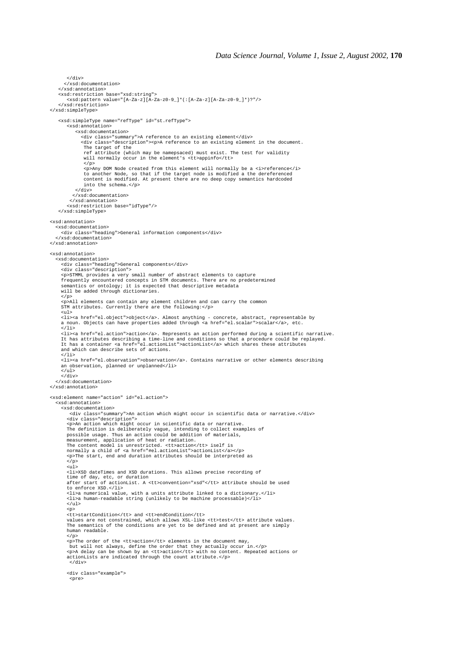$\epsilon$ /div $\sim$  </xsd:documentation> </xsd:annotation> <xsd:restriction base="xsd:string"> <xsd:pattern value="[A-Za-z][A-Za-z0-9\_]\*(:[A-Za-z][A-Za-z0-9\_]\*)?"/> </xsd:restriction> </xsd:simpleType> <xsd:simpleType name="refType" id="st.refType"> <xsd:annotation> <xsd:documentation> <div class="summary">A reference to an existing element</div> <div class="description"><p>A reference to an existing element in the document. The target of the ref attribute (which may be namepsaced) must exist. The test for validity will normally occur in the element's <tt>appinfo</tt>  $\langle$ /p> <p>Any DOM Node created from this element will normally be a <i>reference</i>>> to another Node, so that if the target node is modified a the dereferenced<br>content is modified. At present there are no deep copy semantics ha into the schema.</p> </div> </xsd:documentation> </xsd:annotation> <xsd:restriction base="idType"/> </xsd:simpleType> <xsd:annotation> <xsd:documentation> <div class="heading">General information components</div> </xsd:documentation> </xsd:annotation> <xsd:annotation> <xsd:documentation> <div class="heading">General components</div><br><div class="description"><br><p>STMML provides a very small number of abstract elements to capture<br>frequently encountered concepts in STM documents. There are no predetermined<br>sem will be added through dictionaries. .<br></p> <p>All elements can contain any element children and can carry the common STM attributes. Currently there are the following:</p> <ul> <li><a href="el.object">object</a>. Almost anything - concrete, abstract, representable by a noun. Objects can have properties added through <a href="el.scalar">scalar</a>, etc.  $\lt/1$ i > <li><a href="el.action">action</a>. Represents an action performed during a scientific narrative.<br>It has attributes describing a time-line and conditions so that a procedure could be replayed.<br>It has a container <a href=" and which can describe sets of actions.  $\epsilon$ /li> <li><a href="el.observation">observation</a>. Contains narrative or other elements describing an observation, planned or unplanned</li>  $\frac{1}{\sqrt{u}}$  </div> </xsd:documentation> </xsd:annotation> <xsd:element name="action" id="el.action"> <xsd:annotation> <xsd:documentation> <div class="summary">An action which might occur in scientific data or narrative.</div><br><div class="description"><br><p>An action which might occur in scientific data or narrative. The definition is deliberately vague, intending to collect examples of possible usage. Thus an action could be addition of materials, measurement, application of heat or radiation.<br>The content model is unrestricted. <tt>actions</tt> iself is<br>normally a child of <a href="#el.actionList">actionList</a></p> <p>The start, end and duration attributes should be interpreted as  $\langle$ /p>  $\sin$   $\frac{1}{2}$  <li>XSD dateTimes and XSD durations. This allows precise recording of time of day, etc, or duration after start of actionList. A <tt>convention="xsd"</tt> attribute should be used to enforce XSD.</li>  $\langle$ li $\rangle$ a numerical value, with a units attribute linked to a dictionary. $\langle$ /li $\rangle$  <li>a human-readable string (unlikely to be machine processable)</li>  $\epsilon$ /uls  $-p$  <tt>startCondition</tt> and <tt>endCondition</tt> values are not constrained, which allows XSL-like <tt>test</tt> attribute values. The semantics of the conditions are yet to be defined and at present are simply human readable. </p> <p>The order of the <tt>action</tt> elements in the document may, but will not always, define the order that they actually occur in.</p> <p>A delay can be shown by an <tt>action</tt> with no content. Repeated actions or actionLists are indicated through the count attribute.</p> </div> <div class="example"> <pre>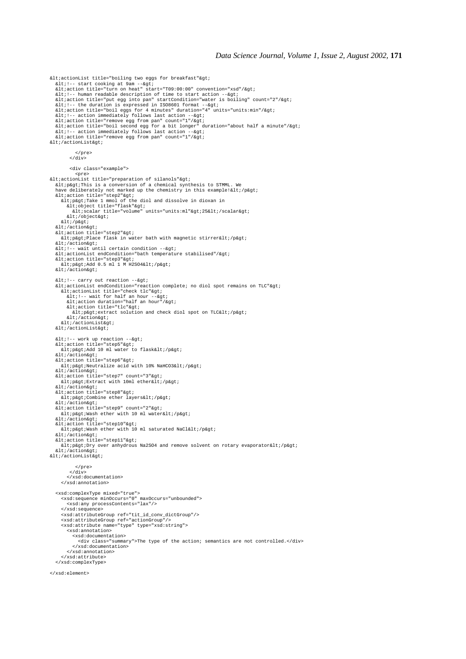<actionList title="boiling two eggs for breakfast"&gt;<br>&lt:!-- start cooking at 9am --&gt;<br>&lt;action title="turn on heat" start="T09:00:00" convention="xsd"/&gt; &It/action title- cum on neat start- 109.00.00 convention- Ast<br>&It/!-- human readable description of time to start action --&gt. <action title="put egg into pan" startCondition="water is boiling" count="2"/&gt;<br>&lt;!-- the duration is expressed in ISO8601 format --&gt;<br>&lt;action title="boil eggs for 4 minutes" duration="4" units="units:min"/&gt; <!-- action immediately follows last action --&gt;<br>&lt;action title="remove egg from pan" count="1"/&gt;<br>&lt;action title="boil second egg for a bit longer" duration="about half a minute"/&gt;<br>&lt;action immediately fol </actionList&gt; </pre> </div> <div class="example"> \pre><br>&lt;actionList title="preparation of silanols"&gt; &lt:p&gt:This is a conversion of a chemical synthesis to STMML. We have deliberately not marked up the chemistry in this example!</p&gt;<br>&lt;action title="step2"&gt;  $\delta$ lt; p $\delta$  at; Take 1 mmol of the diol and dissolve in dioxan in <object title="flask"&gt;<br>&lt;scalar title="volume" units="units:ml"&gt;25&lt;/scalar&gt; </object&gt; </p&gt;  $klt$ ; /action $k$ qt; %lt;action title="step2"><br>%lt;p&gt;Place flask in water bath with magnetic stirrer&lt;/p&gt; </action&gt;<br>&lt;!-- wait until certain condition --&gt;  $\<$ itiactionList endCondition="bath temperature stabilised"/ $\>$ &ltaction title="step3"> <p&gt;Add 0.5 ml 1 M H2SO4&lt;/p&gt;<br>&lt;/action&gt; <!-- carry out reaction --&gt;<br>&lt;actionList endCondition="reaction complete; no diol spot remains on TLC"&gt; %lt;actionList title="check tlc"><br>%lt;!-- wait for half an hour --&gt; <action duration="half an hour"/&gt;<br>&lt;action title="tlc"&gt;<br>&lt;p&gt;extract solution and check diol spot on TLC&lt;/p&gt; </action&gt;<br>&lt;/actionList&gt;  $\<$ lt;/actionList $\>$  $<1$  :-- work up reaction  $--$  $<$ iaction title="step5" $>$ j add 10 ml water to flask</p&gt; </action&gt;<br>&lt;action title="step6"&gt; <p&gt;Neutralize acid with 10% NaHCO3&lt;/p&gt;<br>&lt;/action&gt;<br>&lt;action title="step7" count="3"&gt; alt: p&gt: Extract with 10ml ether&lt: /p&gt:  $\< i$ /action $\> i$ %lt;action title="step8"><br>%lt;p&gt;Combine ether layers&lt;/p&gt;  $k$ ]  $t$  :  $/artionk$  $dt$  :  $%$ alt;action title="step9" count="2"> <p&gt;Wash ether with 10 ml water&lt;/p&gt;<br>&lt;/action&gt;<br>&lt;action title="step10"&gt;<br>&lt;p&gt;Wash ether with 10 ml saturated NaCl&lt;/p&gt;  $\< i / \arctan\> i$  $\<$ itiaction title="step11" $\>$ r <p&gt;Dry over anhydrous Na2SO4 and remove solvent on rotary evaporator&lt;/p&gt;<br>&lt;/action&gt; </actionList&qt; </pre> </div> </xsd:documentation> </xsd:annotation> <xsd:complexType mixed="true"> <xsd:sequence minOccurs="0" maxOccurs="unbounded"> <xsd:any processContents="lax"/> </xsd:sequence> <xsd:attributeGroup ref="tit\_id\_conv\_dictGroup"/> <xsd:attributeGroup ref="actionGroup"/> <xsd:attribute name="type" type="xsd:string"> <xsd:annotation> <xsd:documentation> <div class="summary">The type of the action; semantics are not controlled.</div> </xsd:documentation> </xsd:annotation> </xsd:attribute> </xsd:complexType> </xsd:element>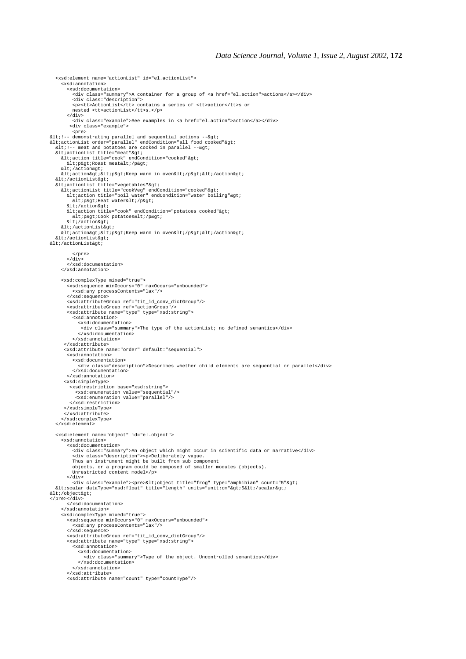<xsd:annotation> <xsd:documentation> <div class="summary">A container for a group of <a href="el.action">actions</a></div> <div class="description"><br><p><tt>ActionList</tt> contains a series of <tt>action</tt>s or<br>nested <tt>actionList</tt>s.</p> </div> <div class="example">See examples in <a href="el.action">action</a></div> <div class="example"> slt;1-- demonstrating parallel and sequential actions --><br>&lt;actionList order="parallel" endCondition="all food cooked"&gt;<br>&lt:1-- meat and potatoes are cooked in parallel --&gt; <actionList title="meat"&gt;<br>&lt;action title="cook" endCondition="cooked"&gt;<br>&lt;p&gt;Roast meat&lt;/p&gt; </action&gt; alt;actionagt;alt;pagt;Keep warm in ovenalt;/pagt;alt;/actionagt; </actionList&gt;<br>&lt;actionList title="vegetables"&gt; <actionList title="cookVeg" endCondition="cooked"&gt;<br>&lt;action title="boil water" endCondition="water boiling"&gt; < p&gt; Heat water&lt; / p&gt; </action&gt; ait//actionagt/<br>&lt/action title="cook" endCondition="potatoes cooked"&qt/ <p&gt;Cook potatoes&lt;/p&gt;<br>&lt;/action&gt;  $klt$ ; /actionList&qt;  $all:action@t:@lt:{}$ p&gt:Keep warm in oven&lt:/p&gt:&lt:/action&gt: alt:/actionList&ot:  $\< it/actionList&qt$  </pre>  $\frac{1}{2}$  </xsd:documentation> </xsd:annotation> <xsd:complexType mixed="true"> <xsd:sequence minOccurs="0" maxOccurs="unbounded"> <xsd:any processContents="lax"/> </xsd:sequence> <xsd:attributeGroup ref="tit\_id\_conv\_dictGroup"/> <xsd:attributeGroup ref="actionGroup"/> <xsd:attribute name="type" type="xsd:string"> <xsd:annotation> <xsd:documentation> <div class="summary">The type of the actionList; no defined semantics</div> </xsd:documentation> </xsd:annotation> </xsd:attribute> <xsd:attribute name="order" default="sequential"> <xsd:annotation> <xsd:documentation> <div class="description">Describes whether child elements are sequential or parallel</div> </xsd:documentation> </xsd:annotation> <xsd:simpleType> <xsd:restriction base="xsd:string"> <xsd:enumeration value="sequential"/> <xsd:enumeration value="parallel"/> </xsd:restriction> </xsd:simpleType> </xsd:attribute> </xsd:complexType> </xsd:element> <xsd:element name="object" id="el.object"> <xsd:annotation> <xsd:documentation> <div class="summary">An object which might occur in scientific data or narrative</div> <div class="description"><p>Deliberately vague. Thus an instrument might be built from sub component objects, or a program could be composed of smaller modules (objects). Unrestricted content model</p> </div> div class="example"><pre>&lt;object title="frog" type="amphibian" count="5"&gt;><br>&lt;scalar dataType="xsd:float" title="length" units="unit:cm"&gt;5&lt;/scalar&gt; </object&qt; </pre></div> </xsd:documentation> </xsd:annotation> <xsd:complexType mixed="true"> <xsd:sequence minOccurs="0" maxOccurs="unbounded"> <xsd:any processContents="lax"/> </xsd:sequence> <xsd:attributeGroup ref="tit\_id\_conv\_dictGroup"/> <xsd:attribute name="type" type="xsd:string"> <xsd:annotation> <xsd:documentation> <div class="summary">Type of the object. Uncontrolled semantics</div> </xsd:documentation> </xsd:annotation> </xsd:attribute> <xsd:attribute name="count" type="countType"/>

<xsd:element name="actionList" id="el.actionList">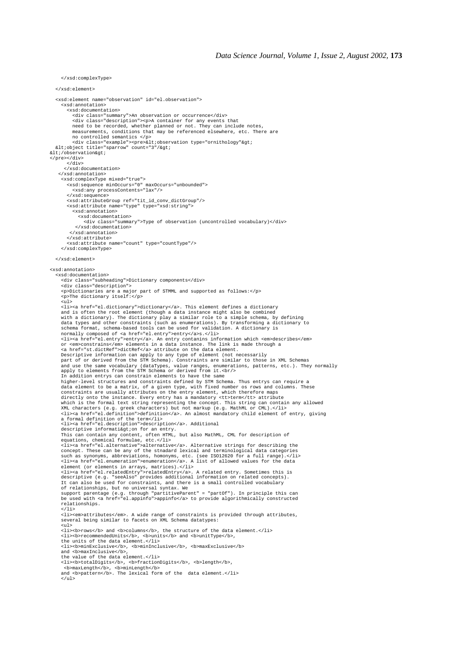</xsd:complexType> </xsd:element> <xsd:element name="observation" id="el.observation"> <xsd:annotation> <xsd:documentation> <div class="summary">An observation or occurrence</div><br><div class="description"><p>A container for any events that<br>need to be recorded, whether planned or not. They can include notes,<br>measurements, conditions that may be no controlled semantics </p> <div class="example"><pre>&lt;observation type="ornithology"&gt;<br>&lt;object title="sparrow" count="3"/&gt;  $< i$  / observation  $> i$ </pre></div> </div> </xsd:documentation> </xsd:annotation> <xsd:complexType mixed="true"> <xsd:sequence minOccurs="0" maxOccurs="unbounded"> <xsd:any processContents="lax"/> </xsd:sequence> <xsd:attributeGroup ref="tit\_id\_conv\_dictGroup"/> <xsd:attribute name="type" type="xsd:string"> <xsd:annotation> <xsd:documentation> <div class="summary">Type of observation (uncontrolled vocabulary)</div> </xsd:documentation> </xsd:annotation> </xsd:attribute> <xsd:attribute name="count" type="countType"/> </xsd:complexType> </xsd:element> <xsd:annotation> <xsd:documentation> <div class="subheading">Dictionary components</div> <div class="description"> <p>Dictionaries are a major part of STMML and supported as follows:</p> <p>The dictionary itself:</p>  $\frac{1}{5}$  <li><a href="el.dictionary">dictionary</a>. This element defines a dictionary and is often the root element (though a data instance might also be combined with a dictionary). The dictionary play a similar role to a simple schema, by defining data types and other constraints (such as enumerations). By transforming a dictionary to schema format, schema-based tools can be used for validation. A dictionary is normally composed of <a href="el.entry">entry</a>s.</li><br><li><a href="el.entry">entry</a>. An entry contanins information which <em>describes</em>or <em>constrains</em>>/cm and information which <em>describes</em>or <em>co Descriptive information can apply to any type of element (not necessarily<br>part of or derived from the STM Schema). Constraints are similar to those in XML Schemas<br>and use the same vocabulary (dataTypes, value ranges, enume In addition entrys can constrain elements to have the same higher-level structures and constraints defined by STM Schema. Thus entrys can require a<br>data element to be a matrix, of a given type, with fixed number os rows and columns. These<br>constraints are usually attributes on the <li><a href="el.definition">definition</a>. An almost mandatory child element of entry, giving<br>a formal definition of the term</li><br>a formal definition of the term</libutional descriptive informati&gtion for an entry.<br>This can contain any content, often HTML, but also MathML, CML for description of<br>equations, chemical formulae, etc.</li><br><li></li></a>></li></a>so MathML, CML for description of<br>e <li><a href="el.relatedEntry">relatedEntry</a>. A related entry. Sometimes this is<br>descriptive (e.g. "seeAlso" provides additional information on related concepts).<br>It can also be used for constraints, and there is a small support parentage (e.g. through "partitiveParent" = "partOf"). In principle this can be used with <a href="el.appinfo">appinfo</a> to provide algorithmically constructed relationships.  $\epsilon$ /li> <li><em>attributes</em>. A wide range of constraints is provided through attributes,<br>several being similar to facets on XML Schema datatypes: <ul>  $\langle$ li><br/>*columns*  $\langle$ /b> and  $\langle$ b>columns</b>, the structure of the data element.</li> <li><b>recommendedUnits</b>, <b>units</b> and <b>unitType</b>, the units of the data element.</li> <li><b>minExclusive</b>, <b>minInclusive</b>, <b>maxExclusive</b> and **<br/>b>maxInclusive**</b>, the value of the data element.</li><br>
<li>>
<li>>btotalDigits</b>, <br/> <br/>>horonligits</b>, <br/> <br/> <br/>>b>noxLength>></b></b</></><br/>>><br/>somaxLength>/b>, <br/><br/>and <br/> $\langle$ brand dorpattern</b>. The lexic

 $\langle$ ul>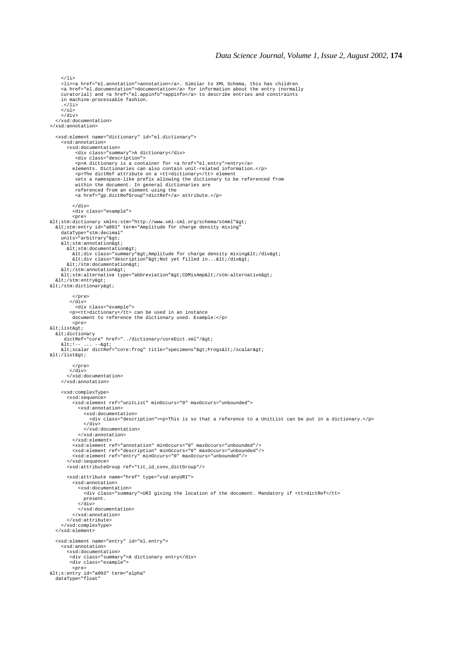<li><a href="el.annotation">annotation</a>. Similar to XML Schema, this has children <a href="el.documentation">documentation</a> for information about the entry (normally curatorial) and <a href="el.appinfo">appinfo</a> to describe entries and constraints in machine-processable fashion. .</li> </ul> </div> </xsd:documentation> </xsd:annotation> <xsd:element name="dictionary" id="el.dictionary"> <xsd:annotation> <xsd:documentation> <div class="summary">A dictionary</div> <div class="description"> <p>A dictionary is a container for <a href="el.entry">entry</a> elements. Dictionaries can also contain unit-related information.</p> <p>The dictRef attribute on a <tt>dictionary</tt> element sets a namespace-like prefix allowing the dictionary to be referenced from within the document. In general dictionaries are referenced from an element using the <a href="gp.dictRefGroup">dictRef</a> attribute.</p> </div> <div class="example"> %lt;stm:dictionary xmlns:stm="http://www.xml-cml.org/schema/stmml"><br>
&lt;stm:entry id="a001" term="Amplitude for charge density mixing"<br>
dataType="stm:decimal"<br>
units="arbitrary"&gt; %lt;stm:annotation><br>%lt;stm:documentation&gt; <div class="summary"&gt;Amplitude for charge density mixing&lt;/div&gt;<br>&lt;div class="description"&gt;Not yet filled in...&lt;/div&gt;  $<$  / stm:documentation $>$ </stm:annotation&gt;  $\<1$ t;stm:alternative type="abbreviation" $\>g$ t;CDMixAmp $\<1$ ;/stm:alternative $\>g$ t; </stm:entry&gt;<br>&lt;/stm:dictionary&gt; </pre>  $\langle$ div $>$  <div class="example"> <p><tt>dictionary</tt> can be used in an instance document to reference the dictionary used. Example:</p> <pre>  $k$ lt;list $k$ at; and altidictionary dictRef="core" href="../dictionary/coreDict.xml"/> <!-- ... --&gt;<br>&lt;scalar dictRef="core:frog" title="specimens"&gt;Frogs&lt;/scalar&gt; </list&gt; </pre>  $\langle$ div $>$  </xsd:documentation> </xsd:annotation> <xsd:complexType> <xsd:sequence> <xsd:element ref="unitList" minOccurs="0" maxOccurs="unbounded"> <xsd:annotation> <xsd:documentation> <div class="description"><p>This is so that a reference to a UnitList can be put in a dictionary.</p>  $\frac{1}{\sqrt{div}}$  </xsd:documentation> </xsd:annotation> </xsd:element> <xsd:element ref="annotation" minOccurs="0" maxOccurs="unbounded"/> <xsd:element ref="description" minOccurs="0" maxOccurs="unbounded"/> <xsd:element ref="entry" minOccurs="0" maxOccurs="unbounded"/> </xsd:sequence> <xsd:attributeGroup ref="tit\_id\_conv\_dictGroup"/> <xsd:attribute name="href" type="xsd:anyURI"> <xsd:annotation> <xsd:documentation> <div class="summary">URI giving the location of the document. Mandatory if <tt>dictRef</tt> present. </div> </xsd:documentation> </xsd:annotation> </xsd:attribute> </xsd:complexType> </xsd:element> <xsd:element name="entry" id="el.entry"> <xsd:annotation> <xsd:documentation> <div class="summary">A dictionary entry</div> <div class="example"> <pre><br>&lt;s:entry id="a003" term="alpha"<br>dataType="float"

 $2/115$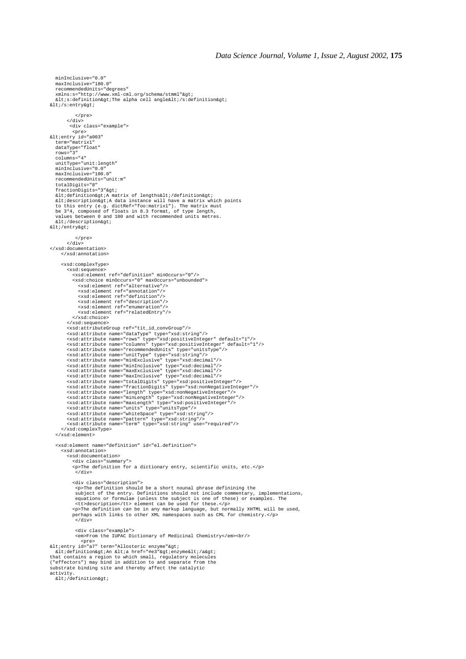```
 minInclusive="0.0"
    maxInclusive="180.0"
    recommendedUnits="degrees"
   xmlns:s="http://www.xml-cml.org/schema/stmml">
   \< is:definition \> if the alpha cell angle \< 1/s:definition \> 0.</s:entry&gt;
               </pre>
</div><br><div class="example">
%Pre><br>%lt;entry id="a003"<br>term="matrix1"<br>dataType="float"
    rows="3"
    columns="4"
   unitType="unit:length"
 minInclusive="0.0"
 maxInclusive="100.0"
    recommendedUnits="unit:m"
    totalDigits="8"
fractionDigits="3"><br>&lt;definition&gt;A matrix of lengths&lt;/definition&gt;
&ltidescription&gtiA data instance will have a matrix which points<br>to this entry (e.g. dictRef="foo:matrix1"). The matrix must<br>be 3*4, composed of floats in 8.3 format, of type length,
    values between 0 and 100 and with recommended units metres.
   %lt;/description>
</entry&qt;
 </pre>
 </div>
</xsd:documentation>
       </xsd:annotation>
       <xsd:complexType>
          <xsd:sequence>
             <xsd:element ref="definition" minOccurs="0"/>
<xsd:choice minOccurs="0" maxOccurs="unbounded"><br>
<xsd:element ref="alternative"/><br>
<xsd:element ref="annotation"/><br>
<xsd:element ref="annotation"/><br>
<xsd:element ref="definition"/><br>
<xsd:element ref="description"/><br>
<xsd:
             </xsd:choice>
          </xsd:sequence>
<xsd:attributeGroup ref="tit_id_convGroup"/><br><xsd:attribute name="dataType" type="xsd:string"/><br><xsd:attribute name="rows" type="xsd:positiveInteger" default="1"/>
          <xsd:attribute name="columns" type="xsd:positiveInteger" default="1"/>
<xsd:attribute name="recommendedUnits" type="unitsType"/><br>
xxsd:attribute name="unitType" type="xsd:string"/><br>
xxsd:attribute name="unifType" type="xsd:decimal"/><br>
xxsd:attribute name="maxExclusive" type="xsd:decimal"/><br>
x
    </xsd:element>
    <xsd:element name="definition" id="el.definition">
       <xsd:annotation>
 <xsd:documentation>
 <div class="summary">
             <p>The definition for a dictionary entry, scientific units, etc.</p>
               </div>
             <div class="description">
               <p>The definition should be a short nounal phrase definining the
              subject of the entry. Definitions should not include commentary, implementations,
 equations or formulae (unless the subject is one of these) or examples. The
 <tt>description</tt> element can be used for these.</p>
 <p>The definition can be in any markup language, but normally XHTML will be used,
 perhaps with links to other XML namespaces such as CML for chemistry.</p>
              \langlediv\sim<div class="example"><br><em>From the IUPAC Dictionary of Medicinal Chemistry</em><br/>
slt;entry id="<br>&lt;entry id="a7" term="Allosteric enzyme"&gt;<br>&lt;definition&gt;An &lt;a href="#e3"&gt;enzyme&lt;/a&gt;
that contains a region to which small, regulatory molecules
("effectors") may bind in addition to and separate from the
substrate binding site and thereby affect the catalytic
activity.<br>&lt:/definition&gt:
```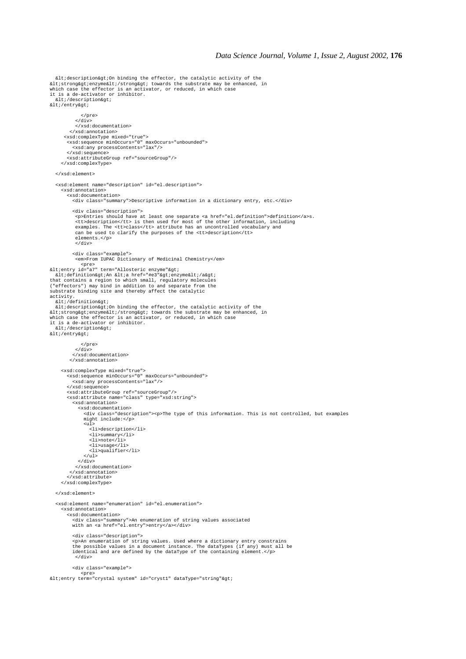```
&ltidescription&gtiOn binding the effector, the catalytic activity of the<br>&ltistrong&gtienzyme&lti/strong&gti towards the substrate may be enhanced, in<br>which case the effector is an activator, or reduced, in which case<br>it 
  < i/description> i</entry&gt;
                </pre>
            \langlediv> </xsd:documentation>
           </xsd:annotation>
        <xsd:complexType mixed="true">
 <xsd:sequence minOccurs="0" maxOccurs="unbounded">
 <xsd:any processContents="lax"/>
 </xsd:sequence>
 <xsd:attributeGroup ref="sourceGroup"/>
      </xsd:complexType>
   </xsd:element>
   <xsd:element name="description" id="el.description">
      <xsd:annotation>
         <xsd:documentation>
            <div class="summary">Descriptive information in a dictionary entry, etc.</div>
            <div class="description">
<p>Entries should have at least one separate <a href="el.definition">definition</a>s.<br><tt>description</tt> is then used for most of the other information, including<br>examples. The <tt>class</tt> attribute has an uncontrolle
             elements.</p>
            \frac{25}{100} <div class="example">
             <em>From IUPAC Dictionary of Medicinal Chemistry</em>
spre><br>&lt;entry id="a7" term="Allosteric enzyme"&gt;
 <definition>An <a href="#e3">enzyme</a>
that contains a region to which small, regulatory molecules
("effectors") may bind in addition to and separate from the
substrate binding site and thereby affect the catalytic
activity.
  .......<br>&lt:/definition&at:
klt;description>On binding the effector, the catalytic activity of the<br>klt;strong&gt;enzyme&lt;/strong&gt; towards the substrate may be enhanced, in
which case the effector is an activator, or reduced, in which case
it is a de-activator or inhibitor.
  < / description<</entry&gt;
               \epsilon/pres
            \langlediv> </xsd:documentation>
           </xsd:annotation>
 <xsd:complexType mixed="true">
 <xsd:sequence minOccurs="0" maxOccurs="unbounded">
            <xsd:any processContents="lax"/>
         </xsd:sequence>
 <xsd:attributeGroup ref="sourceGroup"/>
 <xsd:attribute name="class" type="xsd:string">
            <xsd:annotation>
               <xsd:documentation>
 <div class="description"><p>The type of this information. This is not controlled, but examples
 might include:</p>
 <ul>
 <li>description</li>
                    <li>summary</li>
                    <li>note</li>
 <li>usage</li>
 <li>qualifier</li>
                 \langle \text{ul}\rangle\langlediv> </xsd:documentation>
           </xsd:annotation>
         </xsd:attribute>
      </xsd:complexType>
   </xsd:element>
   <xsd:element name="enumeration" id="el.enumeration">
      <xsd:annotation>
         <xsd:documentation>
 <div class="summary">An enumeration of string values associated
 with an <a href="el.entry">entry</a></div>
            <div class="description">
            <p>An enumeration of string values. Used where a dictionary entry constrains
 the possible values in a document instance. The dataTypes (if any) must all be
 identical and are defined by the dataType of the containing element.</p>
             </div>
            <div class="example">
<pre><br>&lt;entry term="crystal system" id="cryst1" dataType="string"&gt;
```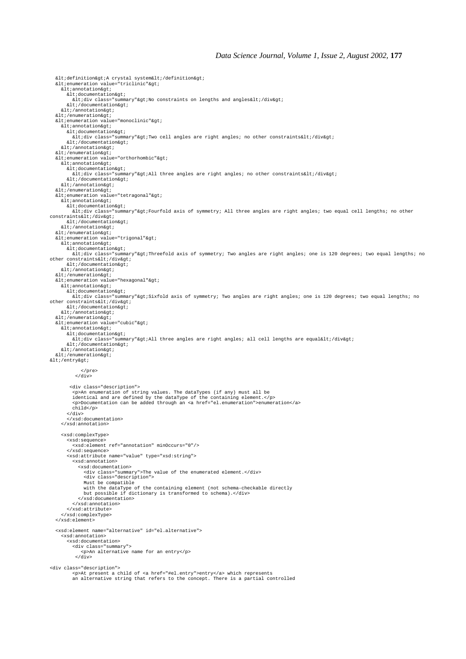```
<definition&gt;A crystal system&lt;/definition&gt;<br>&lt;enumeration value="triclinic"&gt;
    \<1 : annotation\<at:
       <documentation&gt;
         \<itidiv class="summary"&gtiNo constraints on lengths and angles\<iti\<iv&gti
       \&1t; /documentation>
     klt; /annotationkqt;
\<lt; / \text{enumeration} \<gt; \text{if } \text{monoclinic} \<gt; \text{if } \text{inoclinic} \<gt; \text{if } \text{outoclinic} \<gt; \text{if } \text{outoclinic} \<gt; \text{if } \text{outoclinic} \<gt; \text{if } \text{outoclinic} \<gt; \text{if } \text{outoclinic} \<gt; \text{if } \text{outoclinic} \<gt; \text{if } \text{outoclinic} \<gt; \text{if } \text{outoclinic} \<gt; \text{if } \text{outoclinic<itiannotation>i
        <documentation>
          \deltaltidiv class="summary"\deltagtiTwo cell angles are right angles; no other constraints\deltalti/div\deltagti
</documentation&gt;<br>&lt;/annotation&gt;
  < i/enumeration> iare://chameration.ge/<br>&lt/enumeration value="orthorhombic"&gt/
    klt;annotationkgt;
<documentation&gt;<br>&lt;div class="summary"&gt;All three angles are right angles; no other constraints&lt;/div&gt;
       < i /documentation&qt;
     </annotation&gt;
</enumeration&gt;<br>&lt;enumeration value="tetragonal"&gt;
    klt; annotationkgt;
       <documentation&gt;
          -croccommenceronayer<br>Elt/div class="summary"&qt/Fourfold axis of symmetry; All three angles are right angles; two equal cell lengths; no other
constraints</div&gt;<br>&lt;/documentation&gt;
     \< i / \text{annotation} \< i</enumeration&gt;
  \<It:enumeration value="trigonal"\>%lt;annotation><br>%lt;documentation&gt;
          <div class="summary">Threefold axis of symmetry; Two angles are right angles; one is 120 degrees; two equal lengths; no
other constraints</div&gt;
       < /documentation<</annotation&gt;
  </enumeration&gt;
  <ienumeration value="hexagonal">i
     < annotation<<documentation&gt;<br>&lt;div class="summary"&gt;Sixfold axis of symmetry; Two angles are right angles; one is 120 degrees; two equal lengths; no
other constraints</div&gt;
</documentation&gt;<br>&lt;/annotation&gt;
</enumeration&gt;<br>&lt;enumeration value="cubic"&gt;
    klt; annotationkgt;
       \< i \text{documentation} \< i <div class="summary">All three angles are right angles; all cell lengths are equal</div>
       < i /documentation&qt;
     < i / annotation < i< i/enumeration> i</entry&gt;
               </pre>
            </div>
          <div class="description">
<p>An enumeration of string values. The dataTypes (if any) must all be<br>identical and are defined by the dataType of the containing element.</p><br><p>Documentation can be added through an <a href="el.enumeration">enumeration
           child</p>
 </div>
 </xsd:documentation>
      </xsd:annotation>
      <xsd:complexType>
        <xsd:sequence>
           <xsd:element ref="annotation" minOccurs="0"/>
         </xsd:sequence>
         <xsd:attribute name="value" type="xsd:string">
           <xsd:annotation>
              <xsd:documentation>
 <div class="summary">The value of the enumerated element.</div>
 <div class="description">
 Must be compatible
 with the dataType of the containing element (not schema-checkable directly
                but possible if dictionary is transformed to schema).</div>
              </xsd:documentation>
           </xsd:annotation>
         </xsd:attribute>
      </xsd:complexType>
   </xsd:element>
   <xsd:element name="alternative" id="el.alternative">
       <xsd:annotation>
        <xsd:documentation>
 <div class="summary">
 <p>An alternative name for an entry</p>
             </div>
<div class="description">
```
<p>At present a child of <a href="#el.entry">entry</a> which represents an alternative string that refers to the concept. There is a partial controlled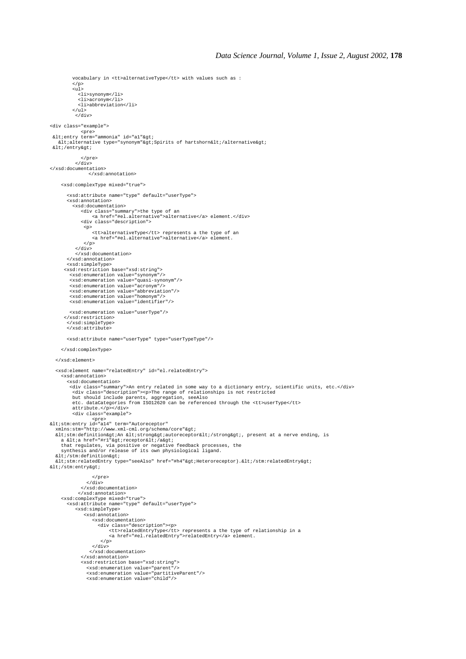```
 vocabulary in <tt>alternativeType</tt> with values such as :
             </p>
           \sin 1 <li>synonym</li>
               <li>acronym</li>
               <li>abbreviation</li>
           \langle/ul>
              </div>
<div class="example">
spre><br>
slt/entry term="ammonia" id="a1"&gt/<br>
slt/alternative type="synonym"&gt/Spirits of hartshorn&lt//alternative&gt/<br>
slt//entry&gt/
                 :/pre>
             </div>
</xsd:documentation>
                    </xsd:annotation>
      <xsd:complexType mixed="true">
          <xsd:attribute name="type" default="userType">
          <xsd:annotation>
            <xsd:documentation>
                 <div class="summary">the type of an
 <a href="#el.alternative">alternative</a> element.</div>
 <div class="description">
                  <p>
<tt>alternativeType</tt> represents a the type of an<br><a href="#el.alternative">alternative</a> element.
                 \langle/p>
              </div>
              </xsd:documentation>
          </xsd:annotation>
 <xsd:simpleType>
 <xsd:restriction base="xsd:string">
 <xsd:enumeration value="synonym"/>
 <xsd:enumeration value="quasi-synonym"/>
 <xsd:enumeration value="acronym"/>
 <xsd:enumeration value="abbreviation"/>
 <xsd:enumeration value="homonym"/>
 <xsd:enumeration value="identifier"/>
           <xsd:enumeration value="userType"/>
        </xsd:restriction>
         </xsd:simpleType>
         </xsd:attribute>
          <xsd:attribute name="userType" type="userTypeType"/>
      </xsd:complexType>
   </xsd:element>
    <xsd:element name="relatedEntry" id="el.relatedEntry">
       <xsd:annotation>
          <xsd:documentation>
           <div class="summary">An entry related in some way to a dictionary entry, scientific units, etc.</div>
<div class="description"><p>The range of relationships is not restricted<br>but should include parents, aggregation, seeAlso<br>etc. dataCategories from ISO12620 can be referenced through the <tt>userType</tt>
            attribute.</p></div>
            <div class="example">
pre><br>&lt;stm:entry id="a14" term="Autoreceptor"<br>xmlns:stm="http://www.xml-cml.org/schema/core"&gt;
   autore and the finition and the finite of the strong and the strong and the strong of the strong of the strong of the strong of the strong set is trong and the strong of the strong set is trong to the strong of the strong 
a <a href="#r1"&gt;receptor&lt;/a&gt;<br>that regulates, via positive or negative feedback processes, the<br>synthesis and/or release of its own physiological ligand.
</stm:definition&gt;<br>&lt;stm:relatedEntry type="seeAlso" href="#h4"&gt;Heteroreceptor).&lt;/stm:relatedEntry&gt;
</stm:entry&qt;
                       </pre>
 </div>
 </xsd:documentation>
 </xsd:annotation>
 <xsd:complexType mixed="true">
 <xsd:attribute name="type" default="userType">
             <xsd:simpleType>
                  <xsd:annotation>
                       <xsd:documentation>
                         <div class="description"><p>
<tt>relatedEntryType</tt> represents a the type of relationship in a<br><a href="#el.relatedEntry">relatedEntry</a> element.
                          \langle/p>
 </div>
 </xsd:documentation>
 </xsd:annotation>
 <xsd:restriction base="xsd:string">
 <xsd:enumeration value="parent"/>
 <xsd:enumeration value="partitiveParent"/>
 <xsd:enumeration value="child"/>
```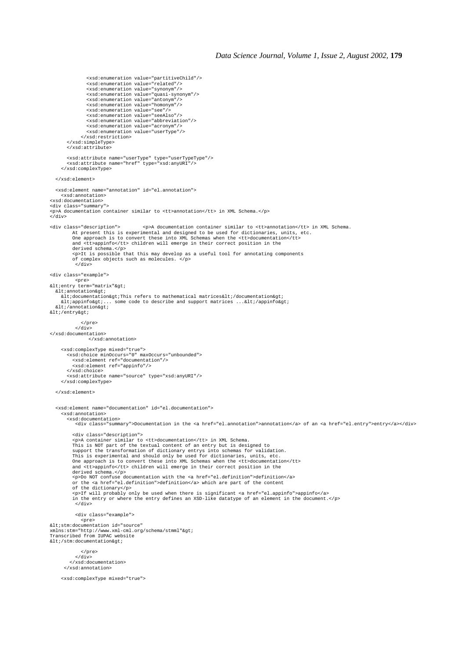```
 <xsd:enumeration value="partitiveChild"/>
 <xsd:enumeration value="related"/>
 <xsd:enumeration value="synonym"/>
 <xsd:enumeration value="quasi-synonym"/>
                  <xsd:enumeration value="antonym"/>
 <xsd:enumeration value="homonym"/>
 <xsd:enumeration value="see"/>
 <xsd:enumeration value="seeAlso"/>
 <xsd:enumeration value="abbreviation"/>
 <xsd:enumeration value="acronym"/>
 <xsd:enumeration value="userType"/>
                </xsd:restriction>
 </xsd:simpleType>
 </xsd:attribute>
 <xsd:attribute name="userType" type="userTypeType"/>
 <xsd:attribute name="href" type="xsd:anyURI"/>
      </xsd:complexType>
   </xsd:element>
   <xsd:element name="annotation" id="el.annotation">
      <xsd:annotation>
<xsd:documentation>
<div class="summary">
<p>A documentation container similar to <tt>annotation</tt> in XML Schema.</p>
</div>
<div class="description">>
op>A documentation container similar to <tt>annotation</tt> in XML Schema.<br>At present this is experimental and designed to be used for dictionaries, units, etc.<br>One approach is to convert these i
           and <tt>appinfo</tt> children will emerge in their correct position in the
           derived schema.</p>
 <p>It is possible that this may develop as a useful tool for annotating components
 of complex objects such as molecules. </p>
             </div>
<div class="example">
pre><br>&lt:entry term="matrix"&gt:
klt;annotation><br>&lt;documentation&gt;This refers to mathematical matrices&lt;/documentation&gt;
\<ltiappinfo\>:... some code to describe and support matrices ...\<lti/appinfo\>klti/entrykgti </pre>
            </div>
</xsd:documentation>
                   </xsd:annotation>
      <xsd:complexType mixed="true">
 <xsd:choice minOccurs="0" maxOccurs="unbounded">
 <xsd:element ref="documentation"/>
 <xsd:element ref="appinfo"/>
 </xsd:choice>
 <xsd:attribute name="source" type="xsd:anyURI"/>
      </xsd:complexType>
   </xsd:element>
   <xsd:element name="documentation" id="el.documentation">
      <xsd:annotation>
         <xsd:documentation>
             <div class="summary">Documentation in the <a href="el.annotation">annotation</a> of an <a href="el.entry">entry</a></div>
            <div class="description">
            <p>A container similar to <tt>documentation</tt> in XML Schema.
This is NOT part of the textual content of an entry but is designed to<br>support the transformation of dictionary entrys into schemas for validation.<br>This is experimental and should only be used for dictionaries, units, etc.
 derived schema.</p>
 <p>Do NOT confuse documentation with the <a href="el.definition">definition</a>
           or the <a href="el.definition">definition</a> which are part of the content
           of the dictionary</p>
            <p>If will probably only be used when there is significant <a href="el.appinfo">appinfo</a>
           in the entry or where the entry defines an XSD-like datatype of an element in the document.</p>
             </div>
             <div class="example">
<pre><br>&lt;stm:documentation id="source"
xmlns:stm="http://www.xml-cml.org/schema/stmml">
Transcribed from IUPAC website
klt;/stm:documentation>
                </pre>
            \sqrt{d}} </xsd:documentation>
       </xsd:annotation>
      <xsd:complexType mixed="true">
```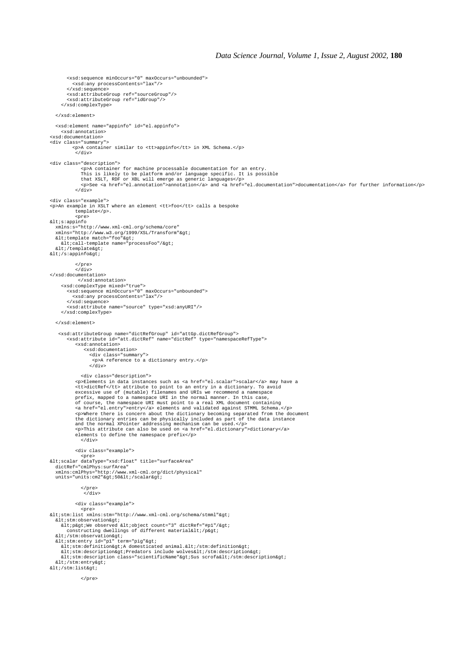<xsd:sequence minOccurs="0" maxOccurs="unbounded"> <xsd:any processContents="lax"/> </xsd:sequence> <xsd:attributeGroup ref="sourceGroup"/> <xsd:attributeGroup ref="idGroup"/> </xsd:complexType> </xsd:element> <xsd:element name="appinfo" id="el.appinfo"> <xsd:annotation> <xsd:documentation> <div class="summary"> <p>A container similar to <tt>appinfo</tt> in XML Schema.</p> </div> <div class="description"> <p>A container for machine processable documentation for an entry. This is likely to be platform and/or language specific. It is possible that XSLT, RDF or XBL will emerge as generic languages</p> <p>See <a href="el.annotation">annotation</a> and <a href="el.documentation">documentation</a> for further information</p> </div> <div class="example"> <p>An example in XSLT where an element <tt>foo</tt> calls a bespoke template</p>. <pre><br>alt*i*s:appinfo& xmlns:s="http://www.xml-cml.org/schema/core" xmlns="http://www.w3.org/1999/XSL/Transform"><br>&lt;template match="foo"&gt; <call-template name="processFoo"/&gt;<br>&lt;/template&gt;  $\< i/s:$ appinfo $\> i$  $\epsilon$ /pres  $\frac{1}{2}$ </xsd:documentation> </xsd:annotation> <xsd:complexType mixed="true"> <xsd:sequence minOccurs="0" maxOccurs="unbounded"> <xsd:any processContents="lax"/> </xsd:sequence> <xsd:attribute name="source" type="xsd:anyURI"/> </xsd:complexType> </xsd:element> <xsd:attributeGroup name="dictRefGroup" id="attGp.dictRefGroup"> <xsd:attribute id="att.dictRef" name="dictRef" type="namespaceRefType"> <xsd:annotation> <xsd:documentation> <div class="summary"> <p>A reference to a dictionary entry.</p> </div> <div class="description">  $\epsilon$ P>Elements in data instances such as  $\epsilon$ a href="el.scalar">scalar $\epsilon/\alpha$ > may have a<br>  $\epsilon$ tt>dictRe $\epsilon/\epsilon$ tt> attribute to point to an entry in a dictionary. To avoid<br>
excessive use of (mutable) filenames and URIs we r  $\epsilon$  p>Where there is concern about the dictionary becoming separated from the document<br>the dictionary entries can be physically included as part of the data instance<br>and the normal XPointer addressing mechanism can be us elements to define the namespace prefix</p> </div> <div class="example"> <pre> <scalar dataType="xsd:float" title="surfaceArea" dictRef="cmlPhys:surfArea"<br>xmlns:cmlPhys="http://www.xml-cml.org/dict/physical"<br>units="units:cm2"&gt;50&lt;/scalar&gt; </pre>  $\sim$ div> <div class="example"> <pre>  $\texttt{Alt}$ ; stm:list xmlns: stm="http://www.xml-cml.org/schema/stmml" > %lt;stm:observation><br>%lt;p&gt;We observed &lt;object count="3" dictRef="#p1"/&gt; constructing dwellings of different material</p&gt;<br>&lt;/stm:observation&gt; <stm:entry id="p1" term="pig"&gt;<br>&lt;stm:definition&gt;A domesticated animal.&lt;/stm:definition&gt;<br>&lt;stm:description&gt;Predators include wolves&lt;/stm:description&gt; <stm:description class="scientificName"&qt;Sus scrofa&lt;/stm:description&qt; </stm:entry&gt; azar: muurimum araadiista.<br>: tab&tati: tab&t </pre>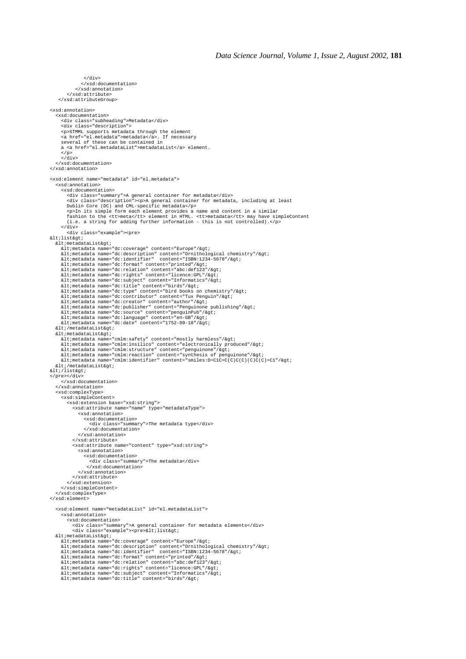```
 </xsd:documentation>
                 </xsd:annotation>
            </xsd:attribute>
      </xsd:attributeGroup>
<xsd:annotation>
    <xsd:documentation>
 <div class="subheading">Metadata</div>
 <div class="description">
 <p>STMML supports metadata through the element
        <a href="el.metadata">metadata</a>. If necessary
 several of these can be contained in
 a <a href="el.metadataList">metadataList</a> element.
       \frac{2}{3}\frac{1}{2} </xsd:documentation>
</xsd:annotation>
<xsd:element name="metadata" id="el.metadata">
     <xsd:annotation>
        <xsd:documentation>
%<br/>div class="summary">A general container for metadata</div><br>
«div class="description"><p>>><p>A general container for metadata, including at least<br>
Tublin Core (DC) and CML-specific metadata</p><br>
«p>In its simple for
        </div>
 <div class="example"><pre>
<list>
<metadataList&gt;<br>&lt;metadata name="dc:coverage" content="Europe"/&gt;
      %10./metadata name="dc:description" content="Arive"/%gt;<br>&lt:metadata name="dc:description" content="Ornithological chemistry"/&gt;<br>&lt:metadata name="dc:identifier" content="ISBN:1234-5678"/&gt;
\verb|alt|: \verb|metadata name="dc:identifier" content="ISBN:1234-5678" / 8gt; \verb|alt|: \verb|metad data name="dc:format" content="path" (2gt; \verb|dr1|). \verb|metad data name="dc:relation" content="abc: (def|23" / 8gt; \verb|dt|). \verb|metad data name="dc:right" content="abc: 6pt123" / 8gt; \verb|dt|: \verb|metad data name="dc: 2pt: 6pt: 7pt: 8pt: \verb|alt|: \verb|metad data name="dc: 2pt: 6pt: 7pt: 7pt: 8pt: \verb|alt|: \verb|metad data name="dc: 2pt%lt;metadataList><br>«It;metadata name="cmlm:safety" content="mostly harmless"/&gt;
<metadata name="cmlm:insilico" content="electronically produced"/&gt;<br>&lt;metadata name="cmlm:structure" content="penguinone"/&gt;<br>&lt;metadata name="cmlm:reaction" content="synthesis of penguinone"/&gt;<br>&lt;metadata na
   <i/metadataList>i
< i/list> i</pre></div>
 </xsd:documentation>
 </xsd:annotation>
 <xsd:complexType>
 <xsd:simpleContent>
            <xsd:extension base="xsd:string">
                <xsd:attribute name="name" type="metadataType">
                   <xsd:annotation>
 <xsd:documentation>
 <div class="summary">The metadata type</div>
                       </xsd:documentation>
                    </xsd:annotation>
                </xsd:attribute>
                <xsd:attribute name="content" type="xsd:string">
                   <xsd:annotation>
 <xsd:documentation>
 <div class="summary">The metadata</div>
                         </xsd:documentation>
                   </xsd:annotation>
                </xsd:attribute>
            </xsd:extension>
        </xsd:simpleContent>
    </xsd:complexType>
</xsd:element>
     <xsd:element name="metadataList" id="el.metadataList">
        <xsd:annotation>
 <xsd:documentation>
 <div class="summary">A general container for metadata elements</div>
               <div class="example"><pre>&lt;list&gt;
<metadataList&gt;<br>&lt;metadata name="dc:coverage" content="Europe"/&gt;
<metadata name="dc:description" content="Ornithological chemistry"/&gt;<br>&lt;metadata name="dc:identifier" content="ISBN:1234-5678"/&gt;
\verb|al|: \verb|metaddta name="dc: format" content="printed" / \>; \verb|sl|: \verb|metaddta name="dc:relation" content="abc: def123" / \>; \verb|sl|: \verb|metaddta name="dc:right" content="line:qclp" / \>; \verb|sl|: \verb|metaddta name="dc:subject" content="line:endics" / \>; \verb|sl|: \verb|metadda name="dc:title" content="into" / \>; \verb|sl|: \verb|metaddta name="dc:title" content="birds" / \>; \verb|t|: \verb|metadda name="dc:title" content="b" / \>; \verb|t|: \verb|
```
 $\epsilon$ /div $\sim$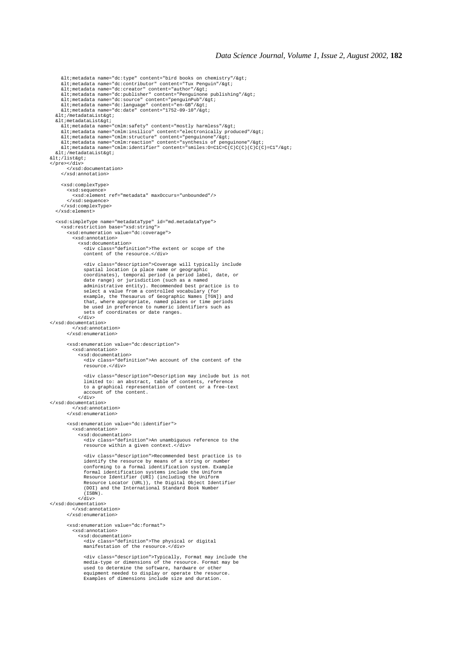```
<metadata name="dc:type" content="bird books on chemistry"/&gt;<br>&lt;metadata name="dc:contributor" content="Tux Penguin"/&gt;<br>&lt;metadata name="dc:creator" content="author"/&gt;<br>&lt;metadata name="dc:publisher" content
<metadata name="dc:source" content="penguinPub"/&gt;<br>&lt;metadata name="dc:language" content="en-GB"/&gt;<br>&lt;metadata name="dc:date" content="1752-09-10"/&gt;
   <i/metadataList>i
<metadataList&gt;<br>&lt;metadata name="cmlm:safety" content="mostly harmless"/&gt;<br>&lt;metadata name="cmlm:insilico" content="electronically produced"/&gt;<br>&lt;metadata name="cmlm:structure" content="penguinone"/&gt;<br>&lt;
  klt;/metadataList>
</list&gt;
</pre></div>
          </xsd:documentation>
       </xsd:annotation>
       <xsd:complexType>
 <xsd:sequence>
 <xsd:element ref="metadata" maxOccurs="unbounded"/>
          </xsd:sequence>
       </xsd:complexType>
    </xsd:element>
    <xsd:simpleType name="metadataType" id="md.metadataType">
       <xsd:restriction base="xsd:string">
          <xsd:enumeration value="dc:coverage">
             <xsd:annotation>
 <xsd:documentation>
 <div class="definition">The extent or scope of the
                   content of the resource \epsilon/d <div class="description">Coverage will typically include
 spatial location (a place name or geographic
coordinates), temporal period (a period label, date, or<br>date range) or jurisdiction (such as a named<br>administrative entity). Recommended best practice is to<br>select a value from a controlled vocabulary (for<br>example, the The
 that, where appropriate, named places or time periods
 be used in preference to numeric identifiers such as
 sets of coordinates or date ranges.
 </div>
</xsd:documentation>
             </xsd:annotation>
          </xsd:enumeration>
          <xsd:enumeration value="dc:description">
             <xsd:annotation>
                 <xsd:documentation>
                    <div class="definition">An account of the content of the
                    resource.</div>
                    <div class="description">Description may include but is not
 limited to: an abstract, table of contents, reference
 to a graphical representation of content or a free-text
 account of the content.
 </div>
</xsd:documentation>
             </xsd:annotation>
          </xsd:enumeration>
          <xsd:enumeration value="dc:identifier">
              <xsd:annotation>
                 <xsd:documentation>
                    <div class="definition">An unambiguous reference to the
                    resource within a given context.</div>
                    <div class="description">Recommended best practice is to
identify the resource by means of a string or number<br>conforming to a formal identification system. Example<br>formal identification systems include the Uniform<br>Resource Identifier (URI) (including the Uniform<br>Resource Locator
                   (TSRN).
 </div>
</xsd:documentation>
              </xsd:annotation>
          </xsd:enumeration>
          <xsd:enumeration value="dc:format">
              <xsd:annotation>
                 <xsd:documentation>
                    <div class="definition">The physical or digital
                   manifestation of the resource.</div>
<div class="description">Typically, Format may include the<br>media-type or dimensions of the resource. Format may be<br>used to determine the software, hardware or other<br>equipment needed to display or operate the resource.<br>Exam
```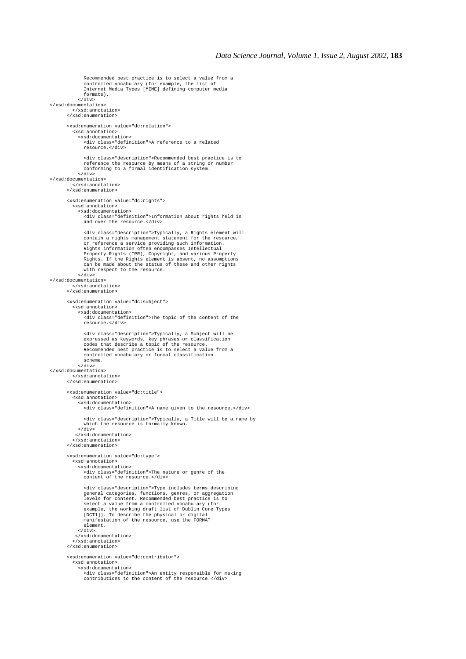```
 Recommended best practice is to select a value from a
 controlled vocabulary (for example, the list of
 Internet Media Types [MIME] defining computer media
                formats).
              </div>
</xsd:documentation>
           </xsd:annotation>
        </xsd:enumeration>
        <xsd:enumeration value="dc:relation">
           <xsd:annotation>
              <xsd:documentation>
 <div class="definition">A reference to a related
 resource.</div>
                 <div class="description">Recommended best practice is to
 reference the resource by means of a string or number
 conforming to a formal identification system.
             \langle div>
</xsd:documentation>
           </xsd:annotation>
        </xsd:enumeration>
        <xsd:enumeration value="dc:rights">
           <xsd:annotation>
              <xsd:documentation>
 <div class="definition">Information about rights held in
 and over the resource.</div>
 <div class="description">Typically, a Rights element will
 contain a rights management statement for the resource,
 or reference a service providing such information.
 Rights information often encompasses Intellectual
 Property Rights (IPR), Copyright, and various Property
 Rights. If the Rights element is absent, no assumptions
 can be made about the status of these and other rights
 with respect to the resource.
              </div>
</xsd:documentation>
           </xsd:annotation>
        </xsd:enumeration>
        <xsd:enumeration value="dc:subject">
            <xsd:annotation>
              <xsd:documentation>
                <div class="definition">The topic of the content of the
                resource.</div>
                 <div class="description">Typically, a Subject will be
 expressed as keywords, key phrases or classification
 codes that describe a topic of the resource.
 Recommended best practice is to select a value from a
                controlled vocabulary or formal classification
                 scheme.
              </div>
</xsd:documentation>
           </xsd:annotation>
        </xsd:enumeration>
        <xsd:enumeration value="dc:title">
           <xsd:annotation>
              <xsd:documentation>
                <div class="definition">A name given to the resource.</div>
 <div class="description">Typically, a Title will be a name by
 which the resource is formally known.
              </div>
            </xsd:documentation>
           </xsd:annotation>
         </xsd:enumeration>
         <xsd:enumeration value="dc:type">
           <xsd:annotation>
              <xsd:documentation>
                 <div class="definition">The nature or genre of the
                content of the resource.</div>
                 <div class="description">Type includes terms describing
 general categories, functions, genres, or aggregation
 levels for content. Recommended best practice is to
 select a value from a controlled vocabulary (for
                 example, the working draft list of Dublin Core Types
 [DCT1]). To describe the physical or digital
 manifestation of the resource, use the FORMAT
                element.
             \epsilon/div\sim </xsd:documentation>
           </xsd:annotation>
         </xsd:enumeration>
         <xsd:enumeration value="dc:contributor">
           <xsd:annotation>
              <xsd:documentation>
 <div class="definition">An entity responsible for making
 contributions to the content of the resource.</div>
```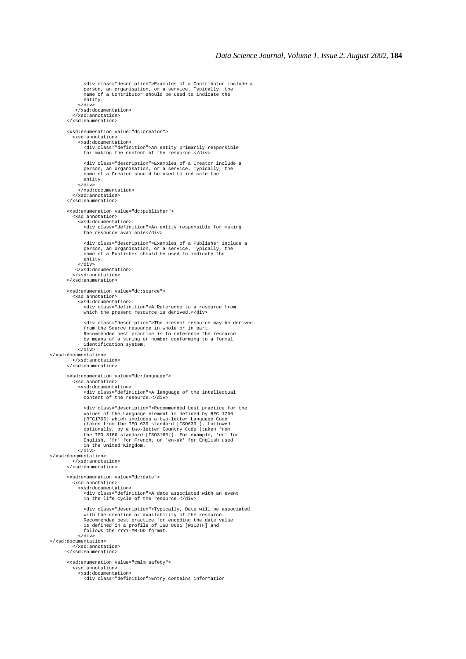```
 person, an organisation, or a service. Typically, the
 name of a Contributor should be used to indicate the
                entity.
             \langlediv> </xsd:documentation>
 </xsd:annotation>
 </xsd:enumeration>
        <xsd:enumeration value="dc:creator">
           <xsd:annotation>
 <xsd:documentation>
 <div class="definition">An entity primarily responsible
               for making the content of the resource.</div>
                <div class="description">Examples of a Creator include a
 person, an organisation, or a service. Typically, the
 name of a Creator should be used to indicate the
                entity.
              </div>
 </xsd:documentation>
 </xsd:annotation>
        </xsd:enumeration>
        <xsd:enumeration value="dc:publisher">
           <xsd:annotation>
             <xsd:documentation>
                <div class="definition">An entity responsible for making
                the resource available</div>
 <div class="description">Examples of a Publisher include a
 person, an organisation, or a service. Typically, the
 name of a Publisher should be used to indicate the
                entity.
             </div>
            </xsd:documentation>
           </xsd:annotation>
        </xsd:enumeration>
        <xsd:enumeration value="dc:source">
           <xsd:annotation>
             <xsd:documentation>
                <div class="definition">A Reference to a resource from
               which the present resource is derived.</div>
                <div class="description">The present resource may be derived
 from the Source resource in whole or in part.
 Recommended best practice is to reference the resource
 by means of a string or number conforming to a formal
                identification system.
             </div>
</xsd:documentation>
           </xsd:annotation>
        </xsd:enumeration>
        <xsd:enumeration value="dc:language">
           <xsd:annotation>
             <xsd:documentation>
                <div class="definition">A language of the intellectual
               content of the resource.</div>
                <div class="description">Recommended best practice for the
 values of the Language element is defined by RFC 1766
 [RFC1766] which includes a two-letter Language Code
 (taken from the ISO 639 standard [ISO639]), followed
                optionally, by a two-letter Country Code (taken from
 the ISO 3166 standard [ISO3166]). For example, 'en' for
 English, 'fr' for French, or 'en-uk' for English used
 in the United Kingdom.
             </div>
</xsd:documentation>
 </xsd:annotation>
        </xsd:enumeration>
        <xsd:enumeration value="dc:date">
           <xsd:annotation>
             <xsd:documentation>
                <div class="definition">A date associated with an event
                in the life cycle of the resource.</div>
                <div class="description">Typically, Date will be associated
 with the creation or availability of the resource.
 Recommended best practice for encoding the date value
 is defined in a profile of ISO 8601 [W3CDTF] and
                follows the YYYY-MM-DD format.
            \frac{1}{\sqrt{2}}</xsd:documentation>
           </xsd:annotation>
        </xsd:enumeration>
        <xsd:enumeration value="cmlm:safety">
           <xsd:annotation>
             <xsd:documentation>
                <div class="definition">Entry contains information
```
<div class="description">Examples of a Contributor include a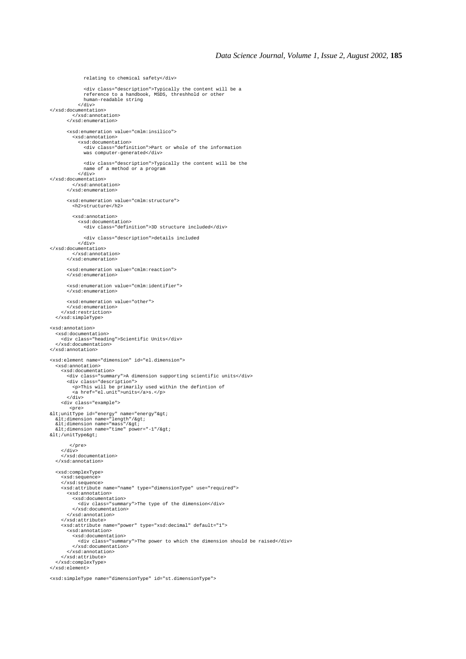```
 relating to chemical safety</div>
 <div class="description">Typically the content will be a
 reference to a handbook, MSDS, threshhold or other
               human-readable string
 </div>
</xsd:documentation>
 </xsd:annotation>
 </xsd:enumeration>
        <xsd:enumeration value="cmlm:insilico">
          <xsd:annotation>
 <xsd:documentation>
 <div class="definition">Part or whole of the information
               was computer-generated</div>
               <div class="description">Typically the content will be the
              name of a method or a program
            \frac{1}{\sqrt{div}}</xsd:documentation>
          </xsd:annotation>
        </xsd:enumeration>
        <xsd:enumeration value="cmlm:structure">
          <h2>structure</h2>
          <xsd:annotation>
             <xsd:documentation>
               <div class="definition">3D structure included</div>
                <div class="description">details included
 </div>
</xsd:documentation>
          </xsd:annotation>
        </xsd:enumeration>
        <xsd:enumeration value="cmlm:reaction">
        </xsd:enumeration>
        <xsd:enumeration value="cmlm:identifier">
        </xsd:enumeration>
        <xsd:enumeration value="other">
 </xsd:enumeration>
 </xsd:restriction>
   </xsd:simpleType>
<xsd:annotation>
 <xsd:documentation>
 <div class="heading">Scientific Units</div>
   </xsd:documentation>
</xsd:annotation>
<xsd:element name="dimension" id="el.dimension">
   <xsd:annotation>
     <xsd:documentation>
        <div class="summary">A dimension supporting scientific units</div>
 <div class="description">
 <p>This will be primarily used within the defintion of
 <a href="el.unit">units</a>s.</p>
       \frac{1}{\alpha} <div class="example">
<pre></ab "energy" name="energy" &gt;<br>
&lt/dimension name="length"/&gt;<br>
&lt/dimension name="mass"/&gt;<br>
&lt/dimension name="mass"/&gt;<br>
&lt/dimension name="time" power="-1"/&gt;
klt;/unitTypekgt;
         </pre>
     </div>
 </xsd:documentation>
 </xsd:annotation>
   <xsd:complexType>
     <xsd:sequence>
     </xsd:sequence>
     <xsd:attribute name="name" type="dimensionType" use="required">
        <xsd:annotation>
 <xsd:documentation>
 <div class="summary">The type of the dimension</div>
          </xsd:documentation>
        </xsd:annotation>
     </xsd:attribute>
     <xsd:attribute name="power" type="xsd:decimal" default="1">
 <xsd:annotation>
 <xsd:documentation>
             <div class="summary">The power to which the dimension should be raised</div>
 </xsd:documentation>
 </xsd:annotation>
     </xsd:attribute>
   </xsd:complexType>
</xsd:element>
```
<xsd:simpleType name="dimensionType" id="st.dimensionType">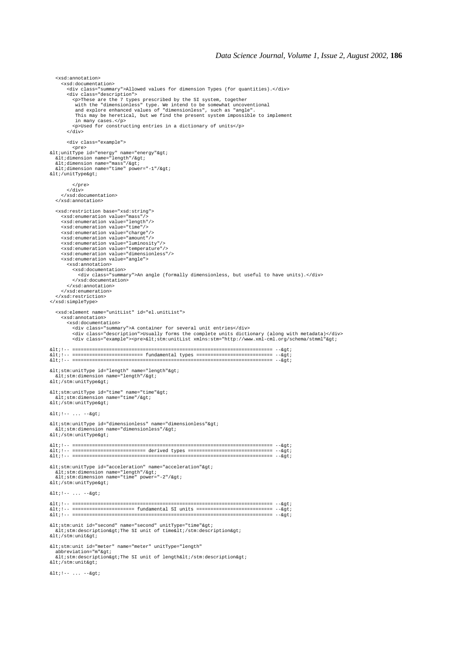<xsd:documentation> <div class="summary">Allowed values for dimension Types (for quantities).</div> <div class="description"><br><p>These are the 7 types prescribed by the SI system, together<br>with the "dimensionless" type. We intend to be somewhat uncoventional<br>and explore enhanced values of "dimensionless", such as "angle" This may be heretical, but we find the present system impossible to implement in many cases.</p> <p>Used for constructing entries in a dictionary of units</p> </div> <div class="example"><br>
<pre></abunitType id="energy" name="energy"&gt;<br>
&lt;dimension name="length"/&gt;<br>
&lt;dimension name="time" power="-1"/&gt;<br>
&lt;/unitType&gt;<br>
&lt;/unitType&gt; </pre> </div> </xsd:documentation> </xsd:annotation> <xsd:restriction base="xsd:string"> <xsd:enumeration value="mass"/> <xsd:enumeration value="length"/> <xsd:enumeration value="time"/> <xsd:enumeration value="charge"/> <xsd:enumeration value="amount"/> <xsd:enumeration value="luminosity"/> <xsd:enumeration value="temperature"/> <xsd:enumeration value="dimensionless"/> <xsd:enumeration value="angle"> <xsd:annotation> <xsd:documentation> <div class="summary">An angle (formally dimensionless, but useful to have units).</div> </xsd:documentation> </xsd:annotation> </xsd:enumeration> </xsd:restriction> </xsd:simpleType> <xsd:element name="unitList" id="el.unitList"> <xsd:annotation> <xsd:documentation> <div class="summary">A container for several unit entries</div><br><div class="description">Usually forms the complete units dictionary (along with metadata)</div><br><div class="example"><pre>&lt;stm:unitList xmlns:stm="http:// <!-- ======================================================================= --> <!-- ========================= fundamental types =========================== --> <!-- ======================================================================= -->  $< it$  stm:unitType id="length" name="length"><br>  $< it$ stm:dimension name="length"/> </stm:unitType&gt;  $<1$  stm:unitType id="time" name="time" $<3$ <br>  $<1$  stm:dimension name="time"/ $<4$ ; aturbum almumbium in<br>str:/stm:unitType&at;  $< i !--... --> i$  $<$ istm:unitType id="dimensionless" name="dimensionless">  $\frac{1}{2}$  alt; stm:dimension name="dimensionless"/>  $klt$ ;/stm:unitType> <!-- ======================================================================= --> <!-- ========================== derived types ============================== --> <!-- ======================================================================= -->  $\<$ istm:unitType id="acceleration" name="acceleration" $\>$ <stm:dimension name="length"/&gt;<br>&lt;stm:dimension name="time" power="-2"/&gt; </stm:unitType&gt;  $<1$  :  $!$  --  $...$  -- $<7$ <!-- ======================================================================= --> dic::<br>| alt:!-- ====================== fundamental SI units ============================= --&gt <!-- ======================================================================= -->  $<$ istm:unit id="second" name="second" unitType="time" $>$ i  $\<$ it:stm:description&gt:The SI unit of time $\<$ lt:/stm:description&gt: </stm:unit&gt; <stm:unit id="meter" name="meter" unitType="length" abbreviation="m"> <stm:description&gt;The SI unit of length&lt;/stm:description&gt; </stm:unit&gt;  $<1$  :  $--...$   $-->$ 

<xsd:annotation>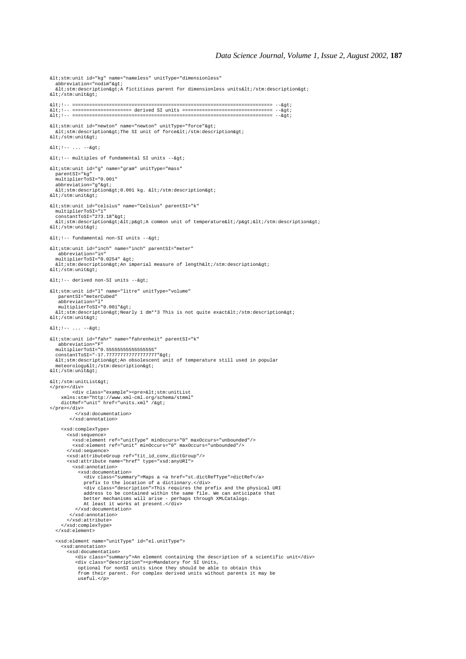```
<stm:unit id="kg" name="nameless" unitType="dimensionless"
  abbrevation="nodim">
  stations of the state of the state of the state of the state of the state of the state of the state of the state of the state of the state of the state of the state of the state of the state of the state of the state of th
</stm:unit&gt;
                                                             <!-- ======================================================================= -->
<!-- ===================== derived SI units ================================ -->
<!-- ======================================================================= -->
<stm:unit id="newton" name="newton" unitType="force"&gt;<br>&lt;stm:description&gt;The SI unit of force&lt;/stm:description&gt;
alt;/stm:unit&at;
\< i !-- \ldots --\> i<1: -- multiples of fundamental SI units -->i<stm:unit id="g" name="gram" unitType="mass"
   parentSI="kg"
  multiplierToSI="0.001"
  abbrevation="g">
<stm:description&gt;0.001 kg. &lt;/stm:description&gt;<br>&lt;/stm:unit&gt;
<stm:unit id="celsius" name="Celsius" parentSI="k"
   multiplierToSI="1"
constantToSI="273.18"><br>&lt;stm:description&gt;&lt;p&gt;A common unit of temperature&lt;/p&gt;&lt;/stm:description&gt;
\<i\#stm: unit\><1:-- fundamental non-SI units -->i<stm:unit id="inch" name="inch" parentSI="meter"
    abbreviation="in"
  multiplierToSI="0.0254" >
  \<1 : stm:description> An imperial measure of length</stm:description&gt;
</stm:unit&gt;
<1:-- derived non-SI units -->7<stm:unit id="l" name="litre" unitType="volume"
 parentSI="meterCubed"
     abbreviation="l"
    multiplierToSI="0.001">
  %unitipiiciiosi- 0.001 age,<br>&lt;stm:description&gt;Nearly 1 dm**3 This is not quite exact&lt;/stm:description&gt;
\frac{1}{2} + : /stm:unit&ot:
x1t: 1--... --<stm:unit id="fahr" name="fahrenheit" parentSI="k"
     abbreviation="F"
   multiplierToSI="0.55555555555555555"
constantToSI="-17.7777777777777777777"><br>&lt;stm:description&gt;An obsolescent unit of temperature still used in popular
meteorology</stm:description&gt;<br>&lt;/stm:unit&gt;
< i/stm: unitList&qt;
%</pre></div><br>
<div class="example"><pre>&lt;stm:unitList<br>
xmlns:stm="http://www.xml-cml.org/schema/stmml"<br>
dictRef="unit" href="units.xml" /&gt;
</pre></div>
             </xsd:documentation>
          </xsd:annotation>
      <xsd:complexType>
         <xsd:sequence>
 <xsd:element ref="unitType" minOccurs="0" maxOccurs="unbounded"/>
 <xsd:element ref="unit" minOccurs="0" maxOccurs="unbounded"/>
         </xsd:sequence>
 <xsd:attributeGroup ref="tit_id_conv_dictGroup"/>
 <xsd:attribute name="href" type="xsd:anyURI">
           <xsd:annotation>
              <xsd:documentation>
<div class="summary">Maps a <a href="st.dictRefType">dictRef</a><br>prefix to the location of a dictionary.</div><br>clay class="description">This requires the prefix and the physical URI<br>address to be contained within the same 
             </xsd:documentation>
          </xsd:annotation>
 </xsd:attribute>
 </xsd:complexType>
   </xsd:element>
   <xsd:element name="unitType" id="el.unitType">
      <xsd:annotation>
         <xsd:documentation>
<div class="summary">An element containing the description of a scientific unit</div><br><div class="description"><p>Mandatory for SI Units,<br>optional for nonSI units since they should be able to obtain this<br>optional for nonSI
              useful.</p>
```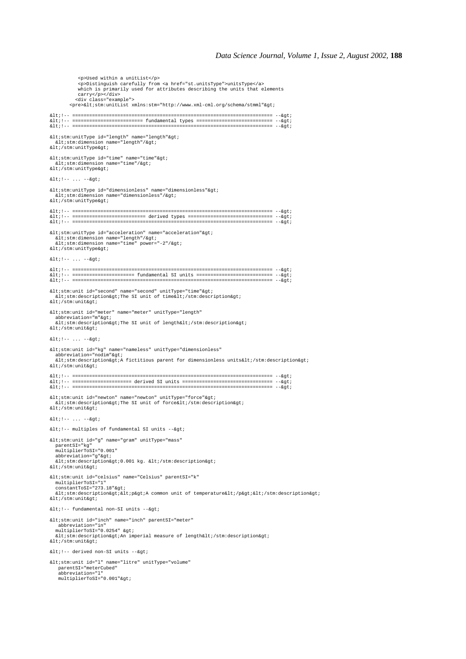<p>Used within a unitList</p> <p>Distinguish carefully from <a href="st.unitsType">unitsType</a> which is primarily used for attributes describing the units that elements carry</p></div> <div class="example"> <pre>&lt;stm:unitList xmlns:stm="http://www.xml-cml.org/schema/stmml"&gt; <!-- ======================================================================= --> <!-- ========================= fundamental types =========================== --> <!-- ======================================================================= -->  $<$ istm:unitType id="length" name="length" $>$ j <stm:dimension name="length"/&gt;<br>&lt;/stm:unitType&gt; <stm:unitType id="time" name="time"&gt;<br>&lt;stm:dimension name="time"/&gt;  $\< i / \text{stm:unitType\>it}$  $x + 1 = -6$  $< it$ ; stm:unitType id="dimensionless" name="dimensionless"  $< it$ ;<br>  $< it$ :stm:dimension name="dimensionless"/ $< it$ ;  $\&1$ t; /stm:unitType> <!-- ======================================================================= --> <!-- ========================== derived types ============================== --> <!-- ======================================================================= --> <stm:unitType id="acceleration" name="acceleration"&gt;<br>&lt;stm:dimension name="length"/&gt; <stm:dimension name="time" power="-2"/&gt;<br>&lt;/stm:unitType&gt;  $<1$  :  $--... -->1$ <!-- ======================================================================= --> <!-- ====================== fundamental SI units =========================== --> <!-- ======================================================================= --> <stm:unit id="second" name="second" unitType="time"&gt;<br>&lt;stm:description&gt;The SI unit of time&lt;/stm:description&gt;  $k$ lt;/stm:unit&ot; <stm:unit id="meter" name="meter" unitType="length" abbreviation="m"><br>&lt;stm:description&gt;The SI unit of length&lt;/stm:description&gt;  $\<$ i $\#$ stm: unit $\>$  $< i !--... --> i$ <stm:unit id="kg" name="nameless" unitType="dimensionless" abbreviation="nodim"><br>&lt;stm:description&gt;A fictitious parent for dimensionless units&lt;/stm:description&gt;  $klt$ ;/stm:unit&qt; <!-- ======================================================================= --> <!-- ===================== derived SI units ================================ --> <!-- ======================================================================= --> <stm:unit id="newton" name="newton" unitType="force"&gt;<br>&lt;stm:description&gt;The SI unit of force&lt;/stm:description&gt; </stm:unit&qt  $x + 1 = -6$   $x + 7$  $k[t]$  :  $-$  multiples of fundamental SI units  $-$ - $k$ gt;  $<$ istm:unit id="g" name="gram" unitType="mass" parentSI="kg" multiplierToSI="0.001" abbreviation="g"><br>&lt;stm:description&gt;0.001 kg. &lt;/stm:description&gt;  $k$ lt;/stm:unit&ot; <stm:unit id="celsius" name="Celsius" parentSI="k" multiplierToSI="1"<br>constantToSI="273.18"&gt;  $klt;$ stm:description><p&gt;A common unit of temperature&lt;/p&gt;&lt;/stm:description&gt;  $\lambda$ lt;/stm:unit $\delta$ gt;  $<1:-$  fundamental non-SI units  $-->i$ <stm:unit id="inch" name="inch" parentSI="meter" abbreviation="in" multiplierToSI="0.0254" > murcrpricriosi- 0.0251 age,<br>&lt;stm:description&gt;An imperial measure of length&lt;/stm:description&gt;  $k$ lt;/stm:unit&ot;  $<1:--$  derived non-SI units  $-->i$ <stm:unit id="l" name="litre" unitType="volume" parentSI="meterCubed"<br>abbreviation="l"<br>multiplierToSI="0.001"&gt;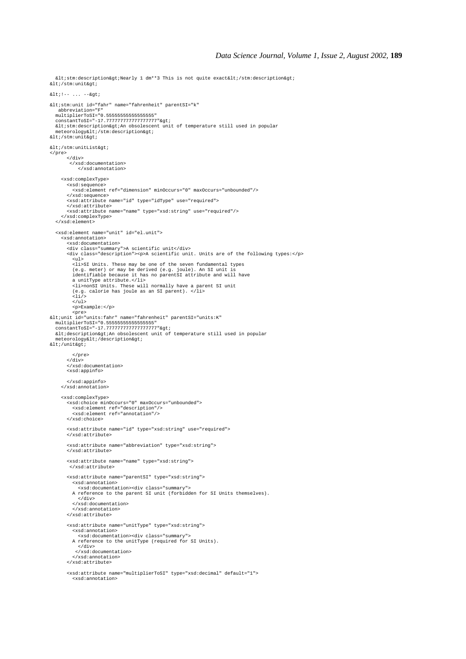$\texttt{all}$ :stm:description&gt:Nearly 1 dm\*\*3 This is not quite exact&lt:/stm:description&gt: alt:/stm:unit&at.<br>| alt:/stm:unit&at  $< i !-- \ldots --> i$ <stm:unit id="fahr" name="fahrenheit" parentSI="k" abbreviation="F" multiplierToSI="0.55555555555555555" constantToSI="-17.777777777777777777"> <stm:description&gt;An obsolescent unit of temperature still used in popular<br>meteorology&lt;/stm:description&gt;  $k$ ]t;/stm:unit&at;  $< i$ /stm:unitList> </pre> </div> </xsd:documentation> </xsd:annotation> <xsd:complexType> <xsd:sequence> <xsd:element ref="dimension" minOccurs="0" maxOccurs="unbounded"/> </xsd:sequence> <xsd:attribute name="id" type="idType" use="required"> </xsd:attribute> <xsd:attribute name="name" type="xsd:string" use="required"/> </xsd:complexType> </xsd:element> <xsd:element name="unit" id="el.unit"> <xsd:annotation> <xsd:documentation><br><div class="summary">A scientific unit</div><br><div class="description"><p>A scientific unit. Units are of the following types:</p> <ul> <li>SI Units. These may be one of the seven fundamental types (e.g. meter) or may be derived (e.g. joule). An SI unit is identifiable because it has no parentSI attribute and will have a unitType attribute.</li><br><li>nonSI Units. These will normally have a parent SI unit<br>(e.g. calorie has joule as an SI parent). </li><br><li/>  $\langle$ /ul> <p>Example:</p> <pre> <unit id="units:fahr" name="fahrenheit" parentSI="units:K" multiplierToSI="0.55555555555555555" constantToSI="-17.777777777777777777"> altidescription&gtiAn obsolescent unit of temperature still used in popular meteorology< /description&gt;  $klt$ ;/unit $k$ qt; </pre>  $\langle$  div $>$  </xsd:documentation> <xsd:appinfo> </xsd:appinfo> </xsd:annotation> <xsd:complexType> <xsd:choice minOccurs="0" maxOccurs="unbounded"> <xsd:element ref="description"/> <xsd:element ref="annotation"/>  $z$ /xed:choice> <xsd:attribute name="id" type="xsd:string" use="required"> </xsd:attribute> <xsd:attribute name="abbreviation" type="xsd:string"> </xsd:attribute> <xsd:attribute name="name" type="xsd:string"> </xsd:attribute> <xsd:attribute name="parentSI" type="xsd:string"> <xsd:annotation> <xsd:documentation><div class="summary"> A reference to the parent SI unit (forbidden for SI Units themselves). </div> </xsd:documentation> </xsd:annotation> </xsd:attribute> <xsd:attribute name="unitType" type="xsd:string"> <xsd:annotation> <xsd:documentation><div class="summary"> A reference to the unitType (required for SI Units). </div> </xsd:documentation> </xsd:annotation> </xsd:attribute> <xsd:attribute name="multiplierToSI" type="xsd:decimal" default="1"> <xsd:annotation>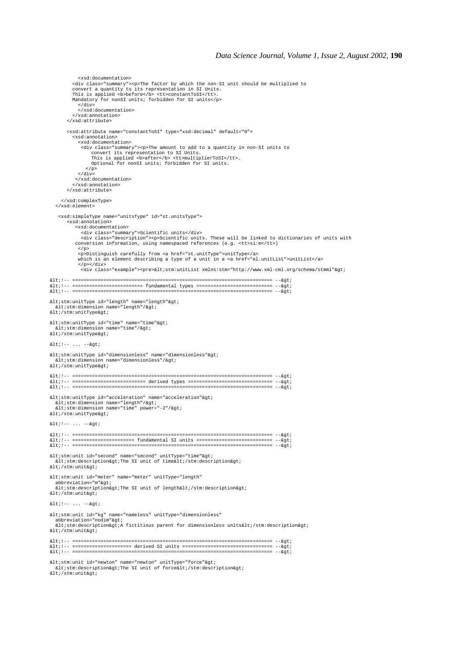```
 <div class="summary"><p>The factor by which the non-SI unit should be multiplied to
convert a quantity to its representation in SI Units.<br>This is applied <b>before</b> <tt>constantToSI</tt>.
          Mandatory for nonSI units; forbidden for SI units</p>
 </div>
 </xsd:documentation>
          </xsd:annotation>
        </xsd:attribute>
        <xsd:attribute name="constantToSI" type="xsd:decimal" default="0">
           <xsd:annotation>
             <xsd:documentation>
              <div class="summary"><p>The amount to add to a quantity in non-SI units to
                convert its representation to SI Units.<br>This is applied «b>after</b> <tt>multiplierToSI</tt>.<br>Optional for nonSI units; forbidden for SI units.
               \langle p \rangle\langlediv> </xsd:documentation>
           </xsd:annotation>
        </xsd:attribute>
      </xsd:complexType>
   </xsd:element>
 <xsd:simpleType name="unitsType" id="st.unitsType">
 <xsd:annotation>
           <xsd:documentation>
 <div class="summary">Scientific units</div>
 <div class="description"><p>Scientific units. These will be linked to dictionaries of units with
            conversion information, using namespaced references (e.g. <tt>si:m</tt>)
            \langle/p>
             <p>Distinguish carefully from <a href="st.unitType">unitType</a>
            which is an element describing a type of a unit in a <a href="el.unitList">unitList</a>
</p></div><br><div class="example"><pre>&lt;stm:unitList xmlns:stm="http://www.xml-cml.org/schema/stmml"&gt;
<!-- ======================================================================= -->
<!-- ========================= fundamental types =========================== -->
<!-- ======================================================================= -->
< it stm:unitType id="length" name="length"><br>
< itstm:dimension name="length"/>
</stm:unitType&gt;
<stm:unitType id="time" name="time"&gt;<br>&lt;stm:dimension name="time"/&gt;
\< i / \text{stm:unitType\>it}< i !--... --> i<stm:unitType id="dimensionless" name="dimensionless"&gt;<br>&lt;stm:dimension name="dimensionless"/&gt;
klti/stm:unitType\>it<!-- ======================================================================= -->
<!-- ========================== derived types ============================== -->
                                                          <!-- ======================================================================= -->
<stm:unitType id="acceleration" name="acceleration"&gt;
  <istm:dimension name="length"/<qt;
  %1t: stm:dimension name="time" power="-2"/>
< i/stm:unitType>
<1 : --... --<7<!-- ======================================================================= -->
<!-- ====================== fundamental SI units =========================== -->
                                                               <!-- ======================================================================= -->
<stm:unit id="second" name="second" unitType="time"&gt;<br>&lt;stm:description&gt;The SI unit of time&lt;/stm:description&gt;
alt;/stm:unit&at;
<stm:unit id="meter" name="meter" unitType="length"
abbreviation="m"><br>&lt;stm:description&gt;The SI unit of length&lt;/stm:description&gt;
\<i\#stm: unit\<i\frac{1}{2}n + 1 - 1 - 1 = 0<stm:unit id="kg" name="nameless" unitType="dimensionless"
abbreviation="nodim"><br>&lt;stm:description&gt;A fictitious parent for dimensionless units&lt;/stm:description&gt;
klt;/stm:unit&qt;
<!-- ======================================================================= -->
<!-- ===================== derived SI units ================================ -->
<!-- ======================================================================= -->
<stm:unit id="newton" name="newton" unitType="force"&gt;<br>&lt;stm:description&gt;The SI unit of force&lt;/stm:description&gt;
</stm:unit&gt;
```
<xsd:documentation>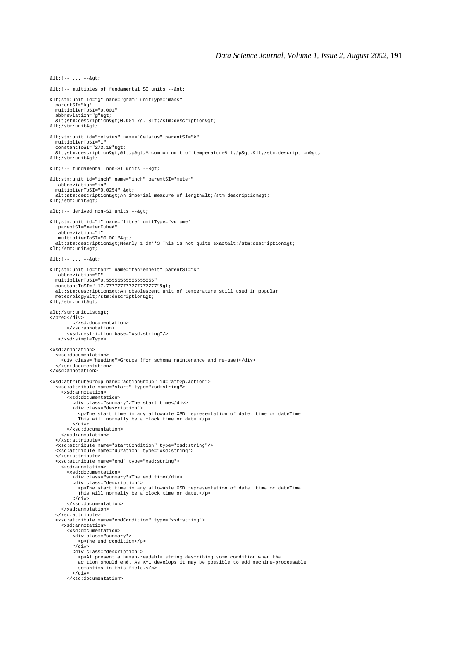$\lambda$ lt: $-$  multiples of fundamental SI units  $-\lambda$ ot:  $<$ istm:unit id="g" name="gram" unitType="mass" parentSI="kg" multiplierToSI="0.001" abbreviation="g"><br>&lt;stm:description&gt;0.001 kg. &lt;/stm:description&gt;  $klt$ ; /stm: unit $k$ qt; <stm:unit id="celsius" name="Celsius" parentSI="k" multiplierToSI="1"<br>constantToSI="273.18"&gt;  $klt:stm: description>iklt: p>k$  common unit of temperature $klt: p>klt: sklt: sklt: sklt$ </stm:unit&gt;  $<1:--$  fundamental non-SI units  $-->i$ <stm:unit id="inch" name="inch" parentSI="meter" abbreviation="in" multiplierToSI="0.0254" ><br>&lt;stm:description&gt;An imperial measure of length&lt;/stm:description&gt;  $<$  i/stm: unit  $>$  $<1:-$  derived non-SI units  $-->7$ <stm:unit id="l" name="litre" unitType="volume" parentSI="meterCubed" abbreviation="l"<br>multiplierToSI="0.001"&gt; <stm:description&gt;Nearly 1 dm\*\*3 This is not quite exact&lt;/stm:description&gt;<br>&lt;/stm:unit&gt;  $k$ lt; !-- ... --&gt <stm:unit id="fahr" name="fahrenheit" parentSI="k" abbreviation="F" multiplierToSI="0.55555555555555555" constantToSI="-17.777777777777777777"> <stm:description&gt;An obsolescent unit of temperature still used in popular<br>meteorology&lt;/stm:description&gt;  $k$ lt;/stm:unit&at; </stm:unitList&gt; </pre></div><br></xsd:documentation> </xsd:annotation> <xsd:restriction base="xsd:string"/> </xsd:simpleType> <xsd:annotation> <xsd:documentation> <div class="heading">Groups (for schema maintenance and re-use)</div> </xsd:documentation> </xsd:annotation> <xsd:attributeGroup name="actionGroup" id="attGp.action"> <xsd:attribute name="start" type="xsd:string"> <xsd:annotation> <xsd:documentation> <div class="summary">The start time</div> <div class="description"> <p>The start time in any allowable XSD representation of date, time or dateTime. This will normally be a clock time or date.</p> </div> </xsd:documentation> </xsd:annotation> </xsd:attribute> <xsd:attribute name="startCondition" type="xsd:string"/> <xsd:attribute name="duration" type="xsd:string"> </xsd:attribute> <xsd:attribute name="end" type="xsd:string"> <xsd:annotation> <xsd:documentation> <div class="summary">The end time</div> <div class="description"> <p>The start time in any allowable XSD representation of date, time or dateTime. This will normally be a clock time or date.</p> </div> </xsd:documentation> </xsd:annotation> </xsd:attribute> <xsd:attribute name="endCondition" type="xsd:string"> <xsd:annotation> <xsd:documentation> <div class="summary"> <p>The end condition</p> </div><br><div class="description"> <p>At present a human-readable string describing some condition when the ac tion should end. As XML develops it may be possible to add machine-processable semantics in this field.</p> </div> </xsd:documentation>

 $k$ ]  $t$ ;  $t = -$  ...  $-k$  $a$ t;